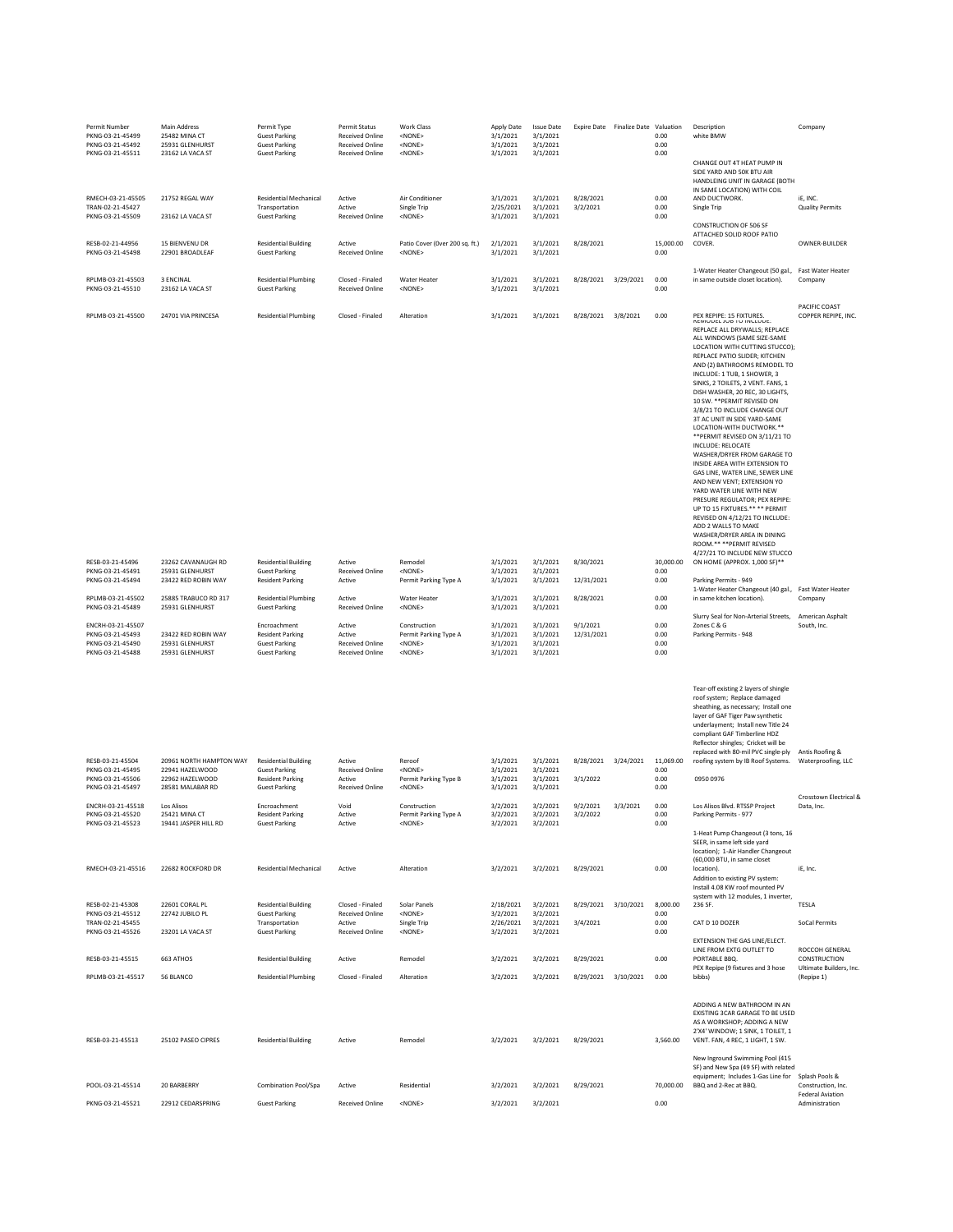| Permit Number<br>PKNG-03-21-45499<br>PKNG-03-21-45492<br>PKNG-03-21-45511     | Main Address<br>25482 MINA CT<br>25931 GLENHURST<br>23162 LA VACA ST              | Permit Type<br><b>Guest Parking</b><br><b>Guest Parking</b><br><b>Guest Parking</b>                    | Permit Status<br><b>Received Online</b><br><b>Received Online</b><br><b>Received Online</b> | Work Class<br><none><br/><none><br/><none></none></none></none>          | Apply Date<br>3/1/2021<br>3/1/2021<br>3/1/2021 | <b>Issue Date</b><br>3/1/2021<br>3/1/2021<br>3/1/2021 |                                  | Expire Date Finalize Date Valuation | 0.00<br>0.00<br>0.00              | Description<br>white BMW<br>CHANGE OUT 4T HEAT PUMP IN<br>SIDE YARD AND 50K BTU AIR<br>HANDLEING UNIT IN GARAGE (BOTH                                                                                                                                                                                                                                                                                                                                                                                                                                                                                                                                                                                                                                                                                                                                                          | Company                                                         |
|-------------------------------------------------------------------------------|-----------------------------------------------------------------------------------|--------------------------------------------------------------------------------------------------------|---------------------------------------------------------------------------------------------|--------------------------------------------------------------------------|------------------------------------------------|-------------------------------------------------------|----------------------------------|-------------------------------------|-----------------------------------|--------------------------------------------------------------------------------------------------------------------------------------------------------------------------------------------------------------------------------------------------------------------------------------------------------------------------------------------------------------------------------------------------------------------------------------------------------------------------------------------------------------------------------------------------------------------------------------------------------------------------------------------------------------------------------------------------------------------------------------------------------------------------------------------------------------------------------------------------------------------------------|-----------------------------------------------------------------|
| RMECH-03-21-45505<br>TRAN-02-21-45427                                         | 21752 REGAL WAY                                                                   | <b>Residential Mechanical</b><br>Transportation                                                        | Active<br>Active                                                                            | Air Conditioner<br>Single Trip                                           | 3/1/2021<br>2/25/2021                          | 3/1/2021<br>3/1/2021                                  | 8/28/2021<br>3/2/2021            |                                     | 0.00<br>0.00                      | IN SAME LOCATION) WITH COIL<br>AND DUCTWORK.<br>Single Trip                                                                                                                                                                                                                                                                                                                                                                                                                                                                                                                                                                                                                                                                                                                                                                                                                    | IE. INC.<br><b>Quality Permits</b>                              |
| PKNG-03-21-45509<br>RESB-02-21-44956<br>PKNG-03-21-45498                      | 23162 LA VACA ST<br><b>15 BIENVENU DR</b><br>22901 BROADLEAF                      | <b>Guest Parking</b><br><b>Residential Building</b><br><b>Guest Parking</b>                            | <b>Received Online</b><br>Active<br><b>Received Online</b>                                  | <none><br/>Patio Cover (Over 200 sq. ft.)<br/><none></none></none>       | 3/1/2021<br>2/1/2021<br>3/1/2021               | 3/1/2021<br>3/1/2021<br>3/1/2021                      | 8/28/2021                        |                                     | 0.00<br>15,000.00<br>0.00         | <b>CONSTRUCTION OF 506 SF</b><br>ATTACHED SOLID ROOF PATIO<br>COVER.                                                                                                                                                                                                                                                                                                                                                                                                                                                                                                                                                                                                                                                                                                                                                                                                           | OWNER-BUILDER                                                   |
| RPLMB-03-21-45503<br>PKNG-03-21-45510                                         | 3 ENCINAL<br>23162 LA VACA ST                                                     | <b>Residential Plumbing</b><br><b>Guest Parking</b>                                                    | Closed - Finaled<br><b>Received Online</b>                                                  | Water Heater<br><none></none>                                            | 3/1/2021<br>3/1/2021                           | 3/1/2021<br>3/1/2021                                  | 8/28/2021 3/29/2021              |                                     | 0.00<br>0.00                      | 1-Water Heater Changeout (50 gal.<br>in same outside closet location).                                                                                                                                                                                                                                                                                                                                                                                                                                                                                                                                                                                                                                                                                                                                                                                                         | Fast Water Heater<br>Company                                    |
| RPLMB-03-21-45500                                                             | 24701 VIA PRINCESA                                                                | <b>Residential Plumbing</b>                                                                            | Closed - Finaled                                                                            | Alteration                                                               | 3/1/2021                                       | 3/1/2021                                              | 8/28/2021                        | 3/8/2021                            | 0.00                              | PEX REPIPE: 15 FIXTURES.<br>REPLACE ALL DRYWALLS; REPLACE<br>ALL WINDOWS (SAME SIZE-SAME<br>LOCATION WITH CUTTING STUCCO);<br>REPLACE PATIO SLIDER; KITCHEN<br>AND (2) BATHROOMS REMODEL TO<br>INCLUDE: 1 TUB, 1 SHOWER, 3<br>SINKS, 2 TOILETS, 2 VENT. FANS, 1<br>DISH WASHER, 20 REC, 30 LIGHTS,<br>10 SW. ** PERMIT REVISED ON<br>3/8/21 TO INCLUDE CHANGE OUT<br>3T AC UNIT IN SIDE YARD-SAME<br>LOCATION-WITH DUCTWORK.**<br>** PERMIT REVISED ON 3/11/21 TO<br>INCLUDE: RELOCATE<br>WASHER/DRYER FROM GARAGE TO<br>INSIDE AREA WITH EXTENSION TO<br>GAS LINE, WATER LINE, SEWER LINE<br>AND NEW VENT; EXTENSION YO<br>YARD WATER LINE WITH NEW<br>PRESURE REGULATOR; PEX REPIPE:<br>UP TO 15 FIXTURES.** ** PERMIT<br>REVISED ON 4/12/21 TO INCLUDE:<br>ADD 2 WALLS TO MAKE<br>WASHER/DRYER AREA IN DINING<br>ROOM.** ** PERMIT REVISED<br>4/27/21 TO INCLUDE NEW STUCCO | PACIFIC COAST<br>COPPER REPIPE, INC.                            |
| RESB-03-21-45496<br>PKNG-03-21-45491<br>PKNG-03-21-45494                      | 23262 CAVANAUGH RD<br>25931 GLENHURST<br>23422 RED ROBIN WAY                      | <b>Residential Building</b><br><b>Guest Parking</b><br><b>Resident Parking</b>                         | Active<br><b>Received Online</b><br>Active                                                  | Remodel<br><none><br/>Permit Parking Type A</none>                       | 3/1/2021<br>3/1/2021<br>3/1/2021               | 3/1/2021<br>3/1/2021<br>3/1/2021                      | 8/30/2021<br>12/31/2021          |                                     | 30,000.00<br>0.00<br>0.00         | ON HOME (APPROX. 1,000 SF)**<br>Parking Permits - 949                                                                                                                                                                                                                                                                                                                                                                                                                                                                                                                                                                                                                                                                                                                                                                                                                          | <b>Fast Water Heater</b>                                        |
| RPLMB-03-21-45502<br>PKNG-03-21-45489                                         | 25885 TRABUCO RD 317<br>25931 GLENHURST                                           | <b>Residential Plumbing</b><br><b>Guest Parking</b>                                                    | Active<br><b>Received Online</b>                                                            | <b>Water Heater</b><br><none></none>                                     | 3/1/2021<br>3/1/2021                           | 3/1/2021<br>3/1/2021                                  | 8/28/2021                        |                                     | 0.00<br>0.00                      | 1-Water Heater Changeout (40 gal.,<br>in same kitchen location).<br>Slurry Seal for Non-Arterial Streets,                                                                                                                                                                                                                                                                                                                                                                                                                                                                                                                                                                                                                                                                                                                                                                      | Company<br>American Asphalt                                     |
| ENCRH-03-21-45507<br>PKNG-03-21-45493<br>PKNG-03-21-45490<br>PKNG-03-21-45488 | 23422 RED ROBIN WAY<br>25931 GLENHURST<br>25931 GLENHURST                         | Encroachment<br><b>Resident Parking</b><br><b>Guest Parking</b><br><b>Guest Parking</b>                | Active<br>Active<br><b>Received Online</b><br><b>Received Online</b>                        | Construction<br>Permit Parking Type A<br><none><br/><none></none></none> | 3/1/2021<br>3/1/2021<br>3/1/2021<br>3/1/2021   | 3/1/2021<br>3/1/2021<br>3/1/2021<br>3/1/2021          | 9/1/2021<br>12/31/2021           |                                     | 0.00<br>0.00<br>0.00<br>0.00      | Zones C & G<br>Parking Permits - 948                                                                                                                                                                                                                                                                                                                                                                                                                                                                                                                                                                                                                                                                                                                                                                                                                                           | South, Inc.                                                     |
| RESB-03-21-45504<br>PKNG-03-21-45495<br>PKNG-03-21-45506<br>PKNG-03-21-45497  | 20961 NORTH HAMPTON WAY<br>22941 HAZELWOOD<br>22962 HAZELWOOD<br>28581 MALABAR RD | <b>Residential Building</b><br><b>Guest Parking</b><br><b>Resident Parking</b><br><b>Guest Parking</b> | Active<br><b>Received Online</b><br>Active<br><b>Received Online</b>                        | Reroof<br><none><br/>Permit Parking Type B<br/><none></none></none>      | 3/1/2021<br>3/1/2021<br>3/1/2021<br>3/1/2021   | 3/1/2021<br>3/1/2021<br>3/1/2021<br>3/1/2021          | 8/28/2021<br>3/1/2022            | 3/24/2021                           | 11,069.00<br>0.00<br>0.00<br>0.00 | Tear-off existing 2 layers of shingle<br>roof system; Replace damaged<br>sheathing, as necessary; Install one<br>layer of GAF Tiger Paw synthetic<br>underlayment; Install new Title 24<br>compliant GAF Timberline HDZ<br>Reflector shingles; Cricket will be<br>replaced with 80-mil PVC single-ply<br>roofing system by IB Roof Systems.<br>0950 0976                                                                                                                                                                                                                                                                                                                                                                                                                                                                                                                       | Antis Roofing &<br>Waterproofing, LLC                           |
| ENCRH-03-21-45518<br>PKNG-03-21-45520<br>PKNG-03-21-45523                     | Los Alisos<br>25421 MINA CT<br>19441 JASPER HILL RD                               | Encroachment<br><b>Resident Parking</b><br><b>Guest Parking</b>                                        | Void<br>Active<br>Active                                                                    | Construction<br>Permit Parking Type A<br><none></none>                   | 3/2/2021<br>3/2/2021<br>3/2/2021               | 3/2/2021<br>3/2/2021<br>3/2/2021                      | 9/2/2021<br>3/2/2022             | 3/3/2021                            | 0.00<br>0.00<br>0.00              | Los Alisos Blvd. RTSSP Project<br>Parking Permits - 977                                                                                                                                                                                                                                                                                                                                                                                                                                                                                                                                                                                                                                                                                                                                                                                                                        | Crosstown Electrical &<br>Data, Inc.                            |
| RMECH-03-21-45516                                                             | 22682 ROCKFORD DR                                                                 | <b>Residential Mechanical</b>                                                                          | Active                                                                                      | Alteration                                                               | 3/2/2021                                       | 3/2/2021                                              | 8/29/2021                        |                                     | 0.00                              | 1-Heat Pump Changeout (3 tons, 16<br>SEER, in same left side yard<br>location); 1-Air Handler Changeout<br>(60,000 BTU, in same closet<br>location).<br>Addition to existing PV system:<br>Install 4.08 KW roof mounted PV<br>system with 12 modules, 1 inverter,                                                                                                                                                                                                                                                                                                                                                                                                                                                                                                                                                                                                              | iE, Inc.                                                        |
| RESB-02-21-45308<br>PKNG-03-21-45512<br>TRAN-02-21-45455                      | 22601 CORAL PL<br>22742 JUBILO PL                                                 | <b>Residential Building</b><br><b>Guest Parking</b><br>Transportation                                  | Closed - Finaled<br><b>Received Online</b><br>Active                                        | Solar Panels<br><none><br/>Single Trip</none>                            | 2/18/2021<br>3/2/2021<br>2/26/2021             | 3/2/2021<br>3/2/2021<br>3/2/2021                      | 8/29/2021<br>3/4/2021            | 3/10/2021                           | 8,000.00<br>0.00<br>0.00          | 236 SF.<br>CAT D 10 DOZER                                                                                                                                                                                                                                                                                                                                                                                                                                                                                                                                                                                                                                                                                                                                                                                                                                                      | TESLA<br>SoCal Permits                                          |
| PKNG-03-21-45526                                                              | 23201 LA VACA ST                                                                  | <b>Guest Parking</b>                                                                                   | <b>Received Online</b>                                                                      | <none></none>                                                            | 3/2/2021                                       | 3/2/2021                                              |                                  |                                     | 0.00                              | EXTENSION THE GAS LINE/ELECT.<br>LINE FROM EXTG OUTLET TO                                                                                                                                                                                                                                                                                                                                                                                                                                                                                                                                                                                                                                                                                                                                                                                                                      | ROCCOH GENERAL                                                  |
| RESB-03-21-45515                                                              | 663 ATHOS                                                                         | <b>Residential Building</b>                                                                            | Active                                                                                      | Remodel                                                                  | 3/2/2021                                       | 3/2/2021                                              | 8/29/2021                        |                                     | 0.00                              | PORTABLE BBQ.<br>PEX Repipe (9 fixtures and 3 hose                                                                                                                                                                                                                                                                                                                                                                                                                                                                                                                                                                                                                                                                                                                                                                                                                             | CONSTRUCTION<br>Ultimate Builders, Inc.                         |
| RPLMB-03-21-45517<br>RESB-03-21-45513                                         | 56 BLANCO<br>25102 PASEO CIPRES                                                   | <b>Residential Plumbing</b><br><b>Residential Building</b>                                             | Closed - Finaled<br>Active                                                                  | Alteration<br>Remodel                                                    | 3/2/2021<br>3/2/2021                           | 3/2/2021<br>3/2/2021                                  | 8/29/2021 3/10/2021<br>8/29/2021 |                                     | 0.00<br>3,560.00                  | bibbs)<br>ADDING A NEW BATHROOM IN AN<br>EXISTING 3CAR GARAGE TO BE USED<br>AS A WORKSHOP; ADDING A NEW<br>2'X4' WINDOW; 1 SINK, 1 TOILET, 1<br>VENT. FAN, 4 REC, 1 LIGHT, 1 SW.                                                                                                                                                                                                                                                                                                                                                                                                                                                                                                                                                                                                                                                                                               | (Repipe 1)                                                      |
|                                                                               |                                                                                   |                                                                                                        |                                                                                             |                                                                          |                                                |                                                       |                                  |                                     |                                   | New Inground Swimming Pool (415<br>SF) and New Spa (49 SF) with related<br>equipment; Includes 1-Gas Line for                                                                                                                                                                                                                                                                                                                                                                                                                                                                                                                                                                                                                                                                                                                                                                  | Splash Pools &                                                  |
| POOL-03-21-45514<br>PKNG-03-21-45521                                          | 20 BARBERRY<br>22912 CEDARSPRING                                                  | Combination Pool/Spa<br><b>Guest Parking</b>                                                           | Active<br><b>Received Online</b>                                                            | Residential<br><none></none>                                             | 3/2/2021<br>3/2/2021                           | 3/2/2021<br>3/2/2021                                  | 8/29/2021                        |                                     | 70,000.00<br>0.00                 | BBQ and 2-Rec at BBQ.                                                                                                                                                                                                                                                                                                                                                                                                                                                                                                                                                                                                                                                                                                                                                                                                                                                          | Construction, Inc.<br><b>Federal Aviation</b><br>Administration |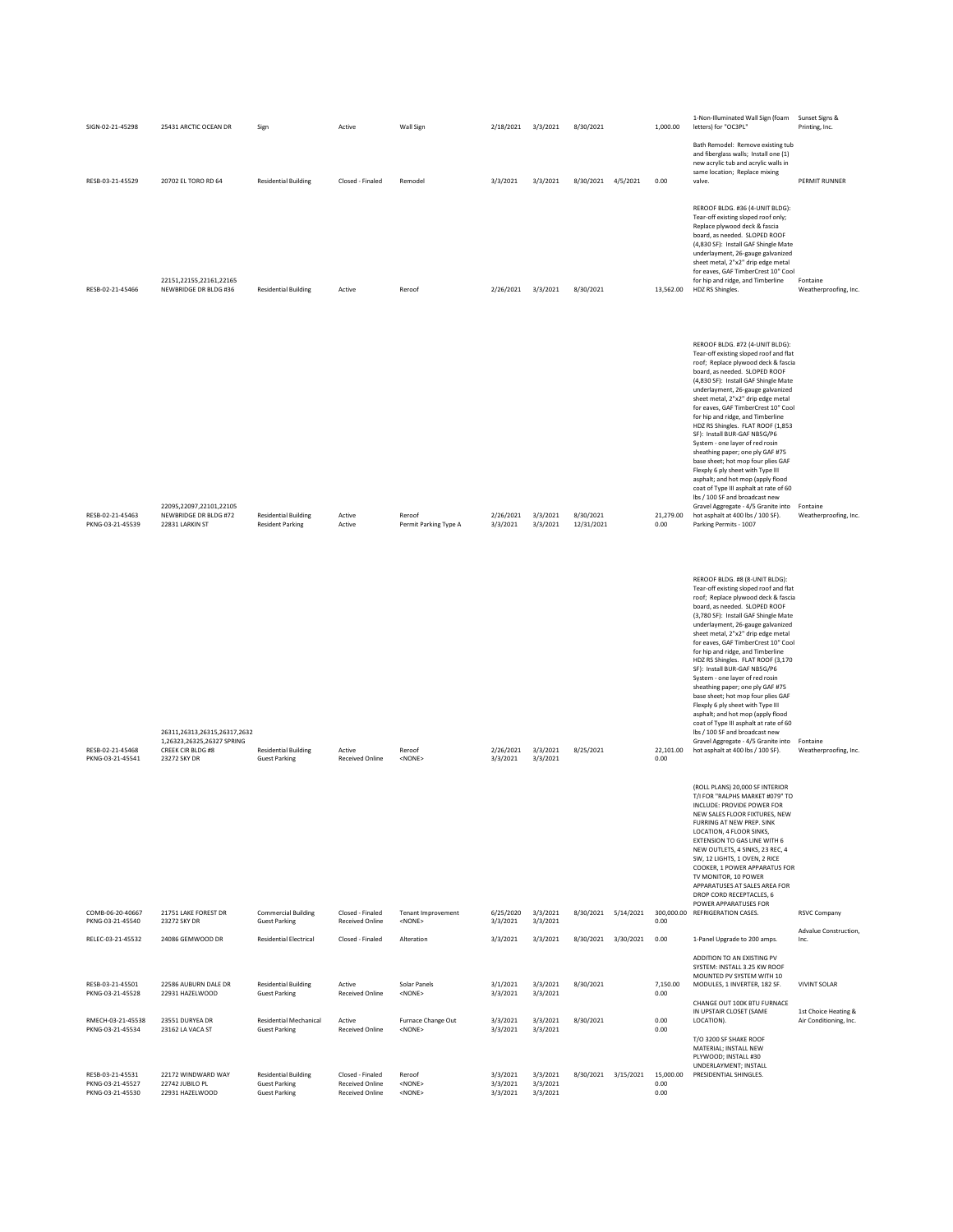| SIGN-02-21-45298                                                             | 25431 ARCTIC OCEAN DR                                                                                  | Sign                                                                                                | Active                                                                                         | Wall Sign                                                    | 2/18/2021 3/3/2021                           |                                              | 8/30/2021               |           | 1,000.00                          | 1-Non-Illuminated Wall Sign (foam<br>letters) for "OC3PL"                                                                                                                                                                                                                                                                                                                                                                                                                                                                                                                                                                                                                                                                                                                                               | Sunset Signs &<br>Printing, Inc.               |
|------------------------------------------------------------------------------|--------------------------------------------------------------------------------------------------------|-----------------------------------------------------------------------------------------------------|------------------------------------------------------------------------------------------------|--------------------------------------------------------------|----------------------------------------------|----------------------------------------------|-------------------------|-----------|-----------------------------------|---------------------------------------------------------------------------------------------------------------------------------------------------------------------------------------------------------------------------------------------------------------------------------------------------------------------------------------------------------------------------------------------------------------------------------------------------------------------------------------------------------------------------------------------------------------------------------------------------------------------------------------------------------------------------------------------------------------------------------------------------------------------------------------------------------|------------------------------------------------|
| RESB-03-21-45529                                                             | 20702 EL TORO RD 64                                                                                    | <b>Residential Building</b>                                                                         | Closed - Finaled                                                                               | Remodel                                                      | 3/3/2021                                     | 3/3/2021                                     | 8/30/2021 4/5/2021      |           | 0.00                              | Bath Remodel: Remove existing tub<br>and fiberglass walls; Install one (1)<br>new acrylic tub and acrylic walls in<br>same location; Replace mixing<br>valve.                                                                                                                                                                                                                                                                                                                                                                                                                                                                                                                                                                                                                                           | PERMIT RUNNER                                  |
| RESB-02-21-45466                                                             | 22151,22155,22161,22165<br>NEWBRIDGE DR BLDG #36                                                       | <b>Residential Building</b>                                                                         | Active                                                                                         | Reroof                                                       | 2/26/2021                                    | 3/3/2021                                     | 8/30/2021               |           | 13,562.00                         | REROOF BLDG. #36 (4-UNIT BLDG):<br>Tear-off existing sloped roof only;<br>Replace plywood deck & fascia<br>board, as needed. SLOPED ROOF<br>(4,830 SF): Install GAF Shingle Mate<br>underlayment, 26-gauge galvanized<br>sheet metal, 2"x2" drip edge metal<br>for eaves, GAF TimberCrest 10" Cool<br>for hip and ridge, and Timberline<br>HDZ RS Shingles.                                                                                                                                                                                                                                                                                                                                                                                                                                             | Fontaine<br>Weatherproofing, Inc.              |
| RESB-02-21-45463<br>PKNG-03-21-45539                                         | 22095,22097,22101,22105<br>NEWBRIDGE DR BLDG #72<br>22831 LARKIN ST                                    | <b>Residential Building</b><br><b>Resident Parking</b>                                              | Active<br>Active                                                                               | Reroof<br>Permit Parking Type A                              | 2/26/2021 3/3/2021<br>3/3/2021               | 3/3/2021                                     | 8/30/2021<br>12/31/2021 |           | 21,279.00<br>0.00                 | REROOF BLDG. #72 (4-UNIT BLDG):<br>Tear-off existing sloped roof and flat<br>roof; Replace plywood deck & fascia<br>board, as needed. SLOPED ROOF<br>(4,830 SF): Install GAF Shingle Mate<br>underlayment, 26-gauge galvanized<br>sheet metal, 2"x2" drip edge metal<br>for eaves, GAF TimberCrest 10" Cool<br>for hip and ridge, and Timberline<br>HDZ RS Shingles. FLAT ROOF (1,853<br>SF): Install BUR-GAF NB5G/P6<br>System - one layer of red rosin<br>sheathing paper; one ply GAF #75<br>base sheet; hot mop four plies GAF<br>Flexply 6 ply sheet with Type III<br>asphalt; and hot mop (apply flood<br>coat of Type III asphalt at rate of 60<br>lbs / 100 SF and broadcast new<br>Gravel Aggregate - 4/5 Granite into Fontaine<br>hot asphalt at 400 lbs / 100 SF).<br>Parking Permits - 1007 | Weatherproofing, Inc.                          |
| RESB-02-21-45468<br>PKNG-03-21-45541                                         | 26311,26313,26315,26317,2632<br>1,26323,26325,26327 SPRING<br><b>CREEK CIR BLDG #8</b><br>23272 SKY DR | <b>Residential Building</b><br><b>Guest Parking</b>                                                 | Active<br><b>Received Online</b>                                                               | Reroof<br><none></none>                                      | 2/26/2021<br>3/3/2021                        | 3/3/2021<br>3/3/2021                         | 8/25/2021               |           | 22,101.00<br>0.00                 | REROOF BLDG. #8 (8-UNIT BLDG):<br>Tear-off existing sloped roof and flat<br>roof; Replace plywood deck & fascia<br>board, as needed. SLOPED ROOF<br>(3,780 SF): Install GAF Shingle Mate<br>underlayment, 26-gauge galvanized<br>sheet metal, 2"x2" drip edge metal<br>for eaves, GAF TimberCrest 10" Cool<br>for hip and ridge, and Timberline<br>HDZ RS Shingles. FLAT ROOF (3,170<br>SF): Install BUR-GAF NB5G/P6<br>System - one layer of red rosin<br>sheathing paper; one ply GAF #75<br>base sheet; hot mop four plies GAF<br>Flexply 6 ply sheet with Type III<br>asphalt; and hot mop (apply flood<br>coat of Type III asphalt at rate of 60<br>lbs / 100 SF and broadcast new<br>Gravel Aggregate - 4/5 Granite into Fontaine<br>hot asphalt at 400 lbs / 100 SF).                            | Weatherproofing, Inc.                          |
|                                                                              |                                                                                                        |                                                                                                     |                                                                                                |                                                              |                                              |                                              |                         |           |                                   | (ROLL PLANS) 20,000 SF INTERIOR<br>T/I FOR "RALPHS MARKET #079" TO<br>INCLUDE: PROVIDE POWER FOR<br>NEW SALES FLOOR FIXTURES, NEW<br>FURRING AT NEW PREP. SINK<br>LOCATION, 4 FLOOR SINKS,<br>EXTENSION TO GAS LINE WITH 6<br>NEW OUTLETS, 4 SINKS, 23 REC, 4<br>SW, 12 LIGHTS, 1 OVEN, 2 RICE<br>COOKER, 1 POWER APPARATUS FOR<br>TV MONITOR, 10 POWER<br>APPARATUSES AT SALES AREA FOR<br>DROP CORD RECEPTACLES, 6<br>POWER APPARATUSES FOR                                                                                                                                                                                                                                                                                                                                                           |                                                |
| COMB-06-20-40667<br>PKNG-03-21-45540                                         | 21751 LAKE FOREST DR<br>23272 SKY DR                                                                   | <b>Commercial Building</b><br><b>Guest Parking</b>                                                  | Closed - Finaled<br><b>Received Online</b>                                                     | Tenant Improvement<br><none></none>                          | 6/25/2020<br>3/3/2021                        | 3/3/2021<br>3/3/2021                         | 8/30/2021               | 5/14/2021 | 0.00                              | 300,000.00 REFRIGERATION CASES.                                                                                                                                                                                                                                                                                                                                                                                                                                                                                                                                                                                                                                                                                                                                                                         | <b>RSVC Company</b>                            |
| RELEC-03-21-45532                                                            | 24086 GEMWOOD DR                                                                                       | <b>Residential Electrical</b>                                                                       | Closed - Finaled                                                                               | Alteration                                                   | 3/3/2021                                     | 3/3/2021                                     | 8/30/2021 3/30/2021     |           | 0.00                              | 1-Panel Upgrade to 200 amps.                                                                                                                                                                                                                                                                                                                                                                                                                                                                                                                                                                                                                                                                                                                                                                            | Advalue Construction,<br>Inc.                  |
| RESB-03-21-45501<br>PKNG-03-21-45528                                         | 22586 AUBURN DALE DR<br>22931 HAZELWOOD                                                                | <b>Residential Building</b><br><b>Guest Parking</b>                                                 | Active<br><b>Received Online</b>                                                               | Solar Panels<br><none></none>                                | 3/1/2021<br>3/3/2021                         | 3/3/2021<br>3/3/2021                         | 8/30/2021               |           | 7,150.00<br>0.00                  | ADDITION TO AN EXISTING PV<br>SYSTEM: INSTALL 3.25 KW ROOF<br>MOUNTED PV SYSTEM WITH 10<br>MODULES, 1 INVERTER, 182 SF.                                                                                                                                                                                                                                                                                                                                                                                                                                                                                                                                                                                                                                                                                 | <b>VIVINT SOLAR</b>                            |
| RMECH-03-21-45538                                                            | 23551 DURYEA DR                                                                                        | <b>Residential Mechanical</b>                                                                       | Active                                                                                         | Furnace Change Out                                           | 3/3/2021                                     | 3/3/2021                                     | 8/30/2021               |           | 0.00                              | CHANGE OUT 100K BTU FURNACE<br>IN UPSTAIR CLOSET (SAME<br>LOCATION).                                                                                                                                                                                                                                                                                                                                                                                                                                                                                                                                                                                                                                                                                                                                    | 1st Choice Heating &<br>Air Conditioning, Inc. |
| PKNG-03-21-45534<br>RESB-03-21-45531<br>PKNG-03-21-45527<br>PKNG-03-21-45530 | 23162 LA VACA ST<br>22172 WINDWARD WAY<br>22742 JUBILO PL<br>22931 HAZELWOOD                           | <b>Guest Parking</b><br><b>Residential Building</b><br><b>Guest Parking</b><br><b>Guest Parking</b> | <b>Received Online</b><br>Closed - Finaled<br><b>Received Online</b><br><b>Received Online</b> | <none><br/>Reroof<br/><none><br/><none></none></none></none> | 3/3/2021<br>3/3/2021<br>3/3/2021<br>3/3/2021 | 3/3/2021<br>3/3/2021<br>3/3/2021<br>3/3/2021 | 8/30/2021 3/15/2021     |           | 0.00<br>15,000.00<br>0.00<br>0.00 | T/O 3200 SF SHAKE ROOF<br>MATERIAL; INSTALL NEW<br>PLYWOOD; INSTALL #30<br>UNDERLAYMENT; INSTALL<br>PRESIDENTIAL SHINGLES.                                                                                                                                                                                                                                                                                                                                                                                                                                                                                                                                                                                                                                                                              |                                                |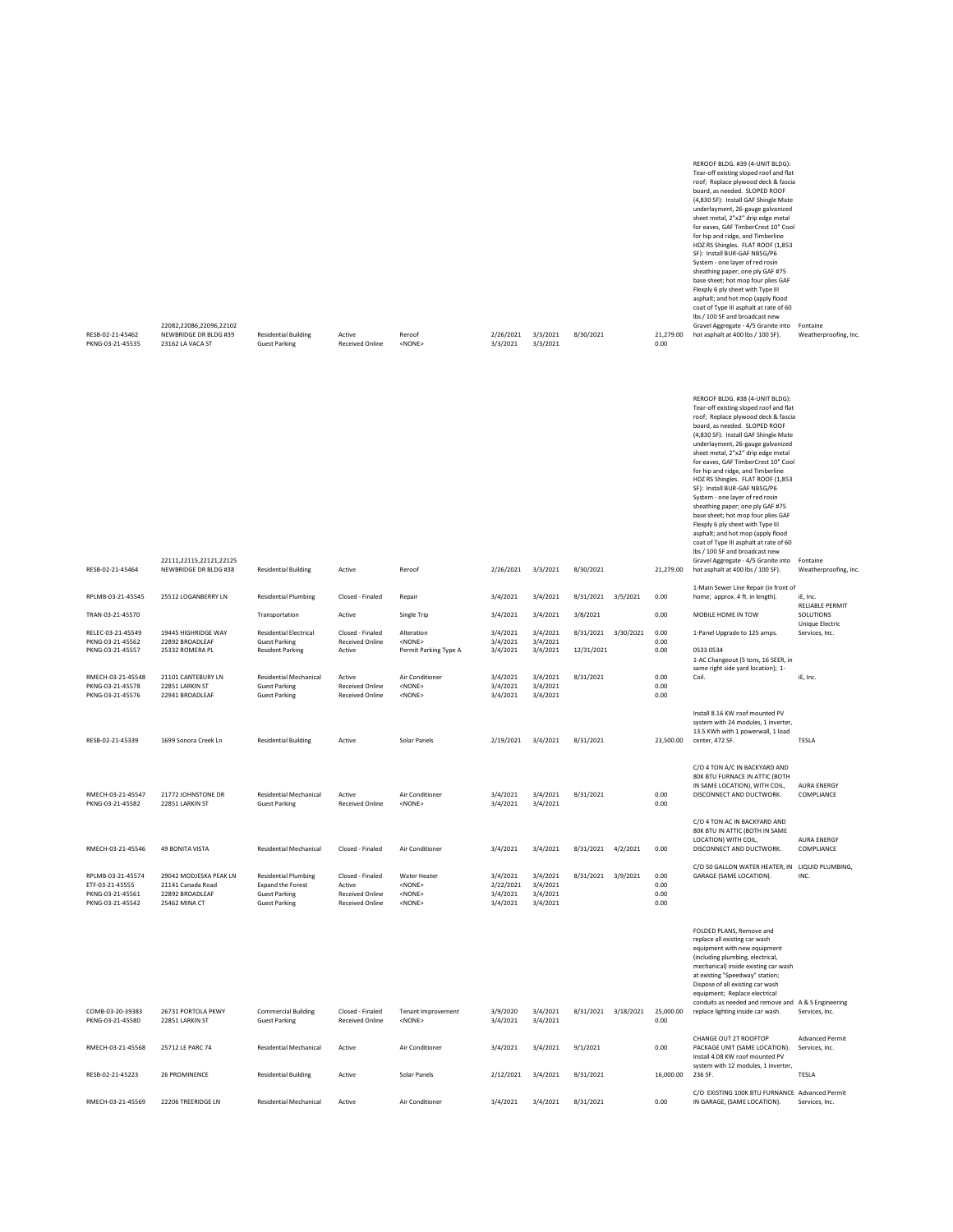| RESB-02-21-45464                                                             | 22111.22115.22121.22125<br>NEWBRIDGE DR BLDG #38                                | <b>Residential Building</b>                                                                             | Active                                                                         | Reroof                                                          | 2/26/2021                                     | 3/3/2021                                     | 8/30/2021               |           | 21,279.00                    | board, as needed. SLOPED ROOF<br>(4,830 SF): Install GAF Shingle Mate<br>underlayment, 26-gauge galvanized<br>sheet metal, 2"x2" drip edge metal<br>for eaves, GAF TimberCrest 10" Cool<br>for hip and ridge, and Timberline<br>HDZ RS Shingles. FLAT ROOF (1,853<br>SF): Install BUR-GAF NB5G/P6<br>System - one layer of red rosin<br>sheathing paper; one ply GAF #75<br>base sheet; hot mop four plies GAF<br>Flexply 6 ply sheet with Type III<br>asphalt; and hot mop (apply flood<br>coat of Type III asphalt at rate of 60<br>lbs / 100 SF and broadcast new<br>Gravel Aggregate - 4/5 Granite into<br>hot asphalt at 400 lbs / 100 SF). | Fontaine<br>Weatherproofing, Inc.        |
|------------------------------------------------------------------------------|---------------------------------------------------------------------------------|---------------------------------------------------------------------------------------------------------|--------------------------------------------------------------------------------|-----------------------------------------------------------------|-----------------------------------------------|----------------------------------------------|-------------------------|-----------|------------------------------|--------------------------------------------------------------------------------------------------------------------------------------------------------------------------------------------------------------------------------------------------------------------------------------------------------------------------------------------------------------------------------------------------------------------------------------------------------------------------------------------------------------------------------------------------------------------------------------------------------------------------------------------------|------------------------------------------|
| RPLMB-03-21-45545                                                            | 25512 LOGANBERRY LN                                                             | <b>Residential Plumbing</b>                                                                             | Closed - Finaled                                                               | Repair                                                          | 3/4/2021                                      | 3/4/2021                                     | 8/31/2021               | 3/5/2021  | 0.00                         | 1-Main Sewer Line Repair (in front of<br>home; approx. 4 ft. in length).                                                                                                                                                                                                                                                                                                                                                                                                                                                                                                                                                                         | iE, Inc.                                 |
| TRAN-03-21-45570                                                             |                                                                                 | Transportation                                                                                          | Active                                                                         | <b>Single Trip</b>                                              | 3/4/2021                                      | 3/4/2021                                     | 3/8/2021                |           | 0.00                         | MOBILE HOME IN TOW                                                                                                                                                                                                                                                                                                                                                                                                                                                                                                                                                                                                                               | <b>RELIABLE PERMIT</b><br>SOLUTIONS      |
| RELEC-03-21-45549<br>PKNG-03-21-45562<br>PKNG-03-21-45557                    | 19445 HIGHRIDGE WAY<br>22892 BROADLEAE<br>25332 ROMERA PL                       | <b>Residential Electrical</b><br><b>Guest Parking</b><br><b>Resident Parking</b>                        | Closed - Finaled<br><b>Received Online</b><br>Active                           | Alteration<br>$<$ NONF><br>Permit Parking Type A                | 3/4/2021<br>3/4/2021<br>3/4/2021              | 3/4/2021<br>3/4/2021<br>3/4/2021             | 8/31/2021<br>12/31/2021 | 3/30/2021 | 0.00<br>0.00<br>0.00         | 1-Panel Upgrade to 125 amps.<br>0533 0534<br>1-AC Changeout (5 tons, 16 SEER, in                                                                                                                                                                                                                                                                                                                                                                                                                                                                                                                                                                 | Unique Electric<br>Services, Inc.        |
| RMECH-03-21-45548<br>PKNG-03-21-45578<br>PKNG-03-21-45576                    | 21101 CANTEBURY LN<br>22851 LARKIN ST<br>22941 BROADLEAF                        | Residential Mechanical<br><b>Guest Parking</b><br><b>Guest Parking</b>                                  | Active<br><b>Received Online</b><br><b>Received Online</b>                     | Air Conditioner<br><none><br/><none></none></none>              | 3/4/2021<br>3/4/2021<br>3/4/2021              | 3/4/2021<br>3/4/2021<br>3/4/2021             | 8/31/2021               |           | 0.00<br>0.00<br>0.00         | same right side yard location); 1-<br>Coil.                                                                                                                                                                                                                                                                                                                                                                                                                                                                                                                                                                                                      | iE, Inc.                                 |
| RESB-02-21-45339                                                             | 1699 Sonora Creek Ln                                                            | <b>Residential Building</b>                                                                             | Active                                                                         | Solar Panels                                                    | 2/19/2021                                     | 3/4/2021                                     | 8/31/2021               |           | 23,500.00                    | Install 8.16 KW roof mounted PV<br>system with 24 modules, 1 inverter,<br>13.5 KWh with 1 powerwall, 1 load<br>center, 472 SF.                                                                                                                                                                                                                                                                                                                                                                                                                                                                                                                   | TESLA                                    |
| RMECH-03-21-45547<br>PKNG-03-21-45582                                        | 21772 JOHNSTONE DR<br>22851 LARKIN ST                                           | <b>Residential Mechanical</b><br><b>Guest Parking</b>                                                   | Active<br><b>Received Online</b>                                               | Air Conditioner<br><none></none>                                | 3/4/2021<br>3/4/2021                          | 3/4/2021<br>3/4/2021                         | 8/31/2021               |           | 0.00<br>0.00                 | C/O 4 TON A/C IN BACKYARD AND<br>80K BTU FURNACE IN ATTIC (BOTH<br>IN SAME LOCATION), WITH COIL,<br>DISCONNECT AND DUCTWORK.                                                                                                                                                                                                                                                                                                                                                                                                                                                                                                                     | <b>AURA ENERGY</b><br>COMPLIANCE         |
| RMECH-03-21-45546                                                            | 49 BONITA VISTA                                                                 | <b>Residential Mechanical</b>                                                                           | Closed - Finaled                                                               | Air Conditioner                                                 | 3/4/2021                                      | 3/4/2021                                     | 8/31/2021               | 4/2/2021  | 0.00                         | C/O 4 TON AC IN BACKYARD AND<br>80K BTU IN ATTIC (BOTH IN SAME<br>LOCATION) WITH COIL,<br>DISCONNECT AND DUCTWORK.                                                                                                                                                                                                                                                                                                                                                                                                                                                                                                                               | <b>AURA ENERGY</b><br>COMPLIANCE         |
| RPLMB-03-21-45574<br>ETF-03-21-45555<br>PKNG-03-21-45561<br>PKNG-03-21-45542 | 29042 MODJESKA PEAK LN<br>21141 Canada Road<br>22892 BROADLEAF<br>25462 MINA CT | <b>Residential Plumbing</b><br><b>Expand the Forest</b><br><b>Guest Parking</b><br><b>Guest Parking</b> | Closed - Finaled<br>Active<br><b>Received Online</b><br><b>Received Online</b> | Water Heater<br>$<$ NONE $>$<br><none><br/><none></none></none> | 3/4/2021<br>2/22/2021<br>3/4/2021<br>3/4/2021 | 3/4/2021<br>3/4/2021<br>3/4/2021<br>3/4/2021 | 8/31/2021 3/9/2021      |           | 0.00<br>0.00<br>0.00<br>0.00 | C/O 50 GALLON WATER HEATER, IN<br>GARAGE (SAME LOCATION).                                                                                                                                                                                                                                                                                                                                                                                                                                                                                                                                                                                        | LIQUID PLUMBING,<br>INC.                 |
|                                                                              |                                                                                 |                                                                                                         |                                                                                |                                                                 |                                               |                                              |                         |           |                              | FOLDED PLANS, Remove and<br>replace all existing car wash<br>equipment with new equipment<br>(including plumbing, electrical,<br>mechanical) inside existing car wash<br>at existing "Speedway" station;<br>Dispose of all existing car wash<br>equipment; Replace electrical<br>conduits as needed and remove and A& S Engineering                                                                                                                                                                                                                                                                                                              |                                          |
| COMB-03-20-39383<br>PKNG-03-21-45580                                         | 26731 PORTOLA PKWY<br>22851 LARKIN ST                                           | <b>Commercial Building</b><br><b>Guest Parking</b>                                                      | Closed - Finaled<br><b>Received Online</b>                                     | <b>Tenant Improvement</b><br><none></none>                      | 3/9/2020<br>3/4/2021                          | 3/4/2021<br>3/4/2021                         | 8/31/2021               | 3/18/2021 | 25,000.00<br>0.00            | replace lighting inside car wash.                                                                                                                                                                                                                                                                                                                                                                                                                                                                                                                                                                                                                | Services, Inc.                           |
| RMECH-03-21-45568                                                            | 25712 LE PARC 74                                                                | <b>Residential Mechanical</b>                                                                           | Active                                                                         | Air Conditioner                                                 | 3/4/2021                                      | 3/4/2021                                     | 9/1/2021                |           | 0.00                         | CHANGE OUT 2T ROOFTOP<br>PACKAGE UNIT (SAME LOCATION).<br>Install 4.08 KW roof mounted PV<br>system with 12 modules, 1 inverter,                                                                                                                                                                                                                                                                                                                                                                                                                                                                                                                 | <b>Advanced Permit</b><br>Services, Inc. |
| RESB-02-21-45223                                                             | 26 PROMINENCE                                                                   | <b>Residential Building</b>                                                                             | Active                                                                         | Solar Panels                                                    | 2/12/2021                                     | 3/4/2021                                     | 8/31/2021               |           | 16,000.00                    | 236 SF.                                                                                                                                                                                                                                                                                                                                                                                                                                                                                                                                                                                                                                          | TESLA                                    |
| RMECH-03-21-45569                                                            | 22206 TREERIDGE LN                                                              | <b>Residential Mechanical</b>                                                                           | Active                                                                         | Air Conditioner                                                 | 3/4/2021                                      | 3/4/2021                                     | 8/31/2021               |           | 0.00                         | C/O EXISTING 100K BTU FURNANCE Advanced Permit<br>IN GARAGE, (SAME LOCATION).                                                                                                                                                                                                                                                                                                                                                                                                                                                                                                                                                                    | Services, Inc.                           |

|                  |                         |                             |                        |              |           |          |           |           | REROOF BLDG. #39 (4-UNIT BLDG):              |                       |
|------------------|-------------------------|-----------------------------|------------------------|--------------|-----------|----------|-----------|-----------|----------------------------------------------|-----------------------|
|                  |                         |                             |                        |              |           |          |           |           | Tear-off existing sloped roof and flat       |                       |
|                  |                         |                             |                        |              |           |          |           |           | roof; Replace plywood deck & fascia          |                       |
|                  |                         |                             |                        |              |           |          |           |           | board, as needed. SLOPED ROOF                |                       |
|                  |                         |                             |                        |              |           |          |           |           | (4,830 SF): Install GAF Shingle Mate         |                       |
|                  |                         |                             |                        |              |           |          |           |           | underlayment, 26-gauge galvanized            |                       |
|                  |                         |                             |                        |              |           |          |           |           | sheet metal, 2"x2" drip edge metal           |                       |
|                  |                         |                             |                        |              |           |          |           |           | for eaves. GAF TimberCrest 10" Cool          |                       |
|                  |                         |                             |                        |              |           |          |           |           | for hip and ridge, and Timberline            |                       |
|                  |                         |                             |                        |              |           |          |           |           | HDZ RS Shingles. FLAT ROOF (1,853            |                       |
|                  |                         |                             |                        |              |           |          |           |           | SF): Install BUR-GAF NB5G/P6                 |                       |
|                  |                         |                             |                        |              |           |          |           |           | System - one layer of red rosin              |                       |
|                  |                         |                             |                        |              |           |          |           |           | sheathing paper; one ply GAF #75             |                       |
|                  |                         |                             |                        |              |           |          |           |           | base sheet; hot mop four plies GAF           |                       |
|                  |                         |                             |                        |              |           |          |           |           | Flexply 6 ply sheet with Type III            |                       |
|                  |                         |                             |                        |              |           |          |           |           | asphalt; and hot mop (apply flood            |                       |
|                  |                         |                             |                        |              |           |          |           |           | coat of Type III asphalt at rate of 60       |                       |
|                  |                         |                             |                        |              |           |          |           |           | lbs / 100 SF and broadcast new               |                       |
|                  | 22082,22086,22096,22102 |                             |                        |              |           |          |           |           | Gravel Aggregate - 4/5 Granite into Fontaine |                       |
| RESB-02-21-45462 | NEWBRIDGE DR BLDG #39   | <b>Residential Building</b> | Active                 | Reroof       | 2/26/2021 | 3/3/2021 | 8/30/2021 | 21,279.00 | hot asphalt at 400 lbs / 100 SF).            | Weatherproofing, Inc. |
| PKNG-03-21-45535 | 23162 LA VACA ST        | <b>Guest Parking</b>        | <b>Received Online</b> | $<$ NONE $>$ | 3/3/2021  | 3/3/2021 |           | 0.00      |                                              |                       |
|                  |                         |                             |                        |              |           |          |           |           |                                              |                       |

REROOF BLDG. #38 (4-UNIT BLDG): Tear-off existing sloped roof and flat roof; Replace plywood deck & fascia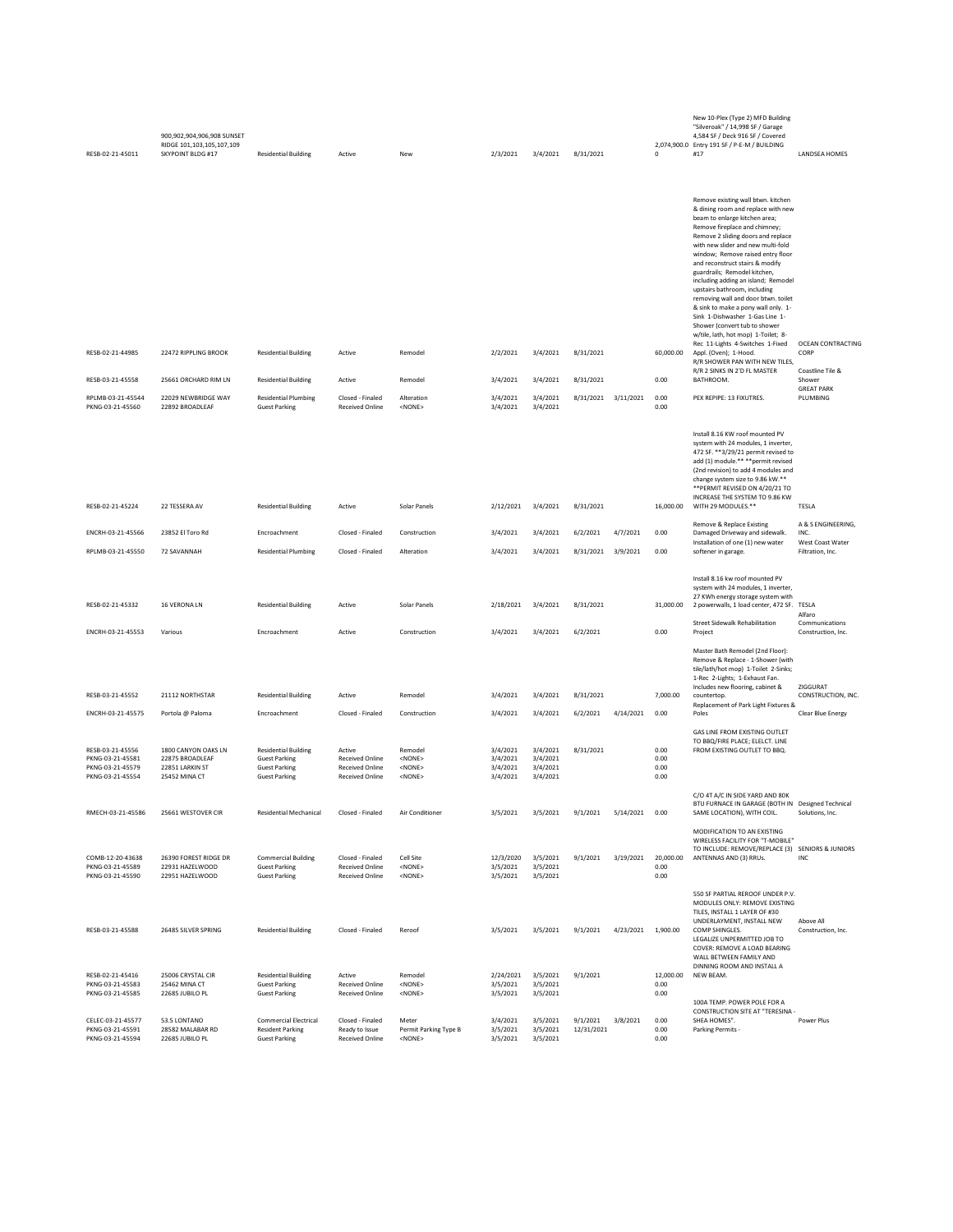| RESB-02-21-45011                                                             | 900,902,904,906,908 SUNSET<br>RIDGE 101,103,105,107,109<br>SKYPOINT BLDG #17 | <b>Residential Building</b>                                                                         | Active                                                                               | New                                                          | 2/3/2021                                     | 3/4/2021                                     | 8/31/2021              |           | $\mathbf 0$                  | New 10-Plex (Type 2) MFD Building<br>"Silveroak" / 14,998 SF / Garage<br>4,584 SF / Deck 916 SF / Covered<br>2,074,900.0 Entry 191 SF / P-E-M / BUILDING<br>#17                                                                                                                                                                                                                                                                                                                                                                                                                                                                                             | LANDSEA HOMES                                       |
|------------------------------------------------------------------------------|------------------------------------------------------------------------------|-----------------------------------------------------------------------------------------------------|--------------------------------------------------------------------------------------|--------------------------------------------------------------|----------------------------------------------|----------------------------------------------|------------------------|-----------|------------------------------|-------------------------------------------------------------------------------------------------------------------------------------------------------------------------------------------------------------------------------------------------------------------------------------------------------------------------------------------------------------------------------------------------------------------------------------------------------------------------------------------------------------------------------------------------------------------------------------------------------------------------------------------------------------|-----------------------------------------------------|
| RESB-02-21-44985                                                             | 22472 RIPPLING BROOK                                                         | <b>Residential Building</b>                                                                         | Active                                                                               | Remodel                                                      | 2/2/2021                                     | 3/4/2021                                     | 8/31/2021              |           | 60,000.00                    | Remove existing wall btwn. kitchen<br>& dining room and replace with new<br>beam to enlarge kitchen area;<br>Remove fireplace and chimney;<br>Remove 2 sliding doors and replace<br>with new slider and new multi-fold<br>window; Remove raised entry floor<br>and reconstruct stairs & modify<br>guardrails; Remodel kitchen,<br>including adding an island; Remodel<br>upstairs bathroom, including<br>removing wall and door btwn. toilet<br>& sink to make a pony wall only. 1-<br>Sink 1-Dishwasher 1-Gas Line 1-<br>Shower (convert tub to shower<br>w/tile, lath, hot mop) 1-Toilet; 8-<br>Rec 11-Lights 4-Switches 1-Fixed<br>Appl. (Oven); 1-Hood. | OCEAN CONTRACTING<br>CORP                           |
| RESB-03-21-45558                                                             | 25661 ORCHARD RIM LN                                                         | <b>Residential Building</b>                                                                         | Active                                                                               | Remodel                                                      | 3/4/2021                                     | 3/4/2021                                     | 8/31/2021              |           | 0.00                         | R/R SHOWER PAN WITH NEW TILES,<br>R/R 2 SINKS IN 2'D FL MASTER<br>BATHROOM.                                                                                                                                                                                                                                                                                                                                                                                                                                                                                                                                                                                 | Coastline Tile &<br>Shower                          |
| RPLMB-03-21-45544                                                            | 22029 NEWBRIDGE WAY                                                          | <b>Residential Plumbing</b>                                                                         | Closed - Finaled                                                                     | Alteration                                                   | 3/4/2021                                     | 3/4/2021                                     | 8/31/2021 3/11/2021    |           | 0.00                         | PEX REPIPE: 13 FIXUTRES.                                                                                                                                                                                                                                                                                                                                                                                                                                                                                                                                                                                                                                    | <b>GREAT PARK</b><br>PLUMBING                       |
| PKNG-03-21-45560                                                             | 22892 BROADLEAF                                                              | <b>Guest Parking</b>                                                                                | <b>Received Online</b>                                                               | <none></none>                                                | 3/4/2021                                     | 3/4/2021                                     |                        |           | 0.00                         |                                                                                                                                                                                                                                                                                                                                                                                                                                                                                                                                                                                                                                                             |                                                     |
| RESB-02-21-45224                                                             | 22 TESSERA AV                                                                | <b>Residential Building</b>                                                                         | Active                                                                               | Solar Panels                                                 | 2/12/2021                                    | 3/4/2021                                     | 8/31/2021              |           | 16,000.00                    | Install 8.16 KW roof mounted PV<br>system with 24 modules, 1 inverter,<br>472 SF. ** 3/29/21 permit revised to<br>add (1) module.** ** permit revised<br>(2nd revision) to add 4 modules and<br>change system size to 9.86 kW.**<br>** PERMIT REVISED ON 4/20/21 TO<br>INCREASE THE SYSTEM TO 9.86 KW<br>WITH 29 MODULES.**                                                                                                                                                                                                                                                                                                                                 | TESLA                                               |
| ENCRH-03-21-45566                                                            | 23852 El Toro Rd                                                             | Encroachment                                                                                        | Closed - Finaled                                                                     | Construction                                                 | 3/4/2021                                     | 3/4/2021                                     | 6/2/2021               | 4/7/2021  | 0.00                         | Remove & Replace Existing<br>Damaged Driveway and sidewalk.                                                                                                                                                                                                                                                                                                                                                                                                                                                                                                                                                                                                 | A & S ENGINEERING,<br>INC.                          |
| RPLMB-03-21-45550                                                            | 72 SAVANNAH                                                                  | <b>Residential Plumbing</b>                                                                         | Closed - Finaled                                                                     | Alteration                                                   | 3/4/2021                                     | 3/4/2021                                     | 8/31/2021              | 3/9/2021  | 0.00                         | Installation of one (1) new water<br>softener in garage.                                                                                                                                                                                                                                                                                                                                                                                                                                                                                                                                                                                                    | West Coast Water<br>Filtration, Inc.                |
| RESB-02-21-45332                                                             | 16 VERONA LN                                                                 | <b>Residential Building</b>                                                                         | Active                                                                               | Solar Panels                                                 | 2/18/2021                                    | 3/4/2021                                     | 8/31/2021              |           | 31,000.00                    | Install 8.16 kw roof mounted PV<br>system with 24 modules, 1 inverter,<br>27 KWh energy storage system with<br>2 powerwalls, 1 load center, 472 SF. TESLA<br>Street Sidewalk Rehabilitation                                                                                                                                                                                                                                                                                                                                                                                                                                                                 | Alfaro<br>Communications                            |
| ENCRH-03-21-45553                                                            | Various                                                                      | Encroachment                                                                                        | Active                                                                               | Construction                                                 | 3/4/2021                                     | 3/4/2021                                     | 6/2/2021               |           | 0.00                         | Project                                                                                                                                                                                                                                                                                                                                                                                                                                                                                                                                                                                                                                                     | Construction, Inc.                                  |
| RESB-03-21-45552<br>ENCRH-03-21-45575                                        | 21112 NORTHSTAR<br>Portola @ Paloma                                          | <b>Residential Building</b><br>Encroachment                                                         | Active<br>Closed - Finaled                                                           | Remodel<br>Construction                                      | 3/4/2021<br>3/4/2021                         | 3/4/2021<br>3/4/2021                         | 8/31/2021<br>6/2/2021  | 4/14/2021 | 7,000.00<br>0.00             | Master Bath Remodel (2nd Floor):<br>Remove & Replace - 1-Shower (with<br>tile/lath/hot mop) 1-Toilet 2-Sinks;<br>1-Rec 2-Lights; 1-Exhaust Fan.<br>Includes new flooring, cabinet &<br>countertop.<br>Replacement of Park Light Fixtures &<br>Poles                                                                                                                                                                                                                                                                                                                                                                                                         | ZIGGURAT<br>CONSTRUCTION, INC.<br>Clear Blue Energy |
| RESB-03-21-45556<br>PKNG-03-21-45581<br>PKNG-03-21-45579<br>PKNG-03-21-45554 | 1800 CANYON OAKS LN<br>22875 BROADLEAF<br>22851 LARKIN ST<br>25452 MINA CT   | <b>Residential Building</b><br><b>Guest Parking</b><br><b>Guest Parking</b><br><b>Guest Parking</b> | Active<br><b>Received Online</b><br><b>Received Online</b><br><b>Received Online</b> | Remodel<br><none><br/><none><br/><none></none></none></none> | 3/4/2021<br>3/4/2021<br>3/4/2021<br>3/4/2021 | 3/4/2021<br>3/4/2021<br>3/4/2021<br>3/4/2021 | 8/31/2021              |           | 0.00<br>0.00<br>0.00<br>0.00 | <b>GAS LINE FROM EXISTING OUTLET</b><br>TO BBQ/FIRE PLACE; ELELCT. LINE<br>FROM EXISTING OUTLET TO BBQ.                                                                                                                                                                                                                                                                                                                                                                                                                                                                                                                                                     |                                                     |
| RMECH-03-21-45586                                                            | 25661 WESTOVER CIR                                                           | Residential Mechanical                                                                              | Closed - Finaled                                                                     | Air Conditioner                                              | 3/5/2021                                     | 3/5/2021                                     | 9/1/2021               | 5/14/2021 | 0.00                         | C/O 4T A/C IN SIDE YARD AND 80K<br>BTU FURNACE IN GARAGE (BOTH IN Designed Technical<br>SAME LOCATION), WITH COIL.                                                                                                                                                                                                                                                                                                                                                                                                                                                                                                                                          | Solutions, Inc.                                     |
| COMB-12-20-43638<br>PKNG-03-21-45589<br>PKNG-03-21-45590                     | 26390 FOREST RIDGE DR<br>22931 HAZELWOOD<br>22951 HAZELWOOD                  | <b>Commercial Building</b><br><b>Guest Parking</b><br><b>Guest Parking</b>                          | Closed - Finaled<br><b>Received Online</b><br><b>Received Online</b>                 | Cell Site<br><none><br/><math>&lt;</math>NONE&gt;</none>     | 12/3/2020<br>3/5/2021<br>3/5/2021            | 3/5/2021<br>3/5/2021<br>3/5/2021             | 9/1/2021               | 3/19/2021 | 20,000.00<br>0.00<br>0.00    | MODIFICATION TO AN EXISTING<br>WIRELESS FACILITY FOR "T-MOBILE"<br>TO INCLUDE: REMOVE/REPLACE (3) SENIORS & JUNIORS<br>ANTENNAS AND (3) RRUs.                                                                                                                                                                                                                                                                                                                                                                                                                                                                                                               | INC                                                 |
| RESB-03-21-45588<br>RESB-02-21-45416                                         | 26485 SILVER SPRING<br>25006 CRYSTAL CIR                                     | <b>Residential Building</b><br><b>Residential Building</b>                                          | Closed - Finaled<br>Active                                                           | Reroof<br>Remodel                                            | 3/5/2021<br>2/24/2021                        | 3/5/2021<br>3/5/2021                         | 9/1/2021<br>9/1/2021   | 4/23/2021 | 1,900.00<br>12,000.00        | 550 SF PARTIAL REROOF UNDER P.V.<br>MODULES ONLY: REMOVE EXISTING<br>TILES, INSTALL 1 LAYER OF #30<br>UNDERLAYMENT, INSTALL NEW<br>COMP SHINGLES.<br>LEGALIZE UNPERMITTED JOB TO<br>COVER: REMOVE A LOAD BEARING<br>WALL BETWEEN FAMILY AND<br>DINNING ROOM AND INSTALL A<br>NEW BEAM.                                                                                                                                                                                                                                                                                                                                                                      | Above All<br>Construction, Inc.                     |
| PKNG-03-21-45583<br>PKNG-03-21-45585                                         | 25462 MINA CT<br>22685 JUBILO PL                                             | <b>Guest Parking</b><br><b>Guest Parking</b>                                                        | <b>Received Online</b><br><b>Received Online</b>                                     | <nonf><br/><none></none></nonf>                              | 3/5/2021<br>3/5/2021                         | 3/5/2021<br>3/5/2021                         |                        |           | 0.00<br>0.00                 | 100A TEMP. POWER POLE FOR A                                                                                                                                                                                                                                                                                                                                                                                                                                                                                                                                                                                                                                 |                                                     |
| CELEC-03-21-45577<br>PKNG-03-21-45591<br>PKNG-03-21-45594                    | 53.5 LONTANO<br>28582 MALABAR RD<br>22685 JUBILO PL                          | <b>Commercial Electrical</b><br><b>Resident Parking</b><br><b>Guest Parking</b>                     | Closed - Finaled<br>Ready to Issue<br>Received Online                                | Meter<br>Permit Parking Type B<br><none></none>              | 3/4/2021<br>3/5/2021<br>3/5/2021             | 3/5/2021<br>3/5/2021<br>3/5/2021             | 9/1/2021<br>12/31/2021 | 3/8/2021  | 0.00<br>0.00<br>0.00         | <b>CONSTRUCTION SITE AT "TERESINA -</b><br>SHEA HOMES".<br>Parking Permits -                                                                                                                                                                                                                                                                                                                                                                                                                                                                                                                                                                                | Power Plus                                          |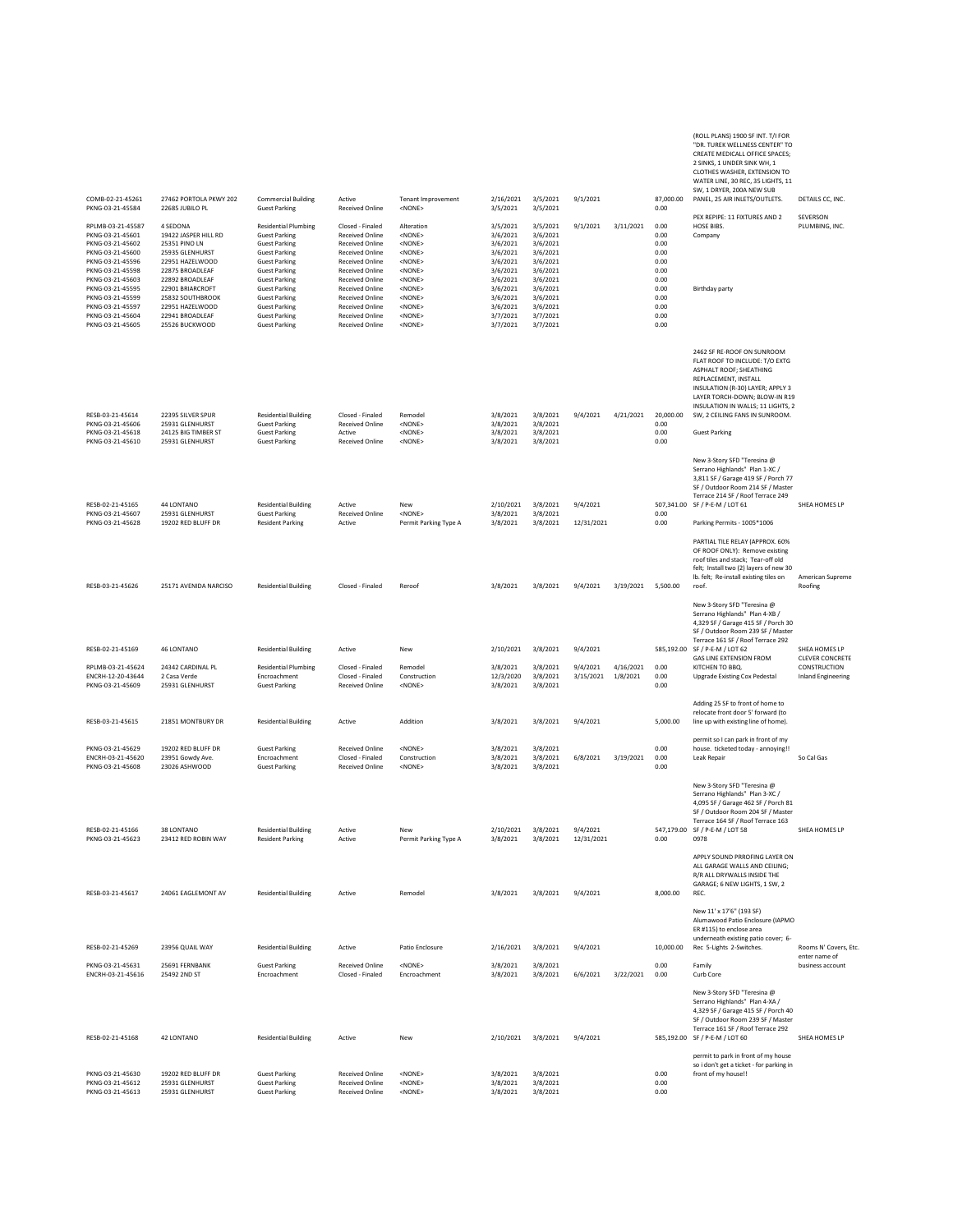COMB-02-21-45261 27462 PORTOLA PKWY 202 Commercial Building Active Tenant Improvement 2/16/2021 3/5/2021 9/1/2021 87,000.00<br>PKNG-03-21-45584 22685 JUBILO PL Guest Parking Received Online <NONE> 3/5/2021 3/5/2021 9/5/2021 8 CREATE MEDICALL OFFICE SPACES; 2 SINKS, 1 UNDER SINK WH, 1 CLOTHES WASHER, EXTENSION TO WATER LINE, 30 REC, 35 LIGHTS, 11 SW, 1 DRYER, 200A NEW SUB PANEL, 25 AIR INLETS/OUTLETS. DETAILS CC, INC. PKNG-03-21-45584 22685 JUBILO PL Guest Parking Received Online <NONE> 3/5/2021 3/5/2021 0.00 RPLMB-03-21-45587 4 SEDONA Residential Plumbing Closed - Finaled Alteration 3/5/2021 3/5/2021 9/1/2021 3/11/2021 0.00<br>PKNG-03-21-45601 19422 JASPER HILL RD Guest Parking Received Online <NONE> 3/6/2021 3/6/2021 PEX REPIPE: 11 FIXTURES AND 2 HOSE BIBS<br>Company **SEVERSON** PLUMBING, INC. PKNG-03-21-45601 19422 JASPER HILL RD Guest Parking Received Online <NONE> 3/6/2021 3/6/2021 19422 JASPER HILL RD Gompany PKNG-03-21-45602 25351 PINO LN Guest Parking Received Online <NONE> 3/6/2021 3/6/2021 0.00 PKNG-03-21-45600 25935 GLENHURST Guest Parking Received Online <NONE> 3/6/2021 3/6/2021 0.00 PKNG-03-21-45596 22951 HAZELWOOD Guest Parking Received Online <NONE> 3/6/2021 3/6/2021 0.00 PKNG-03-21-45598 22875 BROADLEAF Guest Parking Received Online <NONE> 3/6/2021 3/6/2021 0.00 PKNG-03-21-45603 22892 BROADLEAF Guest Parking Received Online <NONE> 3/6/2021 3/6/2021 0.00 PKNG-03-21-45595 22901 BRIARCROFT Guest Parking Received Online <NONE> 3/6/2021 3/6/2021 0.00 Birthday party PKNG-03-21-45599 25832 SOUTHBROOK Guest Parking Received Online <NONE> 3/6/2021 3/6/2021 0.00 PKNG-03-21-45597 22951 HAZELWOOD Guest Parking Received Online <NONE> 3/6/2021 3/6/2021 0.00 PKNG-03-21-45604 22941 BROADLEAF Guest Parking Received Online <NONE> 3/7/2021 3/7/2021 0.00 PKNG-03-21-45605 25526 BUCKWOOD Guest Parking Received Online <NONE> 3/7/2021 3/7/2021 0.00 RESB-03-21-45614 22395 SILVER SPUR Residential Building Closed - Finaled Remodel 3/8/2021 3/8/2021 9/4/2021 4/21/2021 20,000.00 2462 SF RE-ROOF ON SUNROOM FLAT ROOF TO INCLUDE: T/O EXTG ASPHALT ROOF; SHEATHING REPLACEMENT, INSTALL INSULATION (R-30) LAYER; APPLY 3 LAYER TORCH-DOWN; BLOW-IN R19 INSULATION IN WALLS; 11 LIGHTS, 2 SW, 2 CEILING FANS IN SUNROOM. PKNG-03-21-45606 25931 GLENHURST Guest Parking Received Online <NONE> 3/8/2021 3/8/2021 0.00 PKNG-03-21-45618 24125 BIG TIMBER ST Guest Parking Active <NONE> 3/8/2021 3/8/2021 0.00 Guest Parking PKNG-03-21-45610 25931 GLENHURST Guest Parking Received Online <NONE> 3/8/2021 3/8/2021 0.00 RESB-02-21-45165 44 LONTANO Residential Building Active New 2/10/2021 3/8/2021 9/4/2021 507,341.00 New 3-Story SFD "Teresina @ Serrano Highlands" Plan 1-XC / 3,811 SF / Garage 419 SF / Porch 77 SF / Outdoor Room 214 SF / Master Terrace 214 SF / Roof Terrace 249 SF / P-E-M / LOT 61 SHEA HOMES LP PKNG-03-21-45607 25931 GLENHURST Guest Parking Received Online <NONE> 3/8/2021 3/8/2021 0.00 PKNG-03-21-45607 25931 GLENHURST Guest Parking Received Online <NONE> 3/8/2021 3/8/2021 12/31/2021 0.00 Parking Permits - 1005\*1006<br>PKNG-03-21-45628 19202 RED BLUFF DR Resident Parking Active Permit Parking Type A 3/8/2021 RESB-03-21-45626 25171 AVENIDA NARCISO Residential Building Closed - Finaled Reroof 3/8/2021 3/8/2021 9/4/2021 3/19/2021 5,500.00 PARTIAL TILE RELAY (APPROX. 60% OF ROOF ONLY): Remove existing roof tiles and stack; Tear-off old felt; Install two (2) layers of new 30 lb. felt; Re-install existing tiles on roof. American Supreme Roofing RESB-02-21-45169 46 LONTANO Residential Building Active New 2/10/2021 3/8/2021 9/4/2021 585,192.00 New 3-Story SFD "Teresina @ Serrano Highlands" Plan 4-XB / 4,329 SF / Garage 415 SF / Porch 30 SF / Outdoor Room 239 SF / Master Terrace 161 SF / Roof Terrace 292<br>SF / P-E-M / LOT 62 SHEA HOMES LF RPLMB-03-21-45624 24342 CARDINAL PL Residential Plumbing Closed - Finaled Remodel 3/8/2021 3/8/2021 9/4/2021 4/16/2021 0.00 GAS LINE EXTENSION FROM KITCHEN TO BBQ. CLEVER CONCRETE CONSTRUCTION<br>Inland Engineering ENCRH-12-20-43644 2 Casa Verde Encroachment Closed - Finaled Construction 12/3/2020 3/8/2021 3/15/2021 9/8/2021 0.00 Nicitiative Deprode Existing Cox Pedestal<br>PKNG-03-21-45609 25931 GLENHURST Guest Parking Received Online PKNG-03-21-45609 25931 GLENHURST Guest Parking Received Online <NONE> 3/8/2021 3/8/2021 0.00 RESB-03-21-45615 21851 MONTBURY DR Residential Building Active Addition 3/8/2021 3/8/2021 9/4/2021 5,000.00 Adding 25 SF to front of home to relocate front door 5' forward (to line up with existing line of home). PKNG-03-21-45629 19202 RED BLUFF DR Guest Parking Received Online <NONE> 3/8/2021 3/8/2021 3/8/2021 0.00<br>ENCRH-03-21-45620 23951 Gowdy Ave. Encroachment Closed - Finaled Construction 3/8/2021 3/8/2021 3/8/2021 3/9<br>PKNG-03permit so I can park in front of my house. ticketed today - annoying!!<br>Leak Repair ENCRH-03-21-45620 23951 Gowdy Ave. Encroachment Closed - Finaled Construction 3/8/2021 3/8/2021 6/8/2021 3/19/2021 0.00 Leak Repair So Cal Gas PKNG-03-21-45608 23026 ASHWOOD Guest Parking Received Online <NONE> 3/8/2021 3/8/2021 0.00 RESB-02-21-45166 38 LONTANO Residential Building Active New 2/10/2021 3/8/2021 9/4/2021 547,179.00 New 3-Story SFD "Teresina @ Serrano Highlands" Plan 3-XC / 4,095 SF / Garage 462 SF / Porch 81 SF / Outdoor Room 204 SF / Master Terrace 164 SF / Roof Terrace 163 SF / P-E-M / LOT 58 SHEA HOMES LP PKNG-03-21-45623 23412 RED ROBIN WAY Resident Parking Active Permit Parking Type A 3/8/2021 3/8/2021 12/31/2021 0.00 0978 RESB-03-21-45617 24061 EAGLEMONT AV Residential Building Active Remodel 3/8/2021 3/8/2021 9/4/2021 8,000.00 APPLY SOUND PRROFING LAYER ON ALL GARAGE WALLS AND CEILING; R/R ALL DRYWALLS INSIDE THE GARAGE; 6 NEW LIGHTS, 1 SW, 2 REC. RESB-02-21-45269 23956 QUAIL WAY Residential Building Active Patio Enclosure 2/16/2021 3/8/2021 9/4/2021 10,000.00 New 11' x 17'6" (193 SF) Alumawood Patio Enclosure (IAPMO ER #115) to enclose area underneath existing patio cover; 6- Rec 5-Lights 2-Switches. Rooms N' Covers, Etc. PKNG-03-21-45631 25691 FERNBANK Guest Parking Received Online <NONE> 3/8/2021 3/8/2021 0.00 Family enter name of business account ENCRH-03-21-45616 25492 2ND ST Encroachment Closed - Finaled Encroachment 3/8/2021 3/8/2021 6/6/2021 3/22/2021 0.00 Curb Core RESB-02-21-45168 42 LONTANO Residential Building Active New 2/10/2021 3/8/2021 9/4/2021 585,192.00 New 3-Story SFD "Teresina @ Serrano Highlands" Plan 4-XA / 4,329 SF / Garage 415 SF / Porch 40 SF / Outdoor Room 239 SF / Master Terrace 161 SF / Roof Terrace 292 S85.192.00 SE / P-E-M / LOT 60 SHEA HOMES LP PKNG-03-21-45630 19202 RED BLUFF DR Guest Parking Received Online <NONE> 3/8/2021 3/8/2021 0.00 permit to park in front of my house so i don't get a ticket - for parking in front of my house!!

PKNG-03-21-45612 25931 GLENHURST Guest Parking Received Online <NONE> 3/8/2021 3/8/2021 0.00 PKNG-03-21-45613 25931 GLENHURST Guest Parking Received Online <NONE> 3/8/2021 3/8/2021 0.00 (ROLL PLANS) 1900 SF INT. T/I FOR "DR. TUREK WELLNESS CENTER" TO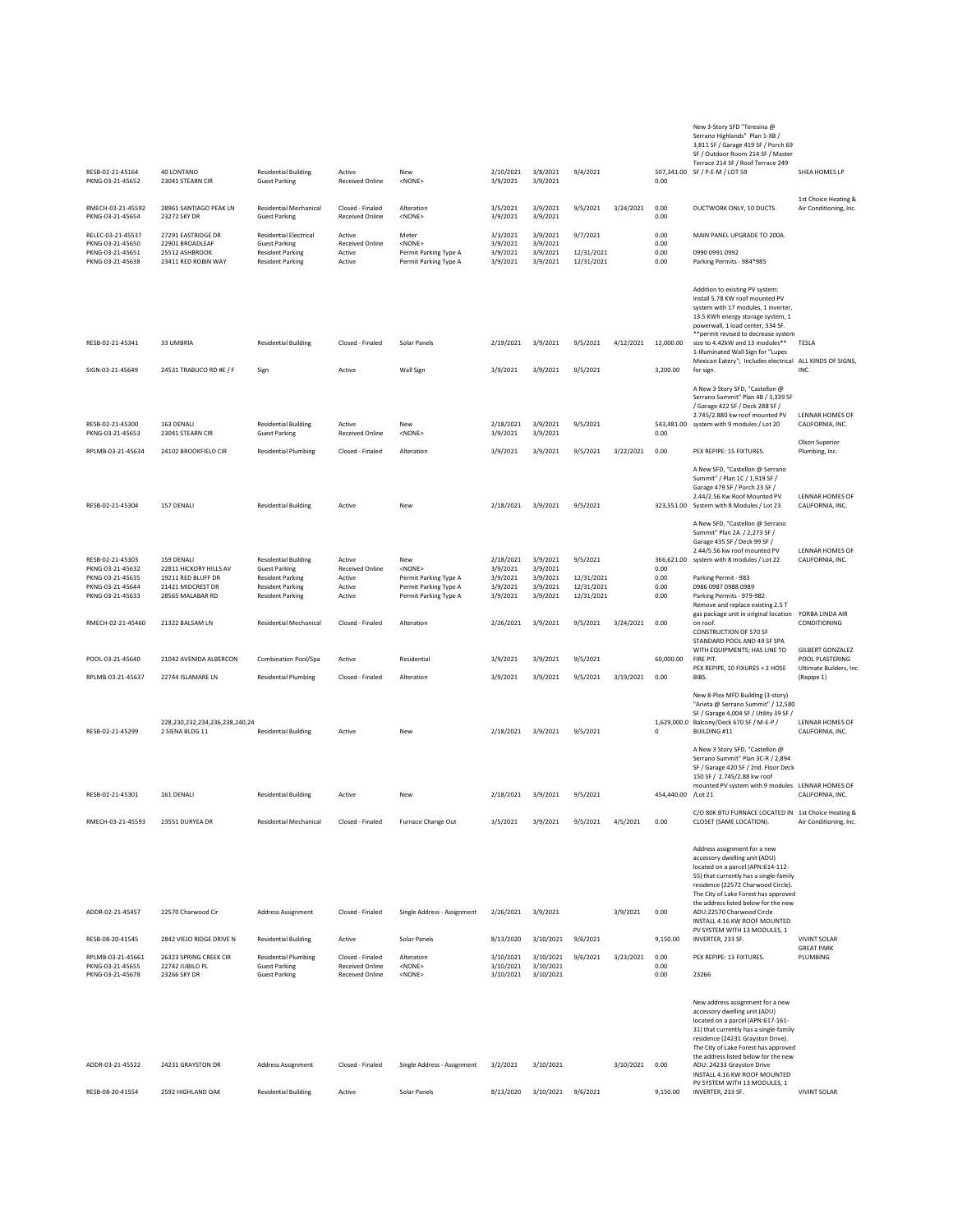## RESB-02-21-45164 40 LONTANO Residential Building Active New 2/10/2021 3/8/2021 9/4/2021 507,341.00 Serrano Highlands" Plan 1-XB / 3,811 SF / Garage 419 SF / Porch 69 SF / Outdoor Room 214 SF / Master ace 214 SF / Roof Terrace 249 SOZ.341.00 SE / P-E-M / LOT 59 SHEA HOMES LP PKNG-03-21-45652 23041 STEARN CIR Guest Parking Received Online <NONE> 3/9/2021 3/9/2021 0.00 RMECH-03-21-45592 28961 SANTIAGO PEAK LN Residential Mechanical Closed - Finaled Alteration 3/5/2021 3/9/2021 3/9/2021 3/24/2021 0.00 DUCTWORK ONLY, 10 DUCTS 1st Choice Heating & Air Conditioning, Inc. PKNG-03-21-45654 23272 SKY DR Guest Parking Received Online <NONE> 3/9/2021 3/9/2021 0.00 RELEC-03-21-45537 27291 EASTRIDGE DR Residential Electrical Active Meter Meter 3/3/2021 3/9/2021 9/7/2021 0.00 MAIN PANEL UPGRADE TO 200A<br>PKNG-03-21-45650 22901 BROADLEAF Guest Parking Received Online <NONE> 3/9/2021 3/9/2 PKNG-03-21-45650 22901 BROADLEAF Guest Parking Received Online <NONE> 3/9/2021 3/9/2021 0.00 PKNG-03-21-45651 25512 ASHBROOK Resident Parking Active Permit Parking Type A 3/9/2021 3/9/2021 12/31/2021 0.00 0990 0991 0992 PKNG-03-21-45638 23314 ACHOROUN NAY Resident Parking Active Permit Parking Type A 3/9/2021 3/9/2021 12/31/2021 12031/2021 0.000 Parking Permits - 984\*985<br>PKNG-03-21-45638 23411 RED ROBIN WAY Resident Parking Active Permit RESB-02-21-45341 33 UMBRIA Residential Building Closed - Finaled Solar Panels 2/19/2021 3/9/2021 9/5/2021 4/12/2021 12,000.00 Addition to existing PV system:<br>Install 5.78 KW roof mounted PV Install 5.78 KW roof mounted PV system with 17 modules, 1 inverter, 13.5 KWh energy storage system, 1 powerwall, 1 load center, 334 SF. \*\*permit revised to decrease system size to 4.42kW and 13 modules\*\* TESLA SIGN-03-21-45649 24531 TRABUCO RD #E / F Sign Active Wall Sign 3/9/2021 3/9/2021 9/5/2021 3.200.00 1-Illuminated Wall Sign for "Lupes Mexican Eatery"; Includes electrical for sign. ALL KINDS OF SIGNS, INC. RESB-02-21-45300 163 DENALI Residential Building Active New 2/18/2021 3/9/2021 9/5/2021 543,481.00 A New 3 Story SFD, "Castellon @ Serrano Summit" Plan 4B / 3,339 SF / Garage 422 SF / Deck 288 SF / 2.745/2.880 kw roof mounted PV system with 9 modules / Lot 20 LENNAR HOMES OF CALIFORNIA, INC. PKNG-03-21-45653 23041 STEARN CIR Guest Parking Received Online <NONE> 3/9/2021 3/9/2021 0.00 RPLMB-03-21-45634 24102 BROOKFIELD CIR Residential Plumbing Closed - Finaled Alteration 3/9/2021 3/9/2021 3/3/3021 3/22/2021 0.00 PEX REPIPE: 15 FIXTURES. Olson Superior Plumbing, Inc. RESB-02-21-45304 157 DENALI Residential Building Active New 2/18/2021 3/9/2021 9/5/2021 323,551.00 A New SFD, "Castellon @ Serrano Summit" / Plan 1C / 1,919 SF / Garage 479 SF / Porch 23 SF / 2.44/2.56 Kw Roof Mounted PV System with 8 Modules / Lot 23 LENNAR HOMES OF CALIFORNIA, INC. RESB-02-21-45303 159 DENALI Residential Building Active New 2/18/2021 3/9/2021 9/5/2021 366,621.00 A New SFD, "Castellon @ Serrano Summit" Plan 2A / 2,273 SF / Garage 435 SF / Deck 99 SF / 2.44/5.56 kw roof mounted PV system with 8 modules / Lot 22 LENNAR HOMES OF CALIFORNIA, INC. PKNG-03-21-45632 22811 HICKORY HILLS AV Guest Parking Received Online <NONE> 3/9/2021 3/9/2021 19/9/2021 0.00<br>PKNG-03-21-45635 19211 RED BLUFF DR Resident Parking Active Permit Parking Type A 3/9/2021 3/9/2021 12/31/2021 PKNG-03-21-45635 19211 RED BLUFF DR Resident Parking Active Permit Parking Type A 3/9/2021 3/9/2021 12/31/2021 0.00 Parking Permit - 983 PKNG-03-21-45644 21421 MIDCREST DR Resident Parking Active Permit Parking Type A 3/9/2021 3/9/2021 12/31/2021 0.00 0986 0987 0988 0989 PKNG-03-21-45633 28565 MALABAR RD Resident Parking Active Permit Parking Type A 3/9/2021 3/9/2021 12/31/2021 0.00 Parking Permits - 979-982<br>Remove and replace existing 2.5 T RMECH-02-21-45460 21322 BALSAM LN Residential Mechanical Closed - Finaled Alteration 2/26/2021 3/9/2021 9/5/2021 3/24/2021 0.00 gas package unit in original location<br>on roof on roof. CONSTRUCTION OF 570 SF STANDARD POOL AND 49 SF SPA WITH EQUIPMENTS; HAS LINE TO YORBA LINDA AIR CONDITIONING POOL-03-21-45640 21042 AVENIDA ALBERCON Combination Pool/Spa Active Residential 3/9/2021 3/9/2021 9/5/2021 60,000.00 FIRE PIT. GILBERT GONZALEZ POOL PLASTERING RPLMB-03-21-45637 22744 ISLAMARE LN Residential Plumbing Closed - Finaled Alteration 3/9/2021 3/9/2021 9/5/2021 3/19/2021 0.00 PEX REPIPE, 10 FIXURES + 2 HOSE  $\frac{1}{2}$ Ultimate Builders, Inc. (Repipe 1) RESB-02-21-45299 228,230,232,234,236,238,240,24 2 SIENA BLDG 11 Residential Building Active New 2/18/2021 3/9/2021 9/5/2021 1,629,000.0  $\mathfrak c$ New 8-Plex MFD Building (3-story) "Arieta @ Serrano Summit" / 12,580 SF / Garage 4,004 SF / Utility 39 SF / Balcony/Deck 670 SF / M-E-P / BUILDING #11 LENNAR HOMES OF CALIFORNIA, INC. RESB-02-21-45301 161 DENALI Residential Building Active New 2/18/2021 3/9/2021 9/5/2021 454,440.00 A New 3 Story SFD, "Castellon @ Serrano Summit" Plan 3C-R / 2,894 SF / Garage 420 SF / 2nd. Floor Deck 150 SF / 2.745/2.88 kw roof mounted PV system with 9 modules LENNAR HOMES OF 454.440.00 /Lot 21 CALIFORNIA, INC. RMECH-03-21-45593 23551 DURYEA DR Residential Mechanical Closed - Finaled Furnace Change Out 3/5/2021 3/9/2021 9/5/2021 4/5/2021 0.00 C/O 80K BTU FURNACE LOCATED IN 1st Choice Heating & CLOSET (SAME LOCATION). Air Conditioning, Inc. ADDR-02-21-45457 22570 Charwood Cir Address Assignment Closed - Finaled Single Address - Assignment 2/26/2021 3/9/2021 3/9/2021 0.00 Address assignment for a new accessory dwelling unit (ADU) located on a parcel (APN:614-112- 55) that currently has a single-family residence (22572 Charwood Circle). The City of Lake Forest has appro the address listed below for the new ADU:22570 Charwood Circle INSTALL 4.16 KW ROOF MOUNTED RESB-08-20-41545 2842 VIEJO RIDGE DRIVE N Residential Building Active Solar Panels 8/13/2020 3/10/2021 9/6/2021 9,150.00 PV SYSTEM WITH 13 MODULES, 1 INVERTER, 233 SF. VIVINT SOLAR RPLMB-03-21-45661 26323 SPRING CREEK CIR Residential Plumbing Closed - Finaled Alteration 3/10/2021 3/10/2021 9/6/2021 3/23/2021 0.00 PEX REPIPE: 13 FIXTURES. GREAT PARK PLUMBING PKNG-03-21-45655 22742 JUBILO PL Guest Parking Received Online <NONE> 3/10/2021 3/10/2021 0.00 PKNG-03-21-45678 23266 SKY DR Guest Parking Received Online <NONE> 3/10/2021 3/10/2021 0.00 23266 New address assignment for a new accessory dwelling unit (ADU) located on a parcel (APN:617-161- 31) that currently has a single-family residence (24231 Grayston Drive). The City of Lake Forest has approved the address listed below for the new

ADDR-03-21-45522 24231 GRAYSTON DR Address Assignment Closed - Finaled Single Address - Assignment 3/2/2021 3/10/2021 3/10/2021 0.00

RESB-08-20-41554 2592 HIGHLAND OAK Residential Building Active Solar Panels 8/13/2020 3/10/2021 9/6/2021 9,150.00

New 3-Story SFD "Teresina @

ADU: 24233 Grayston Drive

INSTALL 4.16 KW ROOF MOUNTED PV SYSTEM WITH 13 MODULES, 1 INVERTER, 233 SF. VIVINT SOLAR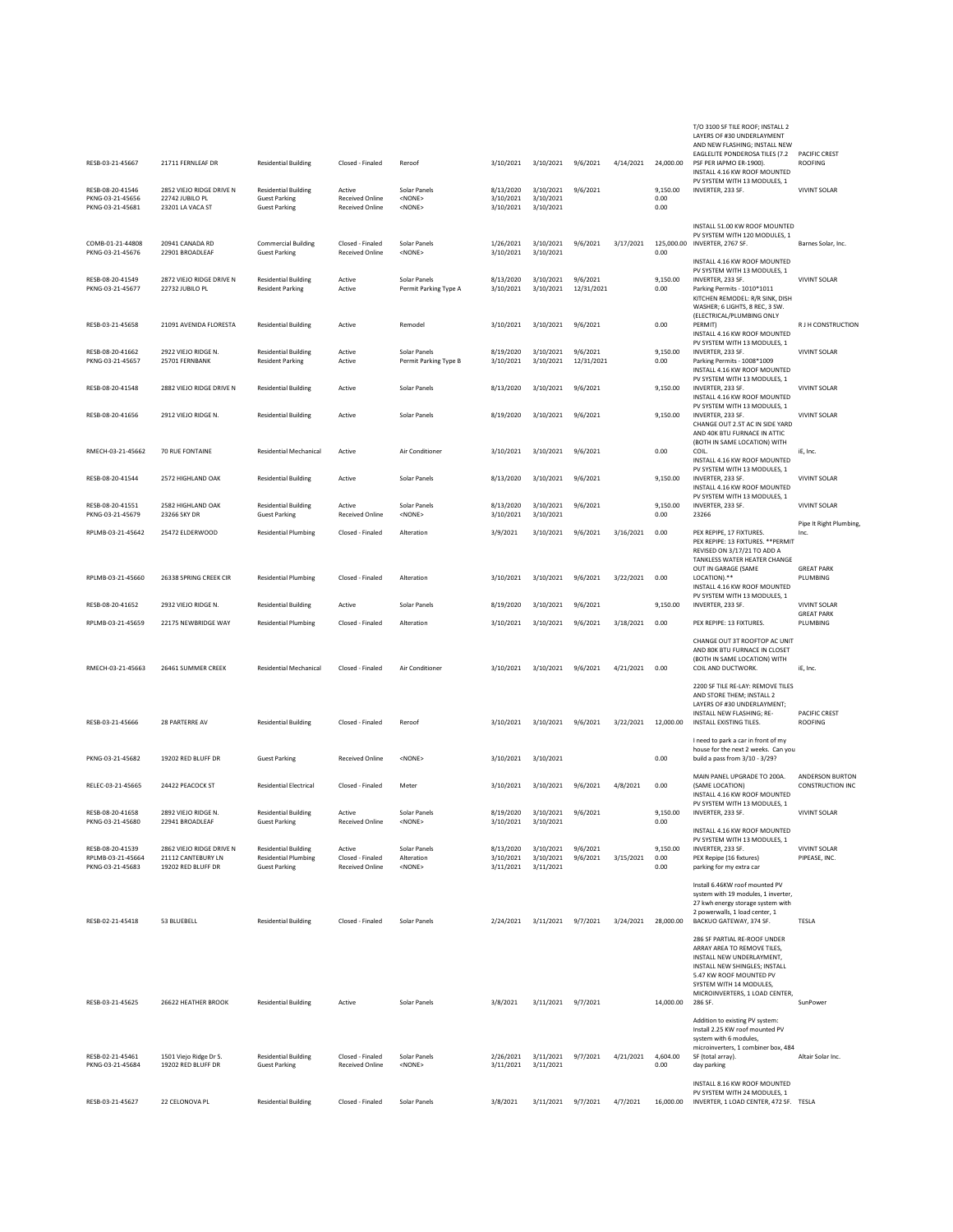| RESB-03-21-45667<br>RESB-08-20-41546<br>PKNG-03-21-45656<br>PKNG-03-21-45681 | 21711 FERNLEAF DR<br>2852 VIEJO RIDGE DRIVE N<br>22742 JUBILO PL<br>23201 LA VACA ST | <b>Residential Building</b><br><b>Residential Building</b><br><b>Guest Parking</b><br><b>Guest Parking</b> | Closed - Finaled<br>Active<br><b>Received Online</b><br><b>Received Online</b> | Reroof<br>Solar Panels<br><none><br/><none></none></none> | 3/10/2021<br>8/13/2020<br>3/10/2021<br>3/10/2021 | 3/10/2021<br>3/10/2021<br>3/10/2021<br>3/10/2021 | 9/6/2021<br>9/6/2021   | 4/14/2021 | 24,000.00<br>9.150.00<br>0.00<br>0.00 | T/O 3100 SF TILE ROOF; INSTALL 2<br>LAYERS OF #30 UNDERLAYMENT<br>AND NEW FLASHING; INSTALL NEW<br>EAGLELITE PONDEROSA TILES (7.2<br>PSF PER IAPMO ER-1900).<br>INSTALL 4.16 KW ROOF MOUNTED<br>PV SYSTEM WITH 13 MODULES, 1<br>INVERTER, 233 SF. | <b>PACIFIC CREST</b><br><b>ROOFING</b><br><b>VIVINT SOLAR</b> |
|------------------------------------------------------------------------------|--------------------------------------------------------------------------------------|------------------------------------------------------------------------------------------------------------|--------------------------------------------------------------------------------|-----------------------------------------------------------|--------------------------------------------------|--------------------------------------------------|------------------------|-----------|---------------------------------------|---------------------------------------------------------------------------------------------------------------------------------------------------------------------------------------------------------------------------------------------------|---------------------------------------------------------------|
| COMB-01-21-44808<br>PKNG-03-21-45676                                         | 20941 CANADA RD<br>22901 BROADLEAF                                                   | <b>Commercial Building</b><br><b>Guest Parking</b>                                                         | Closed - Finaled<br><b>Received Online</b>                                     | Solar Panels<br><none></none>                             | 1/26/2021<br>3/10/2021                           | 3/10/2021<br>3/10/2021                           | 9/6/2021               | 3/17/2021 | 0.00                                  | INSTALL 51.00 KW ROOF MOUNTED<br>PV SYSTEM WITH 120 MODULES, 1<br>125,000.00 INVERTER, 2767 SF.                                                                                                                                                   | Barnes Solar, Inc.                                            |
|                                                                              |                                                                                      |                                                                                                            |                                                                                |                                                           |                                                  |                                                  |                        |           |                                       | INSTALL 4.16 KW ROOF MOUNTED<br>PV SYSTEM WITH 13 MODULES. 1                                                                                                                                                                                      |                                                               |
| RESB-08-20-41549<br>PKNG-03-21-45677                                         | 2872 VIEJO RIDGE DRIVE N<br>22732 JUBILO PL                                          | <b>Residential Building</b><br><b>Resident Parking</b>                                                     | Active<br>Active                                                               | Solar Panels<br>Permit Parking Type A                     | 8/13/2020<br>3/10/2021                           | 3/10/2021<br>3/10/2021                           | 9/6/2021<br>12/31/2021 |           | 9,150.00<br>0.00                      | INVERTER, 233 SF.<br>Parking Permits - 1010*1011<br>KITCHEN REMODEL: R/R SINK, DISH<br>WASHER; 6 LIGHTS, 8 REC, 3 SW                                                                                                                              | <b>VIVINT SOLAR</b>                                           |
| RESB-03-21-45658                                                             | 21091 AVENIDA FLORESTA                                                               | <b>Residential Building</b>                                                                                | Active                                                                         | Remodel                                                   | 3/10/2021                                        | 3/10/2021                                        | 9/6/2021               |           | 0.00                                  | (ELECTRICAL/PLUMBING ONLY<br>PERMIT)<br>INSTALL 4.16 KW ROOF MOUNTED                                                                                                                                                                              | R J H CONSTRUCTION                                            |
| RESB-08-20-41662<br>PKNG-03-21-45657                                         | 2922 VIEJO RIDGE N.<br>25701 FERNBANK                                                | <b>Residential Building</b><br><b>Resident Parking</b>                                                     | Active<br>Active                                                               | Solar Panels<br>Permit Parking Type B                     | 8/19/2020<br>3/10/2021                           | 3/10/2021<br>3/10/2021                           | 9/6/2021<br>12/31/2021 |           | 9,150.00<br>0.00                      | PV SYSTEM WITH 13 MODULES, 1<br>INVERTER, 233 SF.<br>Parking Permits - 1008*1009<br>INSTALL 4.16 KW ROOF MOUNTED                                                                                                                                  | <b>VIVINT SOLAR</b>                                           |
| RESB-08-20-41548                                                             | 2882 VIEJO RIDGE DRIVE N                                                             | <b>Residential Building</b>                                                                                | Active                                                                         | Solar Panels                                              | 8/13/2020                                        | 3/10/2021                                        | 9/6/2021               |           | 9,150.00                              | PV SYSTEM WITH 13 MODULES, 1<br>INVERTER, 233 SF.<br>INSTALL 4.16 KW ROOF MOUNTED                                                                                                                                                                 | <b>VIVINT SOLAR</b>                                           |
| RESB-08-20-41656                                                             | 2912 VIEJO RIDGE N.                                                                  | <b>Residential Building</b>                                                                                | Active                                                                         | Solar Panels                                              | 8/19/2020                                        | 3/10/2021                                        | 9/6/2021               |           | 9,150.00                              | PV SYSTEM WITH 13 MODULES. 1<br>INVERTER, 233 SF.<br>CHANGE OUT 2.5T AC IN SIDE YARD<br>AND 40K BTU FURNACE IN ATTIC                                                                                                                              | <b>VIVINT SOLAR</b>                                           |
| RMECH-03-21-45662                                                            | 70 RUE FONTAINE                                                                      | Residential Mechanical                                                                                     | Active                                                                         | Air Conditioner                                           | 3/10/2021                                        | 3/10/2021                                        | 9/6/2021               |           | 0.00                                  | (BOTH IN SAME LOCATION) WITH<br>COIL.                                                                                                                                                                                                             | iE, Inc.                                                      |
| RESB-08-20-41544                                                             | 2572 HIGHLAND OAK                                                                    | <b>Residential Building</b>                                                                                | Active                                                                         | Solar Panels                                              | 8/13/2020                                        | 3/10/2021                                        | 9/6/2021               |           | 9.150.00                              | INSTALL 4.16 KW ROOF MOUNTED<br>PV SYSTEM WITH 13 MODULES. 1<br>INVERTER, 233 SF.                                                                                                                                                                 | <b>VIVINT SOLAR</b>                                           |
| RESB-08-20-41551<br>PKNG-03-21-45679                                         | 2582 HIGHLAND OAK<br>23266 SKY DR                                                    | <b>Residential Building</b><br><b>Guest Parking</b>                                                        | Active<br><b>Received Online</b>                                               | Solar Panels<br><none></none>                             | 8/13/2020<br>3/10/2021                           | 3/10/2021<br>3/10/2021                           | 9/6/2021               |           | 9,150.00<br>0.00                      | INSTALL 4.16 KW ROOF MOUNTED<br>PV SYSTEM WITH 13 MODULES, 1<br>INVERTER, 233 SF.<br>23266                                                                                                                                                        | <b>VIVINT SOLAR</b>                                           |
| RPLMB-03-21-45642                                                            | 25472 ELDERWOOD                                                                      | <b>Residential Plumbing</b>                                                                                | Closed - Finaled                                                               | Alteration                                                | 3/9/2021                                         | 3/10/2021                                        | 9/6/2021               | 3/16/2021 | 0.00                                  | PEX REPIPE, 17 FIXTURES.                                                                                                                                                                                                                          | Pipe It Right Plumbing,<br>Inc.                               |
|                                                                              |                                                                                      |                                                                                                            |                                                                                |                                                           |                                                  |                                                  |                        |           |                                       | PEX REPIPE: 13 FIXTURES. ** PERMIT<br>REVISED ON 3/17/21 TO ADD A<br>TANKLESS WATER HEATER CHANGE<br>OUT IN GARAGE (SAME                                                                                                                          | <b>GREAT PARK</b>                                             |
| RPLMB-03-21-45660                                                            | 26338 SPRING CREEK CIR                                                               | <b>Residential Plumbing</b>                                                                                | Closed - Finaled                                                               | Alteration                                                | 3/10/2021                                        | 3/10/2021                                        | 9/6/2021               | 3/22/2021 | 0.00                                  | LOCATION).**<br>INSTALL 4.16 KW ROOF MOUNTED<br>PV SYSTEM WITH 13 MODULES, 1                                                                                                                                                                      | PLUMBING                                                      |
| RESB-08-20-41652<br>RPLMB-03-21-45659                                        | 2932 VIEJO RIDGE N.<br>22175 NEWBRIDGE WAY                                           | <b>Residential Building</b><br><b>Residential Plumbing</b>                                                 | Active<br>Closed - Finaled                                                     | Solar Panels<br>Alteration                                | 8/19/2020<br>3/10/2021                           | 3/10/2021<br>3/10/2021                           | 9/6/2021<br>9/6/2021   | 3/18/2021 | 9,150.00<br>0.00                      | INVERTER, 233 SF.<br>PEX REPIPE: 13 FIXTURES.                                                                                                                                                                                                     | <b>VIVINT SOLAR</b><br><b>GREAT PARK</b><br>PLUMBING          |
|                                                                              |                                                                                      |                                                                                                            |                                                                                |                                                           |                                                  |                                                  |                        |           |                                       | CHANGE OUT 3T ROOFTOP AC UNIT                                                                                                                                                                                                                     |                                                               |
| RMECH-03-21-45663                                                            | 26461 SUMMER CREEK                                                                   | Residential Mechanical                                                                                     | Closed - Finaled                                                               | Air Conditioner                                           | 3/10/2021                                        | 3/10/2021                                        | 9/6/2021               | 4/21/2021 | 0.00                                  | AND 80K BTU FURNACE IN CLOSET<br>(BOTH IN SAME LOCATION) WITH<br>COIL AND DUCTWORK.                                                                                                                                                               | iE, Inc.                                                      |
| RESB-03-21-45666                                                             | 28 PARTERRE AV                                                                       | <b>Residential Building</b>                                                                                | Closed - Finaled                                                               | Reroof                                                    | 3/10/2021                                        | 3/10/2021                                        | 9/6/2021               | 3/22/2021 | 12,000.00                             | 2200 SF TILE RE-LAY: REMOVE TILES<br>AND STORE THEM; INSTALL 2<br>LAYERS OF #30 UNDERLAYMENT;<br>INSTALL NEW FLASHING; RE-<br>INSTALL EXISTING TILES.                                                                                             | PACIFIC CREST<br><b>ROOFING</b>                               |
|                                                                              |                                                                                      |                                                                                                            |                                                                                |                                                           |                                                  |                                                  |                        |           |                                       | I need to park a car in front of my<br>house for the next 2 weeks. Can you                                                                                                                                                                        |                                                               |
| PKNG-03-21-45682                                                             | 19202 RED BLUFF DR                                                                   | <b>Guest Parking</b>                                                                                       | <b>Received Online</b>                                                         | <none></none>                                             | 3/10/2021                                        | 3/10/2021                                        |                        |           | 0.00                                  | build a pass from 3/10 - 3/29?                                                                                                                                                                                                                    |                                                               |
| RELEC-03-21-45665                                                            | 24422 PEACOCK ST                                                                     | Residential Electrical                                                                                     | Closed - Finaled                                                               | Meter                                                     | 3/10/2021                                        | 3/10/2021                                        | 9/6/2021               | 4/8/2021  | 0.00                                  | MAIN PANEL UPGRADE TO 200A.<br>(SAME LOCATION)<br>INSTALL 4.16 KW ROOF MOUNTED                                                                                                                                                                    | ANDERSON BURTON<br>CONSTRUCTION INC                           |
| RESB-08-20-41658                                                             | 2892 VIEJO RIDGE N.<br>22941 BROADLEAF                                               | <b>Residential Building</b><br><b>Guest Parking</b>                                                        | Active<br><b>Received Online</b>                                               | Solar Panels<br><none></none>                             | 8/19/2020                                        | 3/10/2021                                        | 9/6/2021               |           | 9.150.00<br>0.00                      | PV SYSTEM WITH 13 MODULES, 1<br>INVERTER, 233 SF.                                                                                                                                                                                                 | <b>VIVINT SOLAR</b>                                           |
| PKNG-03-21-45680                                                             |                                                                                      |                                                                                                            |                                                                                |                                                           | 3/10/2021                                        | 3/10/2021                                        |                        |           |                                       | INSTALL 4.16 KW ROOF MOUNTED<br>PV SYSTEM WITH 13 MODULES, 1                                                                                                                                                                                      |                                                               |
| RESB-08-20-41539<br>RPLMB-03-21-45664<br>PKNG-03-21-45683                    | 2862 VIEJO RIDGE DRIVE N<br>21112 CANTEBURY IN<br>19202 RED BLUFF DR                 | <b>Residential Building</b><br><b>Residential Plumbing</b><br><b>Guest Parking</b>                         | Active<br>Closed - Finaled<br><b>Received Online</b>                           | Solar Panels<br>Alteration<br><none></none>               | 8/13/2020<br>3/10/2021<br>3/11/2021              | 3/10/2021<br>3/10/2021<br>3/11/2021              | 9/6/2021<br>9/6/2021   | 3/15/2021 | 9,150.00<br>0.00<br>0.00              | INVERTER, 233 SF.<br>PEX Repipe (16 fixtures)<br>parking for my extra car                                                                                                                                                                         | <b>VIVINT SOLAR</b><br>PIPEASE, INC.                          |
| RESB-02-21-45418                                                             | 53 BLUEBELL                                                                          | <b>Residential Building</b>                                                                                | Closed - Finaled                                                               | Solar Panels                                              | 2/24/2021                                        | 3/11/2021                                        | 9/7/2021               | 3/24/2021 | 28,000.00                             | Install 6.46KW roof mounted PV<br>system with 19 modules, 1 inverter.<br>27 kwh energy storage system with<br>2 powerwalls, 1 load center, 1<br>BACKUO GATEWAY, 374 SF.                                                                           | TESLA                                                         |
| RESB-03-21-45625                                                             | 26622 HEATHER BROOK                                                                  | <b>Residential Building</b>                                                                                | Active                                                                         | Solar Panels                                              | 3/8/2021                                         | 3/11/2021 9/7/2021                               |                        |           | 14,000.00                             | 286 SF PARTIAL RE-ROOF UNDER<br>ARRAY AREA TO REMOVE TILES,<br>INSTALL NEW UNDERLAYMENT,<br>INSTALL NEW SHINGLES; INSTALL<br>5.47 KW ROOF MOUNTED PV<br>SYSTEM WITH 14 MODULES,<br>MICROINVERTERS, 1 LOAD CENTER,<br>286 SF.                      | SunPower                                                      |
|                                                                              |                                                                                      |                                                                                                            |                                                                                |                                                           |                                                  |                                                  |                        |           |                                       | Addition to existing PV system:<br>Install 2.25 KW roof mounted PV<br>system with 6 modules,                                                                                                                                                      |                                                               |
| RESB-02-21-45461<br>PKNG-03-21-45684                                         | 1501 Viejo Ridge Dr S.<br>19202 RED BLUFF DR                                         | <b>Residential Building</b><br><b>Guest Parking</b>                                                        | Closed - Finaled<br><b>Received Online</b>                                     | Solar Panels<br><none></none>                             | 2/26/2021<br>3/11/2021                           | 3/11/2021<br>3/11/2021                           | 9/7/2021               | 4/21/2021 | 4,604.00<br>0.00                      | microinverters, 1 combiner box, 484<br>SF (total array).<br>day parking                                                                                                                                                                           | Altair Solar Inc.                                             |
| RESB-03-21-45627                                                             | 22 CELONOVA PL                                                                       | <b>Residential Building</b>                                                                                | Closed - Finaled                                                               | Solar Panels                                              | 3/8/2021                                         | 3/11/2021 9/7/2021                               |                        | 4/7/2021  | 16,000.00                             | INSTALL 8.16 KW ROOF MOUNTED<br>PV SYSTEM WITH 24 MODULES, 1<br>INVERTER, 1 LOAD CENTER, 472 SF. TESLA                                                                                                                                            |                                                               |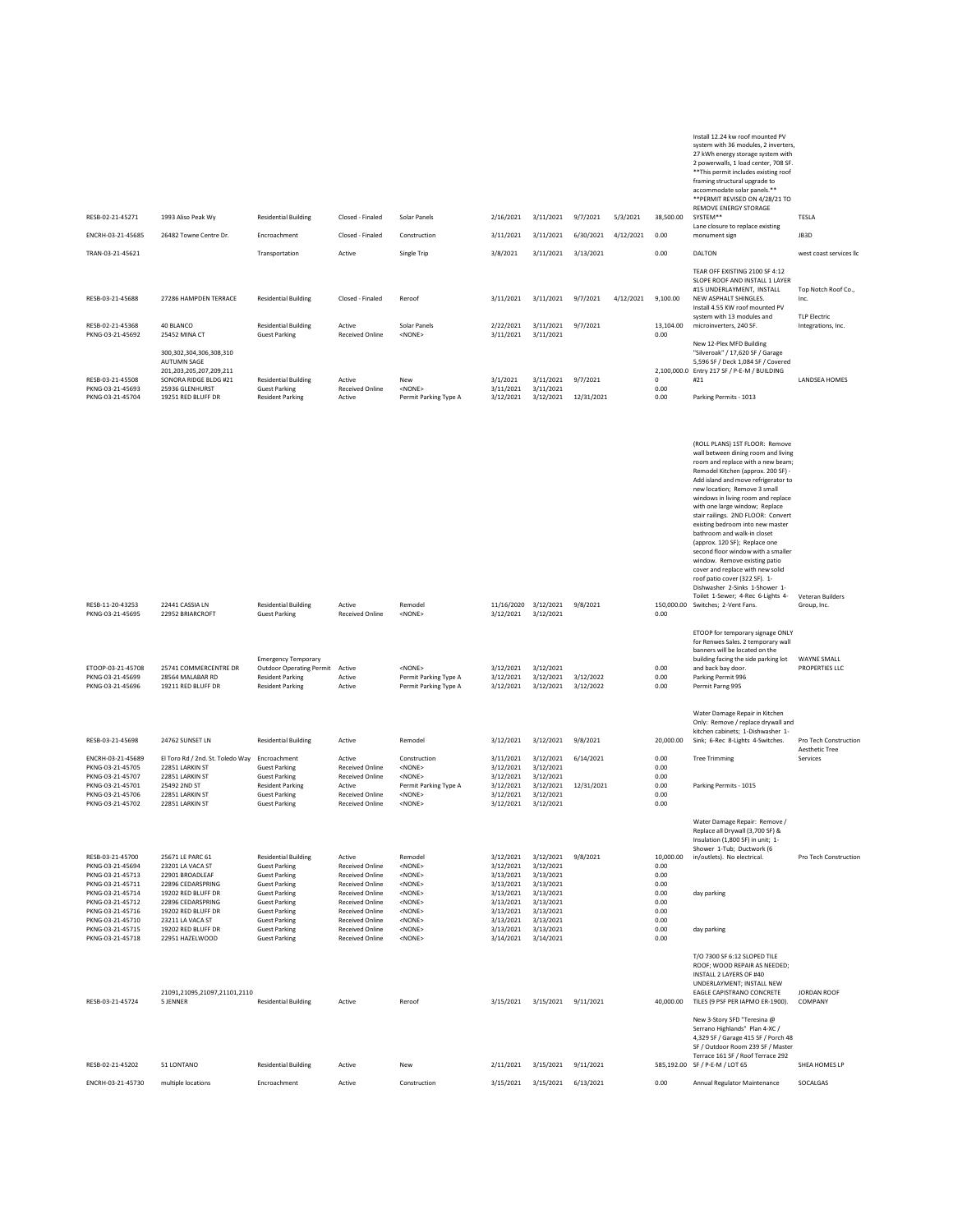| RESB-02-21-45271<br>ENCRH-03-21-45685                                                                                                                                            | 1993 Aliso Peak Wy<br>26482 Towne Centre Dr.                                                                                                                                            | <b>Residential Building</b><br>Encroachment                                                                                                                                                                                 | Closed - Finaled<br>Closed - Finaled                                                                                                                                                                                   | Solar Panels<br>Construction                                                                                                                           | 2/16/2021<br>3/11/2021                                                                                            | 3/11/2021<br>3/11/2021                                                                                            | 9/7/2021<br>6/30/2021  | 5/3/2021<br>4/12/2021 | 38,500.00<br>0.00                                                         | Install 12.24 kw roof mounted PV<br>system with 36 modules, 2 inverters,<br>27 kWh energy storage system with<br>2 powerwalls, 1 load center, 708 SF.<br>** This permit includes existing roof<br>framing structural upgrade to<br>accommodate solar panels.**<br>** PERMIT REVISED ON 4/28/21 TO<br>REMOVE ENERGY STORAGE<br>SYSTEM**<br>Lane closure to replace existing<br>monument sign                                                                                                                                                                                                                                                                                                       | TESLA<br>JB3D                             |
|----------------------------------------------------------------------------------------------------------------------------------------------------------------------------------|-----------------------------------------------------------------------------------------------------------------------------------------------------------------------------------------|-----------------------------------------------------------------------------------------------------------------------------------------------------------------------------------------------------------------------------|------------------------------------------------------------------------------------------------------------------------------------------------------------------------------------------------------------------------|--------------------------------------------------------------------------------------------------------------------------------------------------------|-------------------------------------------------------------------------------------------------------------------|-------------------------------------------------------------------------------------------------------------------|------------------------|-----------------------|---------------------------------------------------------------------------|---------------------------------------------------------------------------------------------------------------------------------------------------------------------------------------------------------------------------------------------------------------------------------------------------------------------------------------------------------------------------------------------------------------------------------------------------------------------------------------------------------------------------------------------------------------------------------------------------------------------------------------------------------------------------------------------------|-------------------------------------------|
| TRAN-03-21-45621                                                                                                                                                                 |                                                                                                                                                                                         | Transportation                                                                                                                                                                                                              | Active                                                                                                                                                                                                                 | Single Trip                                                                                                                                            | 3/8/2021                                                                                                          | 3/11/2021                                                                                                         | 3/13/2021              |                       | 0.00                                                                      | DALTON                                                                                                                                                                                                                                                                                                                                                                                                                                                                                                                                                                                                                                                                                            | west coast services llc                   |
| RESB-03-21-45688                                                                                                                                                                 | 27286 HAMPDEN TERRACE                                                                                                                                                                   | <b>Residential Building</b>                                                                                                                                                                                                 | Closed - Finaled                                                                                                                                                                                                       | Reroof                                                                                                                                                 | 3/11/2021                                                                                                         | 3/11/2021                                                                                                         | 9/7/2021               | 4/12/2021             | 9,100.00                                                                  | TEAR OFF EXISTING 2100 SF 4:12<br>SLOPE ROOF AND INSTALL 1 LAYER<br>#15 UNDERLAYMENT, INSTALL<br>NEW ASPHALT SHINGLES.                                                                                                                                                                                                                                                                                                                                                                                                                                                                                                                                                                            | Top Notch Roof Co.,<br>Inc.               |
| RESB-02-21-45368<br>PKNG-03-21-45692                                                                                                                                             | 40 BLANCO<br>25452 MINA CT                                                                                                                                                              | <b>Residential Building</b><br><b>Guest Parking</b>                                                                                                                                                                         | Active<br><b>Received Online</b>                                                                                                                                                                                       | Solar Panels<br><none></none>                                                                                                                          | 2/22/2021<br>3/11/2021                                                                                            | 3/11/2021<br>3/11/2021                                                                                            | 9/7/2021               |                       | 13,104.00<br>0.00                                                         | Install 4.55 KW roof mounted PV<br>system with 13 modules and<br>microinverters, 240 SF.                                                                                                                                                                                                                                                                                                                                                                                                                                                                                                                                                                                                          | <b>TLP Electric</b><br>Integrations, Inc. |
| RESB-03-21-45508<br>PKNG-03-21-45693<br>PKNG-03-21-45704                                                                                                                         | 300, 302, 304, 306, 308, 310<br><b>AUTUMN SAGE</b><br>201,203,205,207,209,211<br>SONORA RIDGE BLDG #21<br>25936 GLENHURST<br>19251 RED BLUFF DR                                         | <b>Residential Building</b><br><b>Guest Parking</b><br><b>Resident Parking</b>                                                                                                                                              | Active<br><b>Received Online</b><br>Active                                                                                                                                                                             | New<br><none><br/>Permit Parking Type A</none>                                                                                                         | 3/1/2021<br>3/11/2021<br>3/12/2021                                                                                | 3/11/2021<br>3/11/2021<br>3/12/2021                                                                               | 9/7/2021<br>12/31/2021 |                       | $\mathbf{0}$<br>0.00<br>0.00                                              | New 12-Plex MFD Building<br>"Silveroak" / 17,620 SF / Garage<br>5,596 SF / Deck 1,084 SF / Covered<br>2,100,000.0 Entry 217 SF / P-E-M / BUILDING<br>#21<br>Parking Permits - 1013                                                                                                                                                                                                                                                                                                                                                                                                                                                                                                                | <b>LANDSEA HOMES</b>                      |
| RESB-11-20-43253<br>PKNG-03-21-45695                                                                                                                                             | 22441 CASSIA LN<br>22952 BRIARCROFT                                                                                                                                                     | <b>Residential Building</b><br><b>Guest Parking</b>                                                                                                                                                                         | Active<br><b>Received Online</b>                                                                                                                                                                                       | Remodel<br><none></none>                                                                                                                               | 11/16/2020 3/12/2021<br>3/12/2021                                                                                 | 3/12/2021                                                                                                         | 9/8/2021               |                       | 0.00                                                                      | (ROLL PLANS) 1ST FLOOR: Remove<br>wall between dining room and living<br>room and replace with a new beam;<br>Remodel Kitchen (approx. 200 SF) -<br>Add island and move refrigerator to<br>new location; Remove 3 small<br>windows in living room and replace<br>with one large window; Replace<br>stair railings. 2ND FLOOR: Convert<br>existing bedroom into new master<br>bathroom and walk-in closet<br>(approx. 120 SF); Replace one<br>second floor window with a smaller<br>window. Remove existing patio<br>cover and replace with new solid<br>roof patio cover (322 SF). 1-<br>Dishwasher 2-Sinks 1-Shower 1-<br>Toilet 1-Sewer; 4-Rec 6-Lights 4-<br>150,000.00 Switches; 2-Vent Fans. | Veteran Builders<br>Group, Inc.           |
| ETOOP-03-21-45708<br>PKNG-03-21-45699<br>PKNG-03-21-45696                                                                                                                        | 25741 COMMERCENTRE DR<br>28564 MALABAR RD<br>19211 RED BLUFF DR                                                                                                                         | <b>Emergency Temporary</b><br><b>Outdoor Operating Permit</b><br><b>Resident Parking</b><br><b>Resident Parking</b>                                                                                                         | Active<br>Active<br>Active                                                                                                                                                                                             | <none><br/>Permit Parking Type A<br/>Permit Parking Type A</none>                                                                                      | 3/12/2021<br>3/12/2021<br>3/12/2021                                                                               | 3/12/2021<br>3/12/2021<br>3/12/2021                                                                               | 3/12/2022<br>3/12/2022 |                       | 0.00<br>0.00<br>0.00                                                      | ETOOP for temporary signage ONLY<br>for Renwes Sales. 2 temporary wall<br>banners will be located on the<br>building facing the side parking lot<br>and back bay door.<br>Parking Permit 996<br>Permit Parng 995                                                                                                                                                                                                                                                                                                                                                                                                                                                                                  | WAYNE SMALL<br>PROPERTIES LLC             |
| RESB-03-21-45698                                                                                                                                                                 | 24762 SUNSET LN                                                                                                                                                                         | <b>Residential Building</b>                                                                                                                                                                                                 | Active                                                                                                                                                                                                                 | Remodel                                                                                                                                                | 3/12/2021                                                                                                         | 3/12/2021                                                                                                         | 9/8/2021               |                       | 20,000.00                                                                 | Water Damage Repair in Kitchen<br>Only: Remove / replace drywall and<br>kitchen cabinets; 1-Dishwasher 1-<br>Sink; 6-Rec 8-Lights 4-Switches.                                                                                                                                                                                                                                                                                                                                                                                                                                                                                                                                                     | Pro Tech Construction                     |
| ENCRH-03-21-45689                                                                                                                                                                | El Toro Rd / 2nd. St. Toledo Way                                                                                                                                                        | Encroachment                                                                                                                                                                                                                | Active                                                                                                                                                                                                                 | Construction                                                                                                                                           | 3/11/2021                                                                                                         | 3/12/2021                                                                                                         | 6/14/2021              |                       | 0.00                                                                      | <b>Tree Trimming</b>                                                                                                                                                                                                                                                                                                                                                                                                                                                                                                                                                                                                                                                                              | Aesthetic Tree<br>Services                |
| PKNG-03-21-45705<br>PKNG-03-21-45707<br>PKNG-03-21-45701<br>PKNG-03-21-45706<br>PKNG-03-21-45702                                                                                 | 22851 LARKIN ST<br>22851 LARKIN ST<br>25492 2ND ST<br>22851 LARKIN ST<br>22851 LARKIN ST                                                                                                | <b>Guest Parking</b><br><b>Guest Parking</b><br><b>Resident Parking</b><br><b>Guest Parking</b><br><b>Guest Parking</b>                                                                                                     | <b>Received Online</b><br><b>Received Online</b><br>Active<br><b>Received Online</b><br><b>Received Online</b>                                                                                                         | <none><br/><none><br/>Permit Parking Type A<br/><none><br/><none></none></none></none></none>                                                          | 3/12/2021<br>3/12/2021<br>3/12/2021<br>3/12/2021<br>3/12/2021                                                     | 3/12/2021<br>3/12/2021<br>3/12/2021<br>3/12/2021<br>3/12/2021                                                     | 12/31/2021             |                       | 0.00<br>0.00<br>0.00<br>0.00<br>0.00                                      | Parking Permits - 1015                                                                                                                                                                                                                                                                                                                                                                                                                                                                                                                                                                                                                                                                            |                                           |
| RESB-03-21-45700<br>PKNG-03-21-45694<br>PKNG-03-21-45713<br>PKNG-03-21-45711<br>PKNG-03-21-45714<br>PKNG-03-21-45712<br>PKNG-03-21-45716<br>PKNG-03-21-45710<br>PKNG-03-21-45715 | 25671 LE PARC 61<br>23201 LA VACA ST<br>22901 BROADLEAF<br>22896 CEDARSPRING<br>19202 RED BLUFF DR<br>22896 CEDARSPRING<br>19202 RED BLUFF DR<br>23211 LA VACA ST<br>19202 RED BLUFF DR | <b>Residential Building</b><br><b>Guest Parking</b><br><b>Guest Parking</b><br><b>Guest Parking</b><br><b>Guest Parking</b><br><b>Guest Parking</b><br><b>Guest Parking</b><br><b>Guest Parking</b><br><b>Guest Parking</b> | Active<br><b>Received Online</b><br><b>Received Online</b><br><b>Received Online</b><br><b>Received Online</b><br><b>Received Online</b><br><b>Received Online</b><br><b>Received Online</b><br><b>Received Online</b> | Remodel<br><none><br/><none><br/><none><br/><none><br/><none><br/><none><br/><none><br/><none></none></none></none></none></none></none></none></none> | 3/12/2021<br>3/12/2021<br>3/13/2021<br>3/13/2021<br>3/13/2021<br>3/13/2021<br>3/13/2021<br>3/13/2021<br>3/13/2021 | 3/12/2021<br>3/12/2021<br>3/13/2021<br>3/13/2021<br>3/13/2021<br>3/13/2021<br>3/13/2021<br>3/13/2021<br>3/13/2021 | 9/8/2021               |                       | 10,000.00<br>0.00<br>0.00<br>0.00<br>0.00<br>0.00<br>0.00<br>0.00<br>0.00 | Water Damage Repair: Remove /<br>Replace all Drywall (3,700 SF) &<br>Insulation (1,800 SF) in unit; 1-<br>Shower 1-Tub: Ductwork (6<br>in/outlets). No electrical.<br>day parking<br>day parking                                                                                                                                                                                                                                                                                                                                                                                                                                                                                                  | Pro Tech Construction                     |
| PKNG-03-21-45718<br>RESB-03-21-45724                                                                                                                                             | 22951 HAZELWOOD<br>21091,21095,21097,21101,2110<br>5 JENNER                                                                                                                             | <b>Guest Parking</b><br><b>Residential Building</b>                                                                                                                                                                         | <b>Received Online</b><br>Active                                                                                                                                                                                       | <none><br/>Reroof</none>                                                                                                                               | 3/14/2021                                                                                                         | 3/14/2021<br>3/15/2021 3/15/2021 9/11/2021                                                                        |                        |                       | 0.00<br>40,000.00                                                         | T/O 7300 SF 6:12 SLOPED TILE<br>ROOF; WOOD REPAIR AS NEEDED;<br>INSTALL 2 LAYERS OF #40<br>UNDERLAYMENT; INSTALL NEW<br>EAGLE CAPISTRANO CONCRETE<br>TILES (9 PSF PER IAPMO ER-1900).                                                                                                                                                                                                                                                                                                                                                                                                                                                                                                             | JORDAN ROOF<br>COMPANY                    |
| RESB-02-21-45202                                                                                                                                                                 | 51 LONTANO                                                                                                                                                                              | <b>Residential Building</b>                                                                                                                                                                                                 | Active                                                                                                                                                                                                                 | New                                                                                                                                                    | 2/11/2021                                                                                                         | 3/15/2021                                                                                                         | 9/11/2021              |                       |                                                                           | New 3-Story SFD "Teresina @<br>Serrano Highlands" Plan 4-XC /<br>4,329 SF / Garage 415 SF / Porch 48<br>SF / Outdoor Room 239 SF / Master<br>Terrace 161 SF / Roof Terrace 292<br>585,192.00 SF / P-E-M / LOT 65                                                                                                                                                                                                                                                                                                                                                                                                                                                                                  | SHEA HOMES LP                             |
| ENCRH-03-21-45730                                                                                                                                                                | multiple locations                                                                                                                                                                      | Encroachment                                                                                                                                                                                                                | Active                                                                                                                                                                                                                 | Construction                                                                                                                                           |                                                                                                                   | 3/15/2021 3/15/2021 6/13/2021                                                                                     |                        |                       | 0.00                                                                      | Annual Regulator Maintenance                                                                                                                                                                                                                                                                                                                                                                                                                                                                                                                                                                                                                                                                      | SOCALGAS                                  |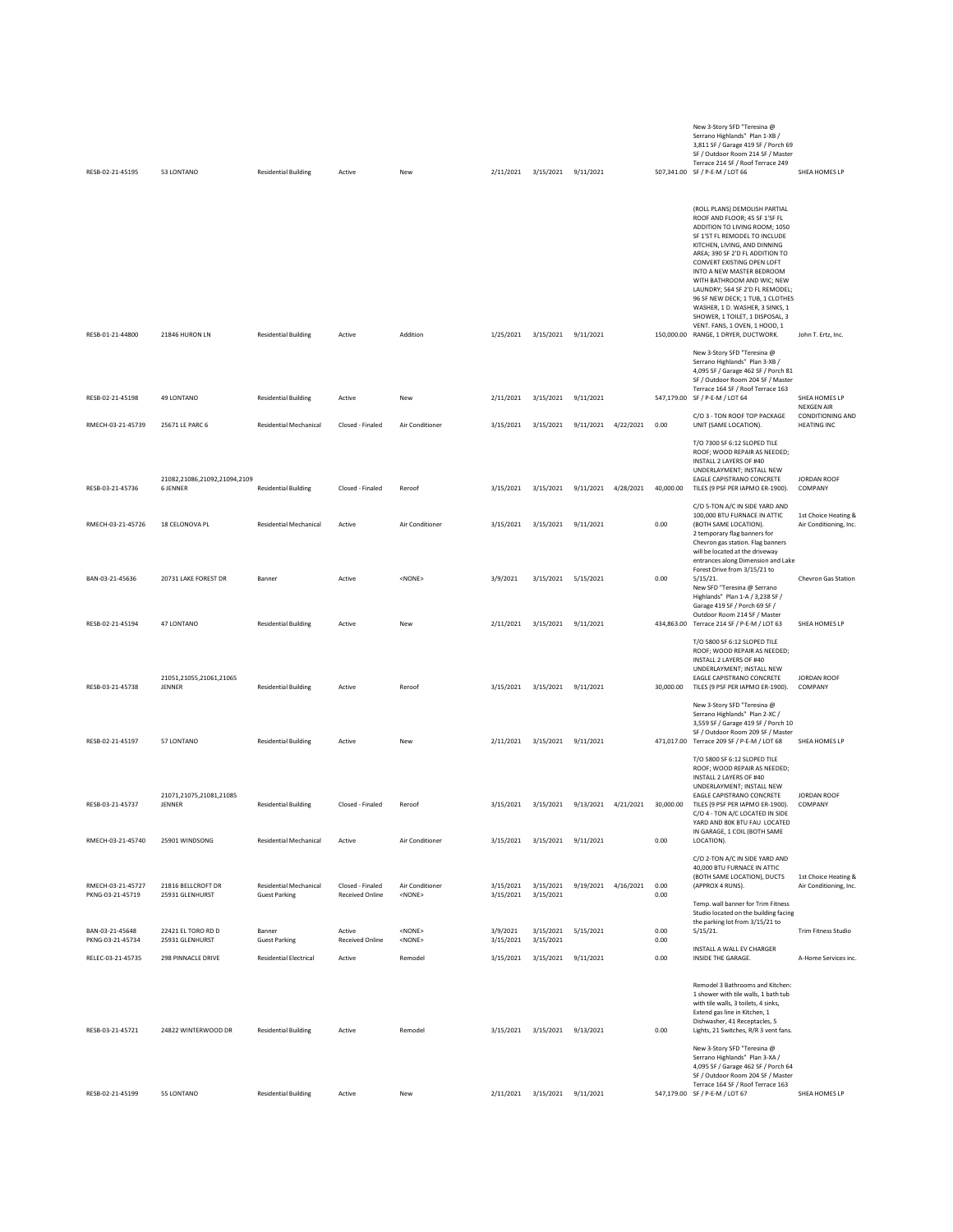| RESB-02-21-45195                      | 53 LONTANO                                       | <b>Residential Building</b>                           | Active                                     | New                              | 2/11/2021              | 3/15/2021 9/11/2021                     |           |                     |              | New 3-Story SFD "Teresina @<br>Serrano Highlands" Plan 1-XB /<br>3,811 SF / Garage 419 SF / Porch 69<br>SF / Outdoor Room 214 SF / Master<br>Terrace 214 SF / Roof Terrace 249<br>507,341.00 SF / P-E-M / LOT 66                                                                                                                                                                                                                                                                                                   | SHEA HOMES LP                                  |
|---------------------------------------|--------------------------------------------------|-------------------------------------------------------|--------------------------------------------|----------------------------------|------------------------|-----------------------------------------|-----------|---------------------|--------------|--------------------------------------------------------------------------------------------------------------------------------------------------------------------------------------------------------------------------------------------------------------------------------------------------------------------------------------------------------------------------------------------------------------------------------------------------------------------------------------------------------------------|------------------------------------------------|
| RESB-01-21-44800                      | 21846 HURON LN                                   | <b>Residential Building</b>                           | Active                                     | Addition                         |                        | 1/25/2021 3/15/2021 9/11/2021           |           |                     |              | (ROLL PLANS) DEMOLISH PARTIAL<br>ROOF AND FLOOR; 45 SF 1'SF FL<br>ADDITION TO LIVING ROOM; 1050<br>SF 1'ST FL REMODEL TO INCLUDE<br>KITCHEN, LIVING, AND DINNING<br>AREA; 390 SF 2'D FL ADDITION TO<br>CONVERT EXISTING OPEN LOFT<br>INTO A NEW MASTER BEDROOM<br>WITH BATHROOM AND WIC; NEW<br>LAUNDRY; 564 SF 2'D FL REMODEL;<br>96 SF NEW DECK; 1 TUB, 1 CLOTHES<br>WASHER, 1 D. WASHER, 3 SINKS, 1<br>SHOWER, 1 TOILET, 1 DISPOSAL, 3<br>VENT. FANS, 1 OVEN, 1 HOOD, 1<br>150,000.00 RANGE, 1 DRYER, DUCTWORK. | John T. Ertz, Inc.                             |
| RESB-02-21-45198                      | 49 LONTANO                                       | <b>Residential Building</b>                           | Active                                     | New                              | 2/11/2021              | 3/15/2021                               | 9/11/2021 |                     |              | New 3-Story SFD "Teresina @<br>Serrano Highlands" Plan 3-XB /<br>4,095 SF / Garage 462 SF / Porch 81<br>SF / Outdoor Room 204 SF / Master<br>Terrace 164 SF / Roof Terrace 163<br>547,179.00 SF / P-E-M / LOT 64                                                                                                                                                                                                                                                                                                   | SHEA HOMES LP                                  |
|                                       |                                                  |                                                       |                                            |                                  |                        |                                         |           |                     |              | C/O 3 - TON ROOF TOP PACKAGE                                                                                                                                                                                                                                                                                                                                                                                                                                                                                       | NEXGEN AIR<br>CONDITIONING AND                 |
| RMECH-03-21-45739                     | 25671 I F PARC 6<br>21082,21086,21092,21094,2109 | <b>Residential Mechanical</b>                         | Closed - Finaled                           | Air Conditioner                  | 3/15/2021              | 3/15/2021                               | 9/11/2021 | 4/22/2021           | 0.00         | UNIT (SAME LOCATION).<br>T/O 7300 SF 6:12 SLOPED TILE<br>ROOF; WOOD REPAIR AS NEEDED;<br>INSTALL 2 LAYERS OF #40<br>UNDERLAYMENT; INSTALL NEW<br>EAGLE CAPISTRANO CONCRETE                                                                                                                                                                                                                                                                                                                                         | <b>HEATING INC</b><br>JORDAN ROOF              |
| RESB-03-21-45736                      | <b>6 JENNER</b>                                  | <b>Residential Building</b>                           | Closed - Finaled                           | Reroof                           | 3/15/2021              | 3/15/2021 9/11/2021 4/28/2021 40,000.00 |           |                     |              | TILES (9 PSF PER IAPMO ER-1900).<br>C/O 5-TON A/C IN SIDE YARD AND                                                                                                                                                                                                                                                                                                                                                                                                                                                 | COMPANY                                        |
| RMECH-03-21-45726                     | 18 CELONOVA PL                                   | <b>Residential Mechanical</b>                         | Active                                     | Air Conditioner                  | 3/15/2021              | 3/15/2021 9/11/2021                     |           |                     | 0.00         | 100,000 BTU FURNACE IN ATTIC<br>(BOTH SAME LOCATION).<br>2 temporary flag banners for<br>Chevron gas station. Flag banners<br>will be located at the driveway<br>entrances along Dimension and Lake                                                                                                                                                                                                                                                                                                                | 1st Choice Heating &<br>Air Conditioning, Inc. |
| BAN-03-21-45636                       | 20731 LAKE FOREST DR                             | Banner                                                | Active                                     | <none></none>                    | 3/9/2021               | 3/15/2021 5/15/2021                     |           |                     | 0.00         | Forest Drive from 3/15/21 to<br>$5/15/21$ .<br>New SFD "Teresina @ Serrano<br>Highlands" Plan 1-A / 3,238 SF /<br>Garage 419 SF / Porch 69 SF /                                                                                                                                                                                                                                                                                                                                                                    | Chevron Gas Station                            |
| RESB-02-21-45194                      | 47 LONTANO                                       | <b>Residential Building</b>                           | Active                                     | New                              |                        | 2/11/2021 3/15/2021 9/11/2021           |           |                     |              | Outdoor Room 214 SF / Master<br>434,863.00 Terrace 214 SF / P-E-M / LOT 63                                                                                                                                                                                                                                                                                                                                                                                                                                         | SHEA HOMES LP                                  |
| RESB-03-21-45738                      | 21051,21055,21061,21065<br>JENNER                | <b>Residential Building</b>                           | Active                                     | Reroof                           | 3/15/2021              | 3/15/2021                               | 9/11/2021 |                     | 30,000.00    | T/O 5800 SF 6:12 SLOPED TILE<br>ROOF; WOOD REPAIR AS NEEDED;<br>INSTALL 2 LAYERS OF #40<br>UNDERLAYMENT; INSTALL NEW<br>EAGLE CAPISTRANO CONCRETE<br>TILES (9 PSF PER IAPMO ER-1900).                                                                                                                                                                                                                                                                                                                              | JORDAN ROOF<br>COMPANY                         |
| RESB-02-21-45197                      | 57 LONTANO                                       | <b>Residential Building</b>                           | Active                                     | New                              |                        | 2/11/2021 3/15/2021 9/11/2021           |           |                     |              | New 3-Story SFD "Teresina @<br>Serrano Highlands" Plan 2-XC /<br>3,559 SF / Garage 419 SF / Porch 10<br>SF / Outdoor Room 209 SF / Master<br>471,017.00 Terrace 209 SF / P-E-M / LOT 68                                                                                                                                                                                                                                                                                                                            | SHEA HOMES LP                                  |
| RESB-03-21-45737                      | 21071,21075,21081,21085<br>JENNER                | <b>Residential Building</b>                           | Closed - Finaled                           | Reroof                           | 3/15/2021              | 3/15/2021                               | 9/13/2021 | 4/21/2021           | 30,000.00    | T/O 5800 SF 6:12 SLOPED TILE<br>ROOF; WOOD REPAIR AS NEEDED;<br>INSTALL 2 LAYERS OF #40<br>UNDERLAYMENT; INSTALL NEW<br>EAGLE CAPISTRANO CONCRETE<br>TILES (9 PSF PER IAPMO ER-1900).                                                                                                                                                                                                                                                                                                                              | <b>JORDAN ROOF</b><br>COMPANY                  |
|                                       |                                                  |                                                       |                                            |                                  |                        |                                         |           |                     |              | C/O 4 - TON A/C LOCATED IN SIDE<br>YARD AND 80K BTU FAU LOCATED<br>IN GARAGE, 1 COIL (BOTH SAME                                                                                                                                                                                                                                                                                                                                                                                                                    |                                                |
| RMECH-03-21-45740                     | 25901 WINDSONG                                   | <b>Residential Mechanical</b>                         | Active                                     | Air Conditioner                  |                        | 3/15/2021 3/15/2021 9/11/2021           |           |                     | 0.00         | LOCATION).<br>C/O 2-TON A/C IN SIDE YARD AND                                                                                                                                                                                                                                                                                                                                                                                                                                                                       |                                                |
| RMECH-03-21-45727<br>PKNG-03-21-45719 | 21816 BELLCROFT DR<br>25931 GLENHURST            | <b>Residential Mechanical</b><br><b>Guest Parking</b> | Closed - Finaled<br><b>Received Online</b> | Air Conditioner<br><none></none> | 3/15/2021<br>3/15/2021 | 3/15/2021<br>3/15/2021                  |           | 9/19/2021 4/16/2021 | 0.00<br>0.00 | 40,000 BTU FURNACE IN ATTIC<br>(BOTH SAME LOCATION), DUCTS<br>(APPROX 4 RUNS).<br>Temp. wall banner for Trim Fitness<br>Studio located on the building facing                                                                                                                                                                                                                                                                                                                                                      | 1st Choice Heating &<br>Air Conditioning, Inc. |
| BAN-03-21-45648<br>PKNG-03-21-45734   | 22421 EL TORO RD D<br>25931 GLENHURST            | Banner<br><b>Guest Parking</b>                        | Active<br><b>Received Online</b>           | <none><br/><none></none></none>  | 3/9/2021<br>3/15/2021  | 3/15/2021<br>3/15/2021                  | 5/15/2021 |                     | 0.00<br>0.00 | the parking lot from 3/15/21 to<br>5/15/21.                                                                                                                                                                                                                                                                                                                                                                                                                                                                        | <b>Trim Fitness Studio</b>                     |
| RELEC-03-21-45735                     | 298 PINNACLE DRIVE                               | <b>Residential Electrical</b>                         | Active                                     | Remodel                          | 3/15/2021              | 3/15/2021                               | 9/11/2021 |                     | 0.00         | INSTALL A WALL EV CHARGER<br>INSIDE THE GARAGE.                                                                                                                                                                                                                                                                                                                                                                                                                                                                    | A-Home Services inc.                           |
| RESB-03-21-45721                      | 24822 WINTERWOOD DR                              | <b>Residential Building</b>                           | Active                                     | Remodel                          |                        | 3/15/2021 3/15/2021 9/13/2021           |           |                     | 0.00         | Remodel 3 Bathrooms and Kitchen:<br>1 shower with tile walls, 1 bath tub<br>with tile walls. 3 toilets, 4 sinks.<br>Extend gas line in Kitchen, 1<br>Dishwasher, 41 Receptacles, 5<br>Lights, 21 Switches, R/R 3 vent fans.                                                                                                                                                                                                                                                                                        |                                                |
| RESB-02-21-45199                      | 55 LONTANO                                       | <b>Residential Building</b>                           | Active                                     | New                              |                        | 2/11/2021 3/15/2021 9/11/2021           |           |                     |              | New 3-Story SFD "Teresina @<br>Serrano Highlands" Plan 3-XA /<br>4,095 SF / Garage 462 SF / Porch 64<br>SF / Outdoor Room 204 SF / Master<br>Terrace 164 SF / Roof Terrace 163<br>547,179.00 SF / P-E-M / LOT 67                                                                                                                                                                                                                                                                                                   | SHEA HOMES LP                                  |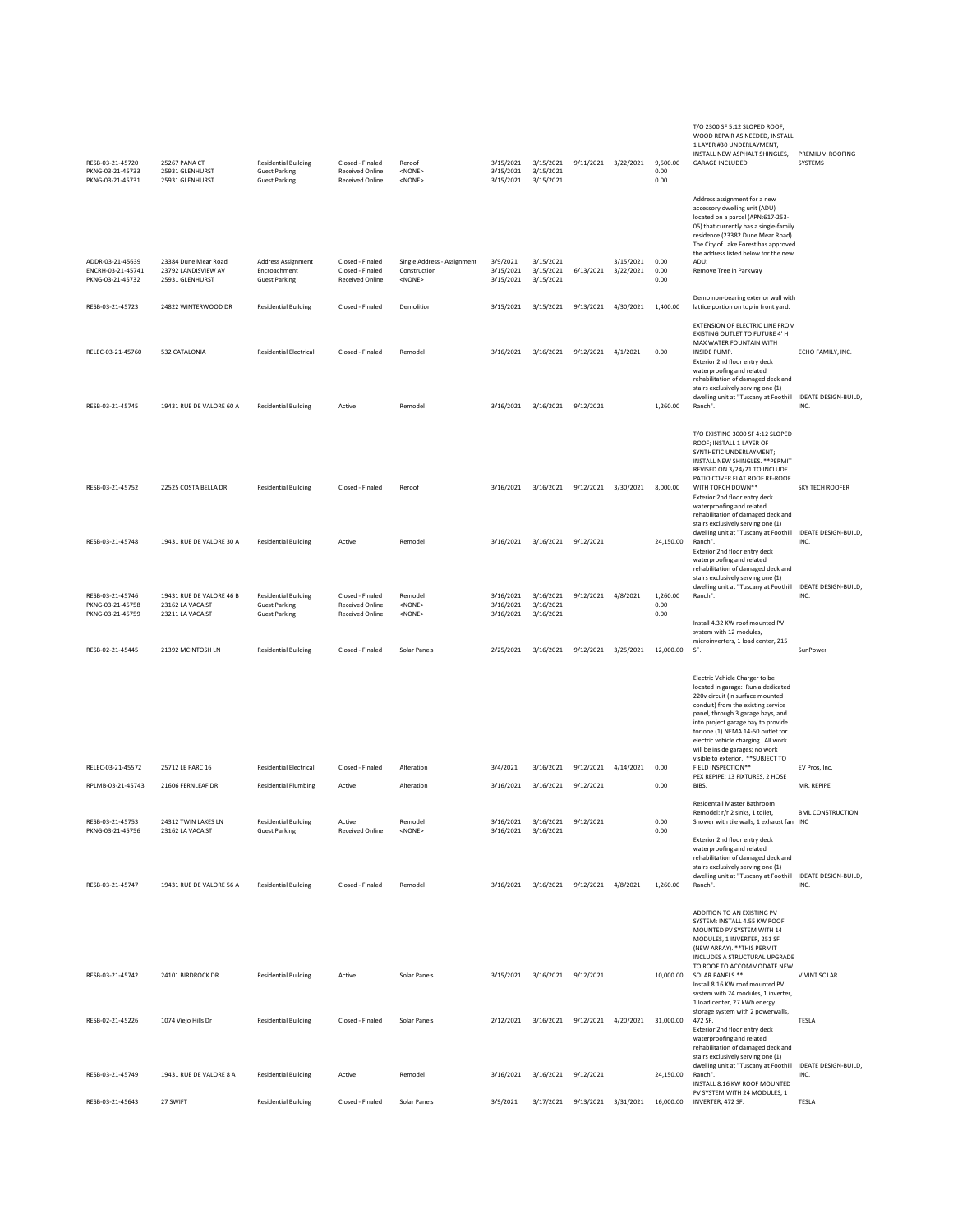| RESB-03-21-45720<br>PKNG-03-21-45733<br>PKNG-03-21-45731  | 25267 PANA CT<br>25931 GLENHURST<br>25931 GLENHURST              | <b>Residential Building</b><br><b>Guest Parking</b><br><b>Guest Parking</b> | Closed - Finaled<br><b>Received Online</b><br><b>Received Online</b> | Reroof<br><none><br/><none></none></none>                    | 3/15/2021<br>3/15/2021              | 3/15/2021 3/15/2021<br>3/15/2021<br>3/15/2021 |                        | 9/11/2021 3/22/2021    | 9,500.00<br>0.00<br>0.00 | T/O 2300 SF 5:12 SLOPED ROOF,<br>WOOD REPAIR AS NEEDED, INSTALL<br>1 LAYER #30 UNDERLAYMENT,<br>INSTALL NEW ASPHALT SHINGLES,<br><b>GARAGE INCLUDED</b>                                                                                                                                                                                                                                                                                          | PREMIUM ROOFING<br>SYSTEMS          |
|-----------------------------------------------------------|------------------------------------------------------------------|-----------------------------------------------------------------------------|----------------------------------------------------------------------|--------------------------------------------------------------|-------------------------------------|-----------------------------------------------|------------------------|------------------------|--------------------------|--------------------------------------------------------------------------------------------------------------------------------------------------------------------------------------------------------------------------------------------------------------------------------------------------------------------------------------------------------------------------------------------------------------------------------------------------|-------------------------------------|
| ADDR-03-21-45639<br>ENCRH-03-21-45741<br>PKNG-03-21-45732 | 23384 Dune Mear Road<br>23792 LANDISVIEW AV<br>25931 GLENHURST   | Address Assignment<br>Encroachment<br><b>Guest Parking</b>                  | Closed - Finaled<br>Closed - Finaled<br><b>Received Online</b>       | Single Address - Assignment<br>Construction<br><none></none> | 3/9/2021<br>3/15/2021<br>3/15/2021  | 3/15/2021<br>3/15/2021<br>3/15/2021           | 6/13/2021              | 3/15/2021<br>3/22/2021 | 0.00<br>0.00<br>0.00     | Address assignment for a new<br>accessory dwelling unit (ADU)<br>located on a parcel (APN:617-253-<br>05) that currently has a single-family<br>residence (23382 Dune Mear Road).<br>The City of Lake Forest has approved<br>the address listed below for the new<br>ADU:<br>Remove Tree in Parkway                                                                                                                                              |                                     |
| RESB-03-21-45723                                          | 24822 WINTERWOOD DR                                              | <b>Residential Building</b>                                                 | Closed - Finaled                                                     | Demolition                                                   | 3/15/2021                           | 3/15/2021                                     | 9/13/2021 4/30/2021    |                        | 1,400.00                 | Demo non-bearing exterior wall with<br>lattice portion on top in front yard.                                                                                                                                                                                                                                                                                                                                                                     |                                     |
| RELEC-03-21-45760                                         | 532 CATALONIA                                                    | <b>Residential Electrical</b>                                               | Closed - Finaled                                                     | Remodel                                                      | 3/16/2021                           | 3/16/2021                                     | 9/12/2021 4/1/2021     |                        | 0.00                     | EXTENSION OF ELECTRIC LINE FROM<br>EXISTING OUTLET TO FUTURE 4' H<br>MAX WATER FOUNTAIN WITH<br>INSIDE PUMP.<br>Exterior 2nd floor entry deck<br>waterproofing and related<br>rehabilitation of damaged deck and<br>stairs exclusively serving one (1)<br>dwelling unit at "Tuscany at Foothill IDEATE DESIGN-BUILD,                                                                                                                             | ECHO FAMILY, INC.                   |
| RESB-03-21-45745                                          | 19431 RUE DE VALORE 60 A                                         | <b>Residential Building</b>                                                 | Active                                                               | Remodel                                                      | 3/16/2021                           | 3/16/2021                                     | 9/12/2021              |                        | 1,260.00                 | Ranch".                                                                                                                                                                                                                                                                                                                                                                                                                                          | INC.                                |
| RESB-03-21-45752                                          | 22525 COSTA BELLA DR                                             | <b>Residential Building</b>                                                 | Closed - Finaled                                                     | Reroof                                                       | 3/16/2021                           | 3/16/2021                                     | 9/12/2021 3/30/2021    |                        | 8,000.00                 | T/O EXISTING 3000 SF 4:12 SLOPED<br>ROOF; INSTALL 1 LAYER OF<br>SYNTHETIC UNDERLAYMENT;<br>INSTALL NEW SHINGLES. ** PERMIT<br>REVISED ON 3/24/21 TO INCLUDE<br>PATIO COVER FLAT ROOF RE-ROOF<br>WITH TORCH DOWN**<br>Exterior 2nd floor entry deck<br>waterproofing and related<br>rehabilitation of damaged deck and                                                                                                                            | SKY TECH ROOFER                     |
| RESB-03-21-45748                                          | 19431 RUE DE VALORE 30 A                                         | <b>Residential Building</b>                                                 | Active                                                               | Remodel                                                      | 3/16/2021                           | 3/16/2021                                     | 9/12/2021              |                        | 24,150.00                | stairs exclusively serving one (1)<br>dwelling unit at "Tuscany at Foothill<br>Ranch".<br>Exterior 2nd floor entry deck<br>waterproofing and related<br>rehabilitation of damaged deck and                                                                                                                                                                                                                                                       | <b>IDEATE DESIGN-BUILD.</b><br>INC. |
| RESB-03-21-45746<br>PKNG-03-21-45758<br>PKNG-03-21-45759  | 19431 RUE DE VALORE 46 B<br>23162 LA VACA ST<br>23211 LA VACA ST | <b>Residential Building</b><br><b>Guest Parking</b><br><b>Guest Parking</b> | Closed - Finaled<br><b>Received Online</b><br>Received Online        | Remodel<br><none><br/><none></none></none>                   | 3/16/2021<br>3/16/2021<br>3/16/2021 | 3/16/2021<br>3/16/2021<br>3/16/2021           | 9/12/2021 4/8/2021     |                        | 1,260.00<br>0.00<br>0.00 | stairs exclusively serving one (1)<br>dwelling unit at "Tuscany at Foothill<br>Ranch".<br>Install 4.32 KW roof mounted PV                                                                                                                                                                                                                                                                                                                        | IDEATE DESIGN-BUILD,<br>INC.        |
| RESB-02-21-45445                                          | 21392 MCINTOSH LN                                                | <b>Residential Building</b>                                                 | Closed - Finaled                                                     | Solar Panels                                                 | 2/25/2021                           | 3/16/2021                                     | 9/12/2021 3/25/2021    |                        | 12,000.00                | system with 12 modules,<br>microinverters, 1 load center, 215<br>SF.                                                                                                                                                                                                                                                                                                                                                                             | SunPower                            |
| RELEC-03-21-45572<br>RPLMB-03-21-45743                    | 25712 LE PARC 16<br>21606 FERNLEAF DR                            | <b>Residential Electrical</b><br><b>Residential Plumbing</b>                | Closed - Finaled<br>Active                                           | Alteration<br>Alteration                                     | 3/4/2021<br>3/16/2021               | 3/16/2021<br>3/16/2021                        | 9/12/2021<br>9/12/2021 | 4/14/2021              | 0.00<br>0.00             | Electric Vehicle Charger to be<br>located in garage: Run a dedicated<br>220v circuit (in surface mounted<br>conduit) from the existing service<br>panel, through 3 garage bays, and<br>into project garage bay to provide<br>for one (1) NEMA 14-50 outlet for<br>electric vehicle charging. All work<br>will be inside garages; no work<br>visible to exterior. ** SUBJECT TO<br>FIELD INSPECTION**<br>PEX REPIPE: 13 FIXTURES, 2 HOSE<br>BIBS. | EV Pros, Inc.<br>MR. REPIPE         |
|                                                           |                                                                  |                                                                             |                                                                      |                                                              |                                     |                                               |                        |                        |                          | Residentail Master Bathroom<br>Remodel: r/r 2 sinks, 1 toilet.                                                                                                                                                                                                                                                                                                                                                                                   | <b>BML CONSTRUCTION</b>             |
| RFSB-03-21-45753<br>PKNG-03-21-45756                      | 24312 TWIN LAKES LN<br>23162 LA VACA ST                          | <b>Residential Building</b><br><b>Guest Parking</b>                         | Active<br><b>Received Online</b>                                     | Remodel<br><none></none>                                     | 3/16/2021                           | 3/16/2021<br>3/16/2021 3/16/2021              | 9/12/2021              |                        | 0.00<br>0.00             | Shower with tile walls, 1 exhaust fan<br>Exterior 2nd floor entry deck                                                                                                                                                                                                                                                                                                                                                                           | INC                                 |
| RESB-03-21-45747                                          | 19431 RUE DE VALORE 56 A                                         | <b>Residential Building</b>                                                 | Closed - Finaled                                                     | Remodel                                                      | 3/16/2021                           | 3/16/2021 9/12/2021 4/8/2021                  |                        |                        | 1,260.00                 | waterproofing and related<br>rehabilitation of damaged deck and<br>stairs exclusively serving one (1)<br>dwelling unit at "Tuscany at Foothill<br>Ranch".                                                                                                                                                                                                                                                                                        | IDEATE DESIGN-BUILD,<br>INC.        |
| RESB-03-21-45742                                          | 24101 BIRDROCK DR                                                | <b>Residential Building</b>                                                 | Active                                                               | Solar Panels                                                 | 3/15/2021                           | 3/16/2021 9/12/2021                           |                        |                        | 10,000.00                | ADDITION TO AN EXISTING PV<br>SYSTEM: INSTALL 4.55 KW ROOF<br>MOUNTED PV SYSTEM WITH 14<br>MODULES, 1 INVERTER, 251 SF<br>(NEW ARRAY). ** THIS PERMIT<br>INCLUDES A STRUCTURAL UPGRADE<br>TO ROOF TO ACCOMMODATE NEW<br>SOLAR PANELS.**                                                                                                                                                                                                          | <b>VIVINT SOLAR</b>                 |
|                                                           |                                                                  |                                                                             |                                                                      |                                                              |                                     |                                               |                        |                        |                          | Install 8.16 KW roof mounted PV<br>system with 24 modules, 1 inverter,<br>1 load center, 27 kWh energy                                                                                                                                                                                                                                                                                                                                           |                                     |
| RESB-02-21-45226                                          | 1074 Viejo Hills Dr                                              | <b>Residential Building</b>                                                 | Closed - Finaled                                                     | Solar Panels                                                 | 2/12/2021                           | 3/16/2021                                     | 9/12/2021              | 4/20/2021              | 31,000.00                | storage system with 2 powerwalls,<br>472 SF.<br>Exterior 2nd floor entry deck<br>waterproofing and related<br>rehabilitation of damaged deck and<br>stairs exclusively serving one (1)                                                                                                                                                                                                                                                           | TESLA                               |
| RESB-03-21-45749                                          | 19431 RUE DE VALORE 8 A                                          | <b>Residential Building</b>                                                 | Active                                                               | Remodel                                                      | 3/16/2021                           | 3/16/2021                                     | 9/12/2021              |                        | 24.150.00                | dwelling unit at "Tuscany at Foothill<br>Ranch".<br>INSTALL 8.16 KW ROOF MOUNTED                                                                                                                                                                                                                                                                                                                                                                 | <b>IDEATE DESIGN-BUILD,</b><br>INC. |
| RESB-03-21-45643                                          | 27 SWIFT                                                         | <b>Residential Building</b>                                                 | Closed - Finaled                                                     | Solar Panels                                                 | 3/9/2021                            | 3/17/2021                                     | 9/13/2021 3/31/2021    |                        | 16,000.00                | PV SYSTEM WITH 24 MODULES, 1<br>INVERTER, 472 SF.                                                                                                                                                                                                                                                                                                                                                                                                | TESLA                               |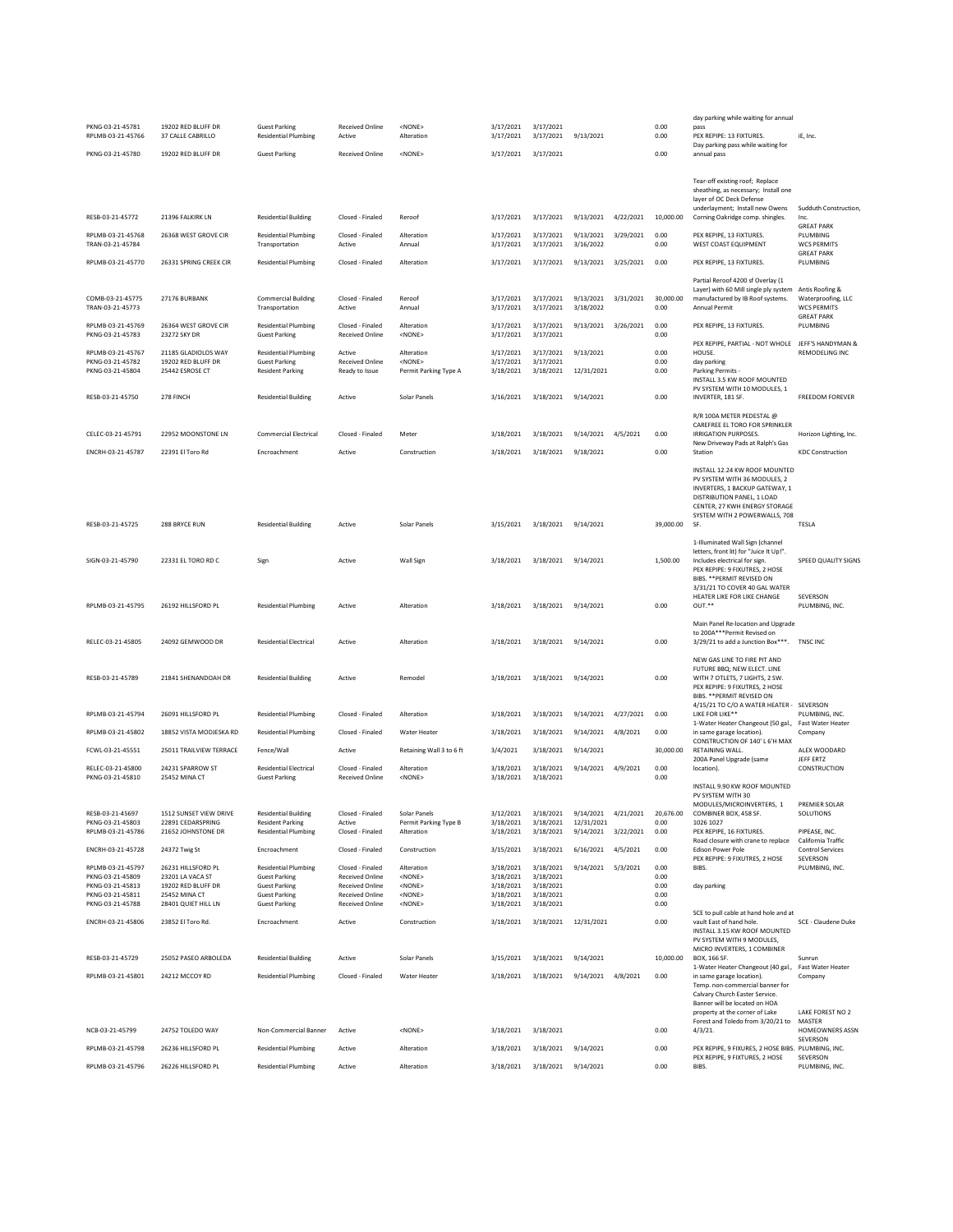|                                                           |                                                              |                                                                                |                                                    |                                                       |                                     |                                     |                                   |           |                      | day parking while waiting for annual                                                                                                                                                            |                                                                                  |
|-----------------------------------------------------------|--------------------------------------------------------------|--------------------------------------------------------------------------------|----------------------------------------------------|-------------------------------------------------------|-------------------------------------|-------------------------------------|-----------------------------------|-----------|----------------------|-------------------------------------------------------------------------------------------------------------------------------------------------------------------------------------------------|----------------------------------------------------------------------------------|
| PKNG-03-21-45781<br>RPLMB-03-21-45766                     | 19202 RED BLUFF DR<br>37 CALLE CABRILLO                      | <b>Guest Parking</b><br><b>Residential Plumbing</b>                            | Received Online<br>Active                          | <none><br/>Alteration</none>                          | 3/17/2021<br>3/17/2021              | 3/17/2021<br>3/17/2021              | 9/13/2021                         |           | 0.00<br>0.00         | pass<br>PEX REPIPE: 13 FIXTURES.                                                                                                                                                                | iE, Inc.                                                                         |
| PKNG-03-21-45780                                          | 19202 RED BLUFF DR                                           | <b>Guest Parking</b>                                                           | <b>Received Online</b>                             | <none></none>                                         | 3/17/2021                           | 3/17/2021                           |                                   |           | 0.00                 | Day parking pass while waiting for<br>annual pass                                                                                                                                               |                                                                                  |
|                                                           |                                                              |                                                                                |                                                    |                                                       |                                     |                                     |                                   |           |                      |                                                                                                                                                                                                 |                                                                                  |
|                                                           |                                                              |                                                                                |                                                    |                                                       |                                     |                                     |                                   |           |                      | Tear-off existing roof; Replace<br>sheathing, as necessary; Install one<br>layer of OC Deck Defense<br>underlayment; Install new Owens                                                          | Sudduth Construction,                                                            |
| RESB-03-21-45772                                          | 21396 FALKIRK LN                                             | <b>Residential Building</b>                                                    | Closed - Finaled                                   | Reroof                                                | 3/17/2021                           | 3/17/2021                           | 9/13/2021                         | 4/22/2021 | 10,000.00            | Corning Oakridge comp. shingles.                                                                                                                                                                | Inc.<br><b>GREAT PARK</b>                                                        |
| RPLMB-03-21-45768<br>TRAN-03-21-45784                     | 26368 WEST GROVE CIR                                         | <b>Residential Plumbing</b><br>Transportation                                  | Closed - Finaled<br>Active                         | Alteration<br>Annual                                  | 3/17/2021<br>3/17/2021              | 3/17/2021<br>3/17/2021              | 9/13/2021<br>3/16/2022            | 3/29/2021 | 0.00<br>0.00         | PEX REPIPE, 13 FIXTURES.<br>WEST COAST EQUIPMENT                                                                                                                                                | PLUMBING<br><b>WCS PERMITS</b>                                                   |
| RPLMB-03-21-45770                                         | 26331 SPRING CREEK CIR                                       | <b>Residential Plumbing</b>                                                    | Closed - Finaled                                   | Alteration                                            | 3/17/2021                           | 3/17/2021                           | 9/13/2021                         | 3/25/2021 | 0.00                 | PEX REPIPE, 13 FIXTURES.                                                                                                                                                                        | <b>GREAT PARK</b><br>PLUMBING                                                    |
|                                                           |                                                              |                                                                                |                                                    |                                                       |                                     |                                     |                                   |           |                      | Partial Reroof 4200 sf Overlay (1                                                                                                                                                               |                                                                                  |
| COMB-03-21-45775<br>TRAN-03-21-45773                      | 27176 BURBANK                                                | <b>Commercial Building</b><br>Transportation                                   | Closed - Finaled<br>Active                         | Reroof<br>Annual                                      | 3/17/2021<br>3/17/2021              | 3/17/2021<br>3/17/2021              | 9/13/2021<br>3/18/2022            | 3/31/2021 | 30,000.00<br>0.00    | Layer) with 60 Mill single ply system<br>manufactured by IB Roof systems.<br><b>Annual Permit</b>                                                                                               | Antis Roofing &<br>Waterproofing, LLC<br><b>WCS PERMITS</b><br><b>GREAT PARK</b> |
| RPLMB-03-21-45769<br>PKNG-03-21-45783                     | 26364 WEST GROVE CIR<br>23272 SKY DR                         | <b>Residential Plumbing</b><br><b>Guest Parking</b>                            | Closed - Finaled<br><b>Received Online</b>         | Alteration<br><none></none>                           | 3/17/2021<br>3/17/2021              | 3/17/2021<br>3/17/2021              | 9/13/2021                         | 3/26/2021 | 0.00<br>0.00         | PEX REPIPE, 13 FIXTURES.                                                                                                                                                                        | PLUMBING                                                                         |
|                                                           |                                                              |                                                                                |                                                    |                                                       |                                     |                                     |                                   |           |                      | PEX REPIPE, PARTIAL - NOT WHOLE                                                                                                                                                                 | JEFF'S HANDYMAN &                                                                |
| RPLMB-03-21-45767<br>PKNG-03-21-45782<br>PKNG-03-21-45804 | 21185 GLADIOLOS WAY<br>19202 RED BLUFF DR<br>25442 ESROSE CT | <b>Residential Plumbing</b><br><b>Guest Parking</b><br><b>Resident Parking</b> | Active<br><b>Received Online</b><br>Ready to Issue | Alteration<br><none><br/>Permit Parking Type A</none> | 3/17/2021<br>3/17/2021<br>3/18/2021 | 3/17/2021<br>3/17/2021<br>3/18/2021 | 9/13/2021<br>12/31/2021           |           | 0.00<br>0.00<br>0.00 | HOUSE.<br>day parking<br>Parking Permits -<br>INSTALL 3.5 KW ROOF MOUNTED<br>PV SYSTEM WITH 10 MODULES, 1                                                                                       | <b>REMODELING INC</b>                                                            |
| RESB-03-21-45750                                          | 278 FINCH                                                    | <b>Residential Building</b>                                                    | Active                                             | Solar Panels                                          | 3/16/2021                           | 3/18/2021                           | 9/14/2021                         |           | 0.00                 | INVERTER, 181 SF.                                                                                                                                                                               | FREEDOM FOREVER                                                                  |
|                                                           |                                                              |                                                                                |                                                    |                                                       |                                     |                                     |                                   |           |                      | R/R 100A METER PEDESTAL @                                                                                                                                                                       |                                                                                  |
| CELEC-03-21-45791                                         | 22952 MOONSTONE LN                                           | <b>Commercial Electrical</b>                                                   | Closed - Finaled                                   | Meter                                                 | 3/18/2021                           | 3/18/2021                           | 9/14/2021                         | 4/5/2021  | 0.00                 | CAREFREE EL TORO FOR SPRINKLER<br>IRRIGATION PURPOSES.                                                                                                                                          | Horizon Lighting, Inc.                                                           |
|                                                           |                                                              |                                                                                |                                                    |                                                       |                                     |                                     |                                   |           |                      | New Driveway Pads at Ralph's Gas                                                                                                                                                                |                                                                                  |
| ENCRH-03-21-45787                                         | 22391 El Toro Rd                                             | Encroachment                                                                   | Active                                             | Construction                                          | 3/18/2021                           | 3/18/2021                           | 9/18/2021                         |           | 0.00                 | Station                                                                                                                                                                                         | <b>KDC Construction</b>                                                          |
|                                                           |                                                              |                                                                                |                                                    |                                                       |                                     |                                     |                                   |           |                      | INSTALL 12.24 KW ROOF MOUNTED<br>PV SYSTEM WITH 36 MODULES, 2<br>INVERTERS, 1 BACKUP GATEWAY, 1<br>DISTRIBUTION PANEL, 1 LOAD<br>CENTER, 27 KWH ENERGY STORAGE<br>SYSTEM WITH 2 POWERWALLS, 708 |                                                                                  |
| RESB-03-21-45725                                          | 288 BRYCE RUN                                                | <b>Residential Building</b>                                                    | Active                                             | Solar Panels                                          | 3/15/2021                           | 3/18/2021                           | 9/14/2021                         |           | 39,000.00            | SF.                                                                                                                                                                                             | TESLA                                                                            |
| SIGN-03-21-45790                                          | 22331 EL TORO RD C                                           | Sign                                                                           | Active                                             | Wall Sign                                             | 3/18/2021                           | 3/18/2021                           | 9/14/2021                         |           | 1,500.00             | 1-Illuminated Wall Sign (channel<br>letters, front lit) for "Juice It Up!".<br>Includes electrical for sign.<br>PEX REPIPE: 9 FIXUTRES, 2 HOSE<br>BIBS. ** PERMIT REVISED ON                    | SPEED QUALITY SIGNS                                                              |
| RPLMB-03-21-45795                                         | 26192 HILLSFORD PL                                           | <b>Residential Plumbing</b>                                                    | Active                                             | Alteration                                            | 3/18/2021                           | 3/18/2021                           | 9/14/2021                         |           | 0.00                 | 3/31/21 TO COVER 40 GAL WATER<br>HEATER LIKE FOR LIKE CHANGE<br>OUT.**<br>Main Panel Re-location and Upgrade                                                                                    | SEVERSON<br>PLUMBING, INC.                                                       |
|                                                           |                                                              |                                                                                |                                                    |                                                       |                                     |                                     |                                   |           |                      | to 200A***Permit Revised on                                                                                                                                                                     |                                                                                  |
| RELEC-03-21-45805                                         | 24092 GEMWOOD DR                                             | <b>Residential Electrical</b>                                                  | Active                                             | Alteration                                            | 3/18/2021                           | 3/18/2021                           | 9/14/2021                         |           | 0.00                 | 3/29/21 to add a Junction Box***.                                                                                                                                                               | <b>TNSC INC</b>                                                                  |
| RESB-03-21-45789                                          | 21841 SHENANDOAH DR                                          | <b>Residential Building</b>                                                    | Active                                             | Remodel                                               | 3/18/2021                           | 3/18/2021                           | 9/14/2021                         |           | 0.00                 | NEW GAS LINE TO FIRE PIT AND<br>FUTURE BBQ; NEW ELECT. LINE<br>WITH 7 OTLETS, 7 LIGHTS, 2 SW.<br>PEX REPIPE: 9 FIXUTRES, 2 HOSE<br>BIBS. ** PERMIT REVISED ON                                   |                                                                                  |
| RPLMB-03-21-45794                                         | 26091 HILLSFORD PL                                           | <b>Residential Plumbing</b>                                                    | Closed - Finaled                                   | Alteration                                            | 3/18/2021                           | 3/18/2021                           | 9/14/2021                         | 4/27/2021 | 0.00                 | 4/15/21 TO C/O A WATER HEATER - SEVERSON<br>LIKE FOR LIKE**                                                                                                                                     | PLUMBING, INC.                                                                   |
|                                                           |                                                              |                                                                                |                                                    |                                                       |                                     |                                     |                                   |           |                      | 1-Water Heater Changeout (50 gal.,                                                                                                                                                              | Fast Water Heater                                                                |
| RPLMB-03-21-45802                                         | 18852 VISTA MODJESKA RD                                      | <b>Residential Plumbing</b>                                                    | Closed - Finaled                                   | Water Heater                                          | 3/18/2021                           | 3/18/2021                           | 9/14/2021                         | 4/8/2021  | 0.00                 | in same garage location).<br>CONSTRUCTION OF 140' L 6'H MAX                                                                                                                                     | Company                                                                          |
| FCWL-03-21-45551                                          | 25011 TRAILVIEW TERRACE                                      | Fence/Wall                                                                     | Active                                             | Retaining Wall 3 to 6 ft                              | 3/4/2021                            | 3/18/2021                           | 9/14/2021                         |           | 30,000.00            | <b>RETAINING WALL</b><br>200A Panel Upgrade (same                                                                                                                                               | ALEX WOODARD<br>JEFF ERTZ                                                        |
| RELEC-03-21-45800<br>PKNG-03-21-45810                     | 24231 SPARROW ST<br>25452 MINA CT                            | Residential Electrical<br><b>Guest Parking</b>                                 | Closed - Finaled<br>Received Online                | Alteration<br><none></none>                           | 3/18/2021<br>3/18/2021              | 3/18/2021<br>3/18/2021              | 9/14/2021                         | 4/9/2021  | 0.00<br>0.00         | location).                                                                                                                                                                                      | CONSTRUCTION                                                                     |
|                                                           |                                                              |                                                                                |                                                    |                                                       |                                     |                                     |                                   |           |                      | INSTALL 9.90 KW ROOF MOUNTED                                                                                                                                                                    |                                                                                  |
|                                                           |                                                              |                                                                                |                                                    |                                                       |                                     |                                     |                                   |           |                      | PV SYSTEM WITH 30<br>MODULES/MICROINVERTERS, 1                                                                                                                                                  | PREMIER SOLAR                                                                    |
| RESB-03-21-45697<br>PKNG-03-21-45803                      | 1512 SUNSET VIEW DRIVE<br>22891 CEDARSPRING                  | <b>Residential Building</b><br><b>Resident Parking</b>                         | Closed - Finaled<br>Active                         | Solar Panels<br>Permit Parking Type B                 | 3/12/2021<br>3/18/2021              | 3/18/2021<br>3/18/2021              | 9/14/2021 4/21/2021<br>12/31/2021 |           | 20,676.00<br>0.00    | COMBINER BOX, 458 SF<br>1026 1027                                                                                                                                                               | SOLUTIONS                                                                        |
| RPLMB-03-21-45786                                         | 21652 JOHNSTONE DR                                           | <b>Residential Plumbing</b>                                                    | Closed - Finaled                                   | Alteration                                            | 3/18/2021                           | 3/18/2021                           | 9/14/2021                         | 3/22/2021 | 0.00                 | PEX REPIPE. 16 FIXTURES.<br>Road closure with crane to replace                                                                                                                                  | PIPEASE, INC.<br>California Traffic                                              |
| ENCRH-03-21-45728                                         | 24372 Twig St                                                | Encroachment                                                                   | Closed - Finaled                                   | Construction                                          | 3/15/2021                           | 3/18/2021                           | 6/16/2021                         | 4/5/2021  | 0.00                 | Edison Power Pole<br>PEX REPIPE: 9 FIXUTRES, 2 HOSE                                                                                                                                             | <b>Control Services</b><br>SEVERSON                                              |
| RPLMB-03-21-45797<br>PKNG-03-21-45809                     | 26231 HILLSFORD PL<br>23201 LA VACA ST                       | <b>Residential Plumbing</b><br><b>Guest Parking</b>                            | Closed - Finaled<br><b>Received Online</b>         | Alteration<br><none></none>                           | 3/18/2021<br>3/18/2021              | 3/18/2021<br>3/18/2021              | 9/14/2021 5/3/2021                |           | 0.00<br>0.00         | BIBS.                                                                                                                                                                                           | PLUMBING, INC.                                                                   |
| PKNG-03-21-45813<br>PKNG-03-21-45811                      | 19202 RED BLUFF DR<br>25452 MINA CT                          | <b>Guest Parking</b><br><b>Guest Parking</b>                                   | <b>Received Online</b><br><b>Received Online</b>   | $<$ NONE $>$<br>$<$ NONE $>$                          | 3/18/2021<br>3/18/2021              | 3/18/2021<br>3/18/2021              |                                   |           | 0.00<br>0.00         | day parking                                                                                                                                                                                     |                                                                                  |
| PKNG-03-21-45788                                          | 28401 QUIET HILL LN                                          | <b>Guest Parking</b>                                                           | <b>Received Online</b>                             | <none></none>                                         | 3/18/2021                           | 3/18/2021                           |                                   |           | 0.00                 |                                                                                                                                                                                                 |                                                                                  |
| ENCRH-03-21-45806                                         | 23852 El Toro Rd.                                            | Encroachment                                                                   | Active                                             | Construction                                          | 3/18/2021                           |                                     | 3/18/2021 12/31/2021              |           | 0.00                 | SCE to pull cable at hand hole and at<br>vault East of hand hole.<br>INSTALL 3.15 KW ROOF MOUNTED<br>PV SYSTEM WITH 9 MODULES,<br>MICRO INVERTERS, 1 COMBINER                                   | SCE - Claudene Duke                                                              |
| RESB-03-21-45729                                          | 25052 PASEO ARBOLEDA                                         | <b>Residential Building</b>                                                    | Active                                             | Solar Panels                                          | 3/15/2021                           | 3/18/2021                           | 9/14/2021                         |           | 10,000.00            | BOX, 166 SF.<br>1-Water Heater Changeout (40 gal.,                                                                                                                                              | Sunrun<br>Fast Water Heater                                                      |
| RPLMB-03-21-45801                                         | 24212 MCCOY RD                                               | <b>Residential Plumbing</b>                                                    | Closed - Finaled                                   | Water Heater                                          | 3/18/2021                           | 3/18/2021                           | 9/14/2021 4/8/2021                |           | 0.00                 | in same garage location).                                                                                                                                                                       | Company                                                                          |
|                                                           |                                                              |                                                                                |                                                    |                                                       |                                     |                                     |                                   |           |                      | Temp. non-commercial banner for<br>Calvary Church Easter Service.                                                                                                                               |                                                                                  |
|                                                           |                                                              |                                                                                |                                                    |                                                       |                                     |                                     |                                   |           |                      | Banner will be located on HOA<br>property at the corner of Lake<br>Forest and Toledo from 3/20/21 to                                                                                            | LAKE FOREST NO 2<br>MASTER                                                       |
| NCB-03-21-45799                                           | 24752 TOLEDO WAY                                             | Non-Commercial Banner                                                          | Active                                             | <none></none>                                         | 3/18/2021                           | 3/18/2021                           |                                   |           | 0.00                 | $4/3/21$ .                                                                                                                                                                                      | HOMEOWNERS ASSN                                                                  |
| RPLMB-03-21-45798                                         | 26236 HILLSFORD PL                                           | <b>Residential Plumbing</b>                                                    | Active                                             | Alteration                                            | 3/18/2021                           | 3/18/2021                           | 9/14/2021                         |           | 0.00                 | PEX REPIPE, 9 FIXURES, 2 HOSE BIBS. PLUMBING, INC.<br>PEX REPIPE, 9 FIXTURES, 2 HOSE                                                                                                            | SEVERSON<br>SEVERSON                                                             |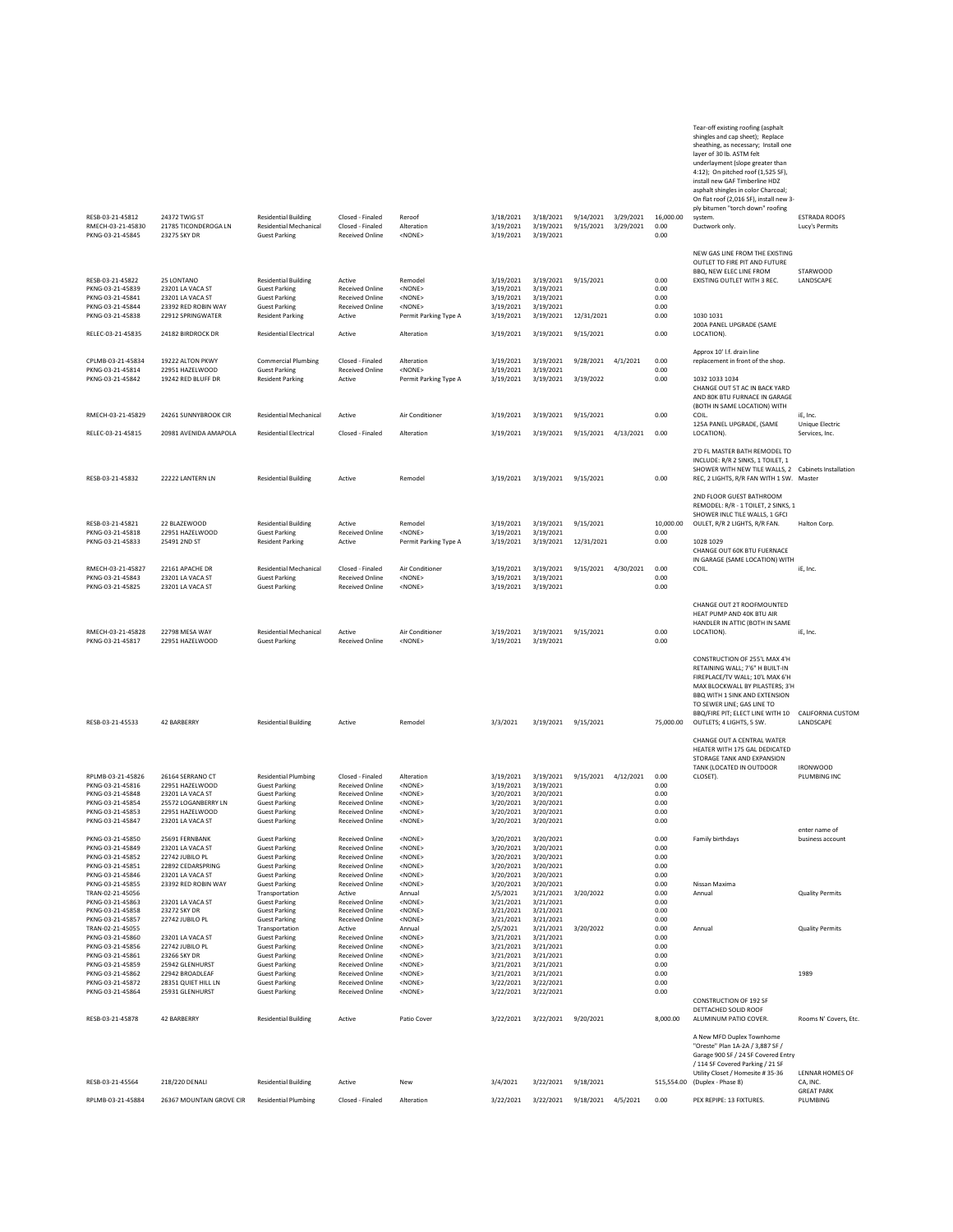| RESB-03-21-45812<br>RMECH-03-21-45830                                        | 24372 TWIG ST<br>21785 TICONDEROGA IN                                     | <b>Residential Building</b><br><b>Residential Mechanical</b>                                        | Closed - Finaled<br>Closed - Finaled                                                 | Reroof<br>Alteration                                                                  | 3/18/2021<br>3/19/2021              | 3/18/2021<br>3/19/2021                                               | 9/14/2021<br>9/15/2021  | 3/29/2021<br>3/29/2021 | 16,000.00<br>0.00            | Tear-off existing roofing (asphalt<br>shingles and cap sheet); Replace<br>sheathing, as necessary; Install one<br>layer of 30 lb. ASTM felt<br>underlayment (slope greater than<br>4:12); On pitched roof (1,525 SF),<br>install new GAF Timberline HDZ<br>asphalt shingles in color Charcoal;<br>On flat roof (2,016 SF), install new 3-<br>ply bitumen "torch down" roofing<br>system<br>Ductwork only. | <b>ESTRADA ROOFS</b><br>Lucy's Permits |
|------------------------------------------------------------------------------|---------------------------------------------------------------------------|-----------------------------------------------------------------------------------------------------|--------------------------------------------------------------------------------------|---------------------------------------------------------------------------------------|-------------------------------------|----------------------------------------------------------------------|-------------------------|------------------------|------------------------------|-----------------------------------------------------------------------------------------------------------------------------------------------------------------------------------------------------------------------------------------------------------------------------------------------------------------------------------------------------------------------------------------------------------|----------------------------------------|
| PKNG-03-21-45845                                                             | 23275 SKY DR                                                              | <b>Guest Parking</b>                                                                                | <b>Received Online</b>                                                               | <none></none>                                                                         | 3/19/2021                           | 3/19/2021                                                            |                         |                        | 0.00                         |                                                                                                                                                                                                                                                                                                                                                                                                           |                                        |
| RESB-03-21-45822<br>PKNG-03-21-45839<br>PKNG-03-21-45841<br>PKNG-03-21-45844 | 25 LONTANO<br>23201 LA VACA ST<br>23201 LA VACA ST<br>23392 RED ROBIN WAY | <b>Residential Building</b><br><b>Guest Parking</b><br><b>Guest Parking</b><br><b>Guest Parking</b> | Active<br><b>Received Online</b><br><b>Received Online</b><br><b>Received Online</b> | Remodel<br><none><br/><math>&lt;</math>NONE<math>&gt;</math><br/><none></none></none> | 3/19/2021<br>3/19/2021<br>3/19/2021 | 3/19/2021 3/19/2021 9/15/2021<br>3/19/2021<br>3/19/2021<br>3/19/2021 |                         |                        | 0.00<br>0.00<br>0.00<br>0.00 | NEW GAS LINE FROM THE EXISTING<br>OUTLET TO FIRE PIT AND FUTURE<br>BBQ, NEW ELEC LINE FROM<br>EXISTING OUTLET WITH 3 REC.                                                                                                                                                                                                                                                                                 | STARWOOD<br><b>LANDSCAPE</b>           |
| PKNG-03-21-45838<br>RELEC-03-21-45835                                        | 22912 SPRINGWATER<br>24182 BIRDROCK DR                                    | <b>Resident Parking</b><br>Residential Electrical                                                   | Active<br>Active                                                                     | Permit Parking Type A<br>Alteration                                                   | 3/19/2021<br>3/19/2021              | 3/19/2021                                                            | 12/31/2021<br>9/15/2021 |                        | 0.00<br>0.00                 | 1030 1031<br>200A PANEL UPGRADE (SAME<br>LOCATION).                                                                                                                                                                                                                                                                                                                                                       |                                        |
|                                                                              |                                                                           |                                                                                                     |                                                                                      |                                                                                       |                                     | 3/19/2021                                                            |                         |                        |                              | Approx 10' I.f. drain line                                                                                                                                                                                                                                                                                                                                                                                |                                        |
| CPLMB-03-21-45834<br>PKNG-03-21-45814<br>PKNG-03-21-45842                    | 19222 ALTON PKWY<br>22951 HAZELWOOD<br>19242 RED BLUFF DR                 | <b>Commercial Plumbing</b><br><b>Guest Parking</b><br><b>Resident Parking</b>                       | Closed - Finaled<br><b>Received Online</b><br>Active                                 | Alteration<br>$<$ NONE $>$<br>Permit Parking Type A                                   | 3/19/2021<br>3/19/2021<br>3/19/2021 | 3/19/2021<br>3/19/2021<br>3/19/2021                                  | 9/28/2021<br>3/19/2022  | 4/1/2021               | 0.00<br>0.00<br>0.00         | replacement in front of the shop.<br>1032 1033 1034<br>CHANGE OUT 5T AC IN BACK YARD<br>AND 80K BTU FURNACE IN GARAGE<br>(BOTH IN SAME LOCATION) WITH                                                                                                                                                                                                                                                     |                                        |
| RMECH-03-21-45829                                                            | 24261 SUNNYBROOK CIR                                                      | <b>Residential Mechanical</b>                                                                       | Active                                                                               | Air Conditioner                                                                       | 3/19/2021                           | 3/19/2021                                                            | 9/15/2021               |                        | 0.00                         | COIL.                                                                                                                                                                                                                                                                                                                                                                                                     | iE, Inc.                               |
| RELEC-03-21-45815                                                            | 20981 AVENIDA AMAPOLA                                                     | <b>Residential Electrical</b>                                                                       | Closed - Finaled                                                                     | Alteration                                                                            | 3/19/2021                           | 3/19/2021                                                            | 9/15/2021               | 4/13/2021              | 0.00                         | 125A PANEL UPGRADE, (SAME<br>LOCATION).                                                                                                                                                                                                                                                                                                                                                                   | Unique Electric<br>Services, Inc.      |
| RESB-03-21-45832                                                             | 22222 LANTERN LN                                                          | <b>Residential Building</b>                                                                         | Active                                                                               | Remodel                                                                               | 3/19/2021                           | 3/19/2021                                                            | 9/15/2021               |                        | 0.00                         | 2'D FL MASTER BATH REMODEL TO<br>INCLUDE: R/R 2 SINKS, 1 TOILET, 1<br>SHOWER WITH NEW TILE WALLS, 2<br>REC, 2 LIGHTS, R/R FAN WITH 1 SW. Master                                                                                                                                                                                                                                                           | Cabinets Installation                  |
|                                                                              |                                                                           |                                                                                                     |                                                                                      |                                                                                       |                                     |                                                                      |                         |                        |                              | 2ND FLOOR GUEST BATHROOM<br>REMODEL: R/R - 1 TOILET, 2 SINKS, 1<br>SHOWER INLC TILE WALLS, 1 GFCI                                                                                                                                                                                                                                                                                                         |                                        |
| RESB-03-21-45821<br>PKNG-03-21-45818                                         | 22 BLAZEWOOD<br>22951 HAZELWOOD                                           | <b>Residential Building</b><br><b>Guest Parking</b>                                                 | Active<br><b>Received Online</b>                                                     | Remodel<br><none></none>                                                              | 3/19/2021<br>3/19/2021              | 3/19/2021<br>3/19/2021                                               | 9/15/2021               |                        | 10,000.00<br>0.00            | OULET, R/R 2 LIGHTS, R/R FAN.                                                                                                                                                                                                                                                                                                                                                                             | Halton Corp.                           |
| PKNG-03-21-45833                                                             | 25491 2ND ST                                                              | <b>Resident Parking</b>                                                                             | Active                                                                               | Permit Parking Type A                                                                 | 3/19/2021                           | 3/19/2021                                                            | 12/31/2021              |                        | 0.00                         | 1028 1029<br>CHANGE OUT 60K BTU FUERNACE<br>IN GARAGE (SAME LOCATION) WITH                                                                                                                                                                                                                                                                                                                                |                                        |
| RMECH-03-21-45827<br>PKNG-03-21-45843<br>PKNG-03-21-45825                    | 22161 APACHE DR<br>23201 LA VACA ST<br>23201 LA VACA ST                   | <b>Residential Mechanical</b><br><b>Guest Parking</b><br><b>Guest Parking</b>                       | Closed - Finaled<br><b>Received Online</b><br><b>Received Online</b>                 | Air Conditioner<br><none><br/><none></none></none>                                    | 3/19/2021<br>3/19/2021<br>3/19/2021 | 3/19/2021<br>3/19/2021<br>3/19/2021                                  | 9/15/2021               | 4/30/2021              | 0.00<br>0.00<br>0.00         | COIL.                                                                                                                                                                                                                                                                                                                                                                                                     | iE. Inc.                               |
| RMECH-03-21-45828<br>PKNG-03-21-45817                                        | 22798 MESA WAY<br>22951 HAZELWOOD                                         | <b>Residential Mechanical</b><br><b>Guest Parking</b>                                               | Active<br><b>Received Online</b>                                                     | Air Conditioner<br><none></none>                                                      | 3/19/2021<br>3/19/2021              | 3/19/2021<br>3/19/2021                                               | 9/15/2021               |                        | 0.00<br>0.00                 | CHANGE OUT 2T ROOFMOUNTED<br>HEAT PUMP AND 40K BTU AIR<br>HANDLER IN ATTIC (BOTH IN SAME<br>LOCATION).                                                                                                                                                                                                                                                                                                    | iE. Inc.                               |
| RESB-03-21-45533                                                             | 42 BARBERRY                                                               | <b>Residential Building</b>                                                                         | Active                                                                               | Remodel                                                                               | 3/3/2021                            | 3/19/2021                                                            | 9/15/2021               |                        | 75,000.00                    | CONSTRUCTION OF 255'L MAX 4'H<br>RETAINING WALL; 7'6" H BUILT-IN<br>FIREPLACE/TV WALL; 10'L MAX 6'H<br>MAX BLOCKWALL BY PILASTERS; 3'H<br>BBQ WITH 1 SINK AND EXTENSION<br>TO SEWER LINE; GAS LINE TO<br>BBQ/FIRE PIT: ELECT LINE WITH 10<br>OUTLETS; 4 LIGHTS, 5 SW.                                                                                                                                     | CALIFORNIA CUSTOM<br><b>LANDSCAPE</b>  |
|                                                                              |                                                                           |                                                                                                     |                                                                                      |                                                                                       |                                     |                                                                      |                         |                        |                              | CHANGE OUT A CENTRAL WATER<br>HEATER WITH 175 GAL DEDICATED<br>STORAGE TANK AND EXPANSION                                                                                                                                                                                                                                                                                                                 |                                        |
| RPLMB-03-21-45826                                                            | 26164 SERRANO CT                                                          | <b>Residential Plumbing</b>                                                                         | Closed - Finaled                                                                     | Alteration                                                                            | 3/19/2021                           | 3/19/2021                                                            | 9/15/2021 4/12/2021     |                        | 0.00                         | TANK (LOCATED IN OUTDOOR<br>CLOSET).                                                                                                                                                                                                                                                                                                                                                                      | <b>IRONWOOD</b><br>PLUMBING INC        |
| PKNG-03-21-45816<br>PKNG-03-21-45848                                         | 22951 HAZELWOOD<br>23201 LA VACA ST                                       | <b>Guest Parking</b><br><b>Guest Parking</b>                                                        | <b>Received Online</b><br><b>Received Online</b>                                     | <none><br/><math>&lt;</math>NONE<math>&gt;</math></none>                              | 3/19/2021<br>3/20/2021              | 3/19/2021<br>3/20/2021                                               |                         |                        | 0.00<br>0.00                 |                                                                                                                                                                                                                                                                                                                                                                                                           |                                        |
| PKNG-03-21-45854                                                             | 25572 LOGANBERRY LN                                                       | <b>Guest Parking</b>                                                                                | <b>Received Online</b>                                                               | <none><br/><none></none></none>                                                       | 3/20/2021                           | 3/20/2021                                                            |                         |                        | 0.00<br>0.00                 |                                                                                                                                                                                                                                                                                                                                                                                                           |                                        |
| PKNG-03-21-45853<br>PKNG-03-21-45847                                         | 22951 HAZELWOOD<br>23201 LA VACA ST                                       | <b>Guest Parking</b><br><b>Guest Parking</b>                                                        | <b>Received Online</b><br><b>Received Online</b>                                     | <none></none>                                                                         | 3/20/2021<br>3/20/2021              | 3/20/2021<br>3/20/2021                                               |                         |                        | 0.00                         |                                                                                                                                                                                                                                                                                                                                                                                                           |                                        |
| PKNG-03-21-45850                                                             | 25691 FERNBANK                                                            | <b>Guest Parking</b>                                                                                | <b>Received Online</b>                                                               | <none></none>                                                                         | 3/20/2021                           | 3/20/2021                                                            |                         |                        | 0.00                         | Family birthdays                                                                                                                                                                                                                                                                                                                                                                                          | enter name of<br>business account      |
| PKNG-03-21-45849<br>PKNG-03-21-45852                                         | 23201 LA VACA ST<br>22742 JUBILO PL                                       | <b>Guest Parking</b><br><b>Guest Parking</b>                                                        | <b>Received Online</b><br><b>Received Online</b>                                     | <none><br/><math>&lt;</math>NONE<math>&gt;</math></none>                              | 3/20/2021<br>3/20/2021              | 3/20/2021<br>3/20/2021                                               |                         |                        | 0.00<br>0.00                 |                                                                                                                                                                                                                                                                                                                                                                                                           |                                        |
| PKNG-03-21-45851                                                             | 22892 CEDARSPRING                                                         | <b>Guest Parking</b>                                                                                | <b>Received Online</b>                                                               | <none></none>                                                                         | 3/20/2021                           | 3/20/2021                                                            |                         |                        | 0.00                         |                                                                                                                                                                                                                                                                                                                                                                                                           |                                        |
| PKNG-03-21-45846<br>PKNG-03-21-45855                                         | 23201 LA VACA ST<br>23392 RED ROBIN WAY                                   | <b>Guest Parking</b><br><b>Guest Parking</b>                                                        | <b>Received Online</b><br><b>Received Online</b>                                     | <none><br/><math>&lt;</math>NONE&gt;</none>                                           | 3/20/2021<br>3/20/2021              | 3/20/2021<br>3/20/2021                                               |                         |                        | 0.00<br>0.00                 | Nissan Maxima                                                                                                                                                                                                                                                                                                                                                                                             |                                        |
| TRAN-02-21-45056                                                             |                                                                           | Transportation                                                                                      | Active                                                                               | Annual                                                                                | 2/5/2021                            | 3/21/2021                                                            | 3/20/2022               |                        | 0.00                         | Annual                                                                                                                                                                                                                                                                                                                                                                                                    | <b>Quality Permits</b>                 |
| PKNG-03-21-45863<br>PKNG-03-21-45858                                         | 23201 LA VACA ST<br>23272 SKY DR                                          | <b>Guest Parking</b><br><b>Guest Parking</b>                                                        | <b>Received Online</b><br><b>Received Online</b>                                     | <none><br/><none></none></none>                                                       | 3/21/2021<br>3/21/2021              | 3/21/2021<br>3/21/2021                                               |                         |                        | 0.00<br>0.00                 |                                                                                                                                                                                                                                                                                                                                                                                                           |                                        |
| PKNG-03-21-45857                                                             | 22742 JUBILO PL                                                           | <b>Guest Parking</b>                                                                                | <b>Received Online</b>                                                               | $<$ NONE $>$                                                                          | 3/21/2021                           | 3/21/2021                                                            |                         |                        | 0.00                         |                                                                                                                                                                                                                                                                                                                                                                                                           |                                        |
| TRAN-02-21-45055<br>PKNG-03-21-45860                                         | 23201 LA VACA ST                                                          | Transportation<br><b>Guest Parking</b>                                                              | Active<br><b>Received Online</b>                                                     | Annual<br><none></none>                                                               | 2/5/2021<br>3/21/2021               | 3/21/2021<br>3/21/2021                                               | 3/20/2022               |                        | 0.00<br>0.00                 | Annual                                                                                                                                                                                                                                                                                                                                                                                                    | <b>Quality Permits</b>                 |
| PKNG-03-21-45856                                                             | 22742 JUBILO PL                                                           | <b>Guest Parking</b>                                                                                | <b>Received Online</b>                                                               | <none></none>                                                                         | 3/21/2021                           | 3/21/2021                                                            |                         |                        | 0.00                         |                                                                                                                                                                                                                                                                                                                                                                                                           |                                        |
| PKNG-03-21-45861<br>PKNG-03-21-45859                                         | 23266 SKY DR<br>25942 GLENHURST                                           | <b>Guest Parking</b><br><b>Guest Parking</b>                                                        | <b>Received Online</b><br><b>Received Online</b>                                     | $<$ NONE $>$<br><none></none>                                                         | 3/21/2021<br>3/21/2021              | 3/21/2021<br>3/21/2021                                               |                         |                        | 0.00<br>0.00                 |                                                                                                                                                                                                                                                                                                                                                                                                           |                                        |
| PKNG-03-21-45862                                                             | 22942 BROADLEAF                                                           | <b>Guest Parking</b>                                                                                | <b>Received Online</b>                                                               | $<$ NONE $>$                                                                          | 3/21/2021                           | 3/21/2021                                                            |                         |                        | 0.00                         |                                                                                                                                                                                                                                                                                                                                                                                                           | 1989                                   |
| PKNG-03-21-45872<br>PKNG-03-21-45864                                         | 28351 QUIET HILL LN<br>25931 GLENHURST                                    | <b>Guest Parking</b><br><b>Guest Parking</b>                                                        | <b>Received Online</b><br><b>Received Online</b>                                     | $<$ NONE $>$<br><none></none>                                                         | 3/22/2021<br>3/22/2021              | 3/22/2021<br>3/22/2021                                               |                         |                        | 0.00<br>0.00                 |                                                                                                                                                                                                                                                                                                                                                                                                           |                                        |
| RESB-03-21-45878                                                             | 42 BARBERRY                                                               | <b>Residential Building</b>                                                                         | Active                                                                               | Patio Cover                                                                           | 3/22/2021                           | 3/22/2021                                                            | 9/20/2021               |                        | 8,000.00                     | CONSTRUCTION OF 192 SE<br>DETTACHED SOLID ROOF<br>ALUMINUM PATIO COVER.                                                                                                                                                                                                                                                                                                                                   | Rooms N' Covers, Etc.                  |
|                                                                              |                                                                           |                                                                                                     |                                                                                      |                                                                                       |                                     |                                                                      |                         |                        |                              | A New MFD Duplex Townhome<br>"Oreste" Plan 1A-2A / 3,887 SF /<br>Garage 900 SF / 24 SF Covered Entry<br>/ 114 SF Covered Parking / 21 SF                                                                                                                                                                                                                                                                  |                                        |
| RESB-03-21-45564                                                             | 218/220 DENALI                                                            | <b>Residential Building</b>                                                                         | Active                                                                               | New                                                                                   | 3/4/2021                            | 3/22/2021                                                            | 9/18/2021               |                        | 515,554.00                   | Utility Closet / Homesite #35-36<br>(Duplex - Phase 8)                                                                                                                                                                                                                                                                                                                                                    | LENNAR HOMES OF<br>CA, INC.            |
| RPLMB-03-21-45884                                                            | 26367 MOUNTAIN GROVE CIR                                                  | <b>Residential Plumbing</b>                                                                         | Closed - Finaled                                                                     | Alteration                                                                            | 3/22/2021                           | 3/22/2021                                                            | 9/18/2021 4/5/2021      |                        | 0.00                         | PEX REPIPE: 13 FIXTURES.                                                                                                                                                                                                                                                                                                                                                                                  | <b>GREAT PARK</b><br>PLUMBING          |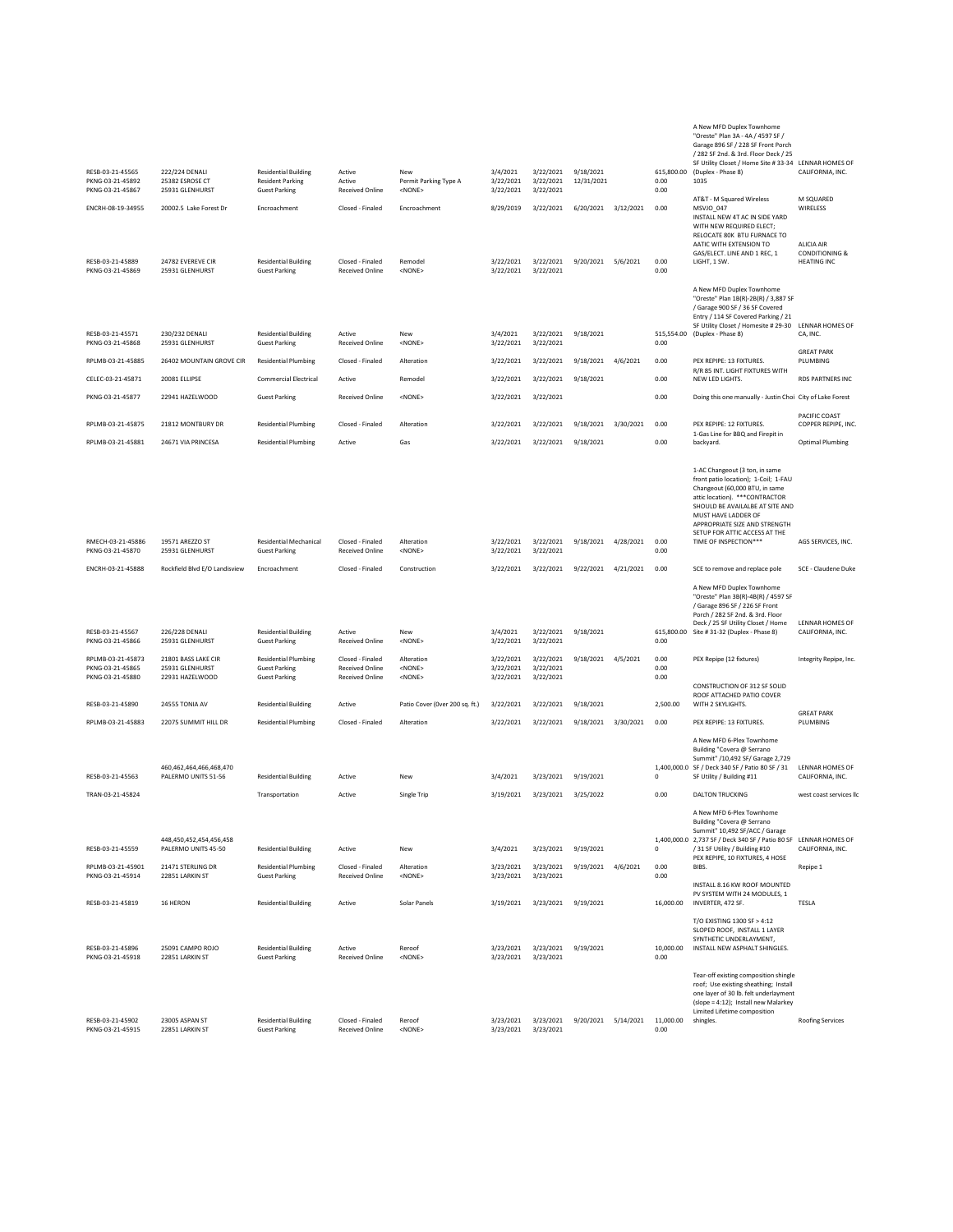| RESB-03-21-45565<br>PKNG-03-21-45892  | 222/224 DENALI<br>25382 ESROSE CT                                   | <b>Residential Building</b><br><b>Resident Parking</b>     | Active<br>Active                                 | New<br>Permit Parking Type A    | 3/4/2021<br>3/22/2021  | 3/22/2021<br>3/22/2021 | 9/18/2021<br>12/31/2021 |           | 615,800.00<br>0.00 | A New MFD Duplex Townhome<br>"Oreste" Plan 3A - 4A / 4597 SF /<br>Garage 896 SF / 228 SF Front Porch<br>/ 282 SF 2nd. & 3rd. Floor Deck / 25<br>SF Utility Closet / Home Site #33-34 LENNAR HOMES OF<br>(Duplex - Phase 8)<br>1035                                                               | CALIFORNIA, INC.                                              |
|---------------------------------------|---------------------------------------------------------------------|------------------------------------------------------------|--------------------------------------------------|---------------------------------|------------------------|------------------------|-------------------------|-----------|--------------------|--------------------------------------------------------------------------------------------------------------------------------------------------------------------------------------------------------------------------------------------------------------------------------------------------|---------------------------------------------------------------|
| PKNG-03-21-45867<br>ENCRH-08-19-34955 | 25931 GLENHURST<br>20002.5 Lake Forest Dr                           | <b>Guest Parking</b><br>Encroachment                       | <b>Received Online</b><br>Closed - Finaled       | <none><br/>Encroachment</none>  | 3/22/2021<br>8/29/2019 | 3/22/2021<br>3/22/2021 | 6/20/2021               | 3/12/2021 | 0.00<br>0.00       | AT&T - M Squared Wireless<br>MSVJO_047<br>INSTALL NEW 4T AC IN SIDE YARD                                                                                                                                                                                                                         | M SQUARED<br>WIRELESS                                         |
| RESB-03-21-45889<br>PKNG-03-21-45869  | 24782 EVEREVE CIR<br>25931 GLENHURST                                | <b>Residential Building</b><br><b>Guest Parking</b>        | Closed - Finaled<br><b>Received Online</b>       | Remodel<br><none></none>        | 3/22/2021<br>3/22/2021 | 3/22/2021<br>3/22/2021 | 9/20/2021               | 5/6/2021  | 0.00<br>0.00       | WITH NEW REQUIRED ELECT;<br>RELOCATE 80K BTU FURNACE TO<br>AATIC WITH EXTENSION TO<br>GAS/ELECT, LINE AND 1 REC. 1<br>LIGHT, 1 SW.                                                                                                                                                               | ALICIA AIR<br><b>CONDITIONING &amp;</b><br><b>HEATING INC</b> |
|                                       |                                                                     |                                                            |                                                  |                                 |                        |                        |                         |           |                    | A New MFD Duplex Townhome<br>"Oreste" Plan 1B(R)-2B(R) / 3,887 SF<br>/ Garage 900 SF / 36 SF Covered<br>Entry / 114 SF Covered Parking / 21<br>SF Utility Closet / Homesite #29-30 LENNAR HOMES OF                                                                                               |                                                               |
| RESB-03-21-45571<br>PKNG-03-21-45868  | 230/232 DENALI<br>25931 GLENHURST                                   | <b>Residential Building</b><br><b>Guest Parking</b>        | Active<br><b>Received Online</b>                 | New<br><none></none>            | 3/4/2021<br>3/22/2021  | 3/22/2021<br>3/22/2021 | 9/18/2021               |           | 0.00               | 515,554.00 (Duplex - Phase 8)                                                                                                                                                                                                                                                                    | CA, INC.                                                      |
| RPLMB-03-21-45885                     | 26402 MOUNTAIN GROVE CIR                                            | <b>Residential Plumbing</b>                                | Closed - Finaled                                 | Alteration                      | 3/22/2021              | 3/22/2021              | 9/18/2021               | 4/6/2021  | 0.00               | PEX REPIPE: 13 FIXTURES.                                                                                                                                                                                                                                                                         | <b>GREAT PARK</b><br>PLUMBING                                 |
| CELEC-03-21-45871                     | 20081 ELLIPSE                                                       | <b>Commercial Electrical</b>                               | Active                                           | Remodel                         | 3/22/2021              | 3/22/2021              | 9/18/2021               |           | 0.00               | R/R 85 INT. LIGHT FIXTURES WITH<br>NEW LED LIGHTS.                                                                                                                                                                                                                                               | RDS PARTNERS INC                                              |
| PKNG-03-21-45877                      | 22941 HAZELWOOD                                                     | <b>Guest Parking</b>                                       | <b>Received Online</b>                           | <none></none>                   | 3/22/2021              | 3/22/2021              |                         |           | 0.00               | Doing this one manually - Justin Choi City of Lake Forest                                                                                                                                                                                                                                        |                                                               |
|                                       |                                                                     |                                                            |                                                  |                                 |                        |                        |                         |           |                    |                                                                                                                                                                                                                                                                                                  | PACIFIC COAST                                                 |
| RPLMB-03-21-45875                     | 21812 MONTBURY DR                                                   | <b>Residential Plumbing</b>                                | Closed - Finaled                                 | Alteration                      | 3/22/2021              | 3/22/2021              | 9/18/2021               | 3/30/2021 | 0.00               | PEX REPIPE: 12 FIXTURES.<br>1-Gas Line for BBQ and Firepit in                                                                                                                                                                                                                                    | COPPER REPIPE, INC.                                           |
| RPLMB-03-21-45881                     | 24671 VIA PRINCESA                                                  | <b>Residential Plumbing</b>                                | Active                                           | Gas                             | 3/22/2021              | 3/22/2021              | 9/18/2021               |           | 0.00               | backyard.                                                                                                                                                                                                                                                                                        | <b>Optimal Plumbing</b>                                       |
| RMECH-03-21-45886<br>PKNG-03-21-45870 | 19571 AREZZO ST<br>25931 GLENHURST                                  | <b>Residential Mechanical</b><br><b>Guest Parking</b>      | Closed - Finaled<br><b>Received Online</b>       | Alteration<br><none></none>     | 3/22/2021<br>3/22/2021 | 3/22/2021<br>3/22/2021 | 9/18/2021               | 4/28/2021 | 0.00<br>0.00       | 1-AC Changeout (3 ton, in same<br>front patio location); 1-Coil; 1-FAU<br>Changeout (60,000 BTU, in same<br>attic location). *** CONTRACTOR<br>SHOULD BE AVAILALBE AT SITE AND<br>MUST HAVE LADDER OF<br>APPROPRIATE SIZE AND STRENGTH<br>SETUP FOR ATTIC ACCESS AT THE<br>TIME OF INSPECTION*** | AGS SERVICES, INC.                                            |
| ENCRH-03-21-45888                     | Rockfield Blvd E/O Landisview                                       | Encroachment                                               | Closed - Finaled                                 | Construction                    | 3/22/2021              | 3/22/2021              | 9/22/2021               | 4/21/2021 | 0.00               | SCE to remove and replace pole                                                                                                                                                                                                                                                                   | SCE - Claudene Duke                                           |
| RESB-03-21-45567                      | 226/228 DENALI                                                      | <b>Residential Building</b>                                | Active                                           | New                             | 3/4/2021               | 3/22/2021              | 9/18/2021               |           |                    | A New MFD Duplex Townhome<br>"Oreste" Plan 3B(R)-4B(R) / 4597 SF<br>/ Garage 896 SF / 226 SF Front<br>Porch / 282 SF 2nd. & 3rd. Floor<br>Deck / 25 SF Utility Closet / Home<br>615,800.00 Site # 31-32 (Duplex - Phase 8)                                                                       | LENNAR HOMES OF<br>CALIFORNIA, INC.                           |
| PKNG-03-21-45866<br>RPLMB-03-21-45873 | 25931 GLENHURST<br>21801 BASS LAKE CIR                              | <b>Guest Parking</b><br><b>Residential Plumbing</b>        | <b>Received Online</b><br>Closed - Finaled       | <none><br/>Alteration</none>    | 3/22/2021<br>3/22/2021 | 3/22/2021<br>3/22/2021 | 9/18/2021               | 4/5/2021  | 0.00<br>0.00       | PEX Repipe (12 fixtures)                                                                                                                                                                                                                                                                         | Integrity Repipe, Inc.                                        |
| PKNG-03-21-45865<br>PKNG-03-21-45880  | 25931 GLENHURST<br>22931 HAZELWOOD                                  | <b>Guest Parking</b><br><b>Guest Parking</b>               | <b>Received Online</b><br><b>Received Online</b> | <none><br/><none></none></none> | 3/22/2021<br>3/22/2021 | 3/22/2021<br>3/22/2021 |                         |           | 0.00<br>0.00       | CONSTRUCTION OF 312 SF SOLID                                                                                                                                                                                                                                                                     |                                                               |
| RESB-03-21-45890                      | 24555 TONIA AV                                                      | <b>Residential Building</b>                                | Active                                           | Patio Cover (Over 200 sq. ft.)  | 3/22/2021              | 3/22/2021              | 9/18/2021               |           | 2,500.00           | ROOF ATTACHED PATIO COVER<br>WITH 2 SKYLIGHTS.                                                                                                                                                                                                                                                   |                                                               |
| RPLMB-03-21-45883                     | 22075 SUMMIT HILL DR                                                | <b>Residential Plumbing</b>                                | Closed - Finaled                                 | Alteration                      | 3/22/2021              | 3/22/2021              | 9/18/2021               | 3/30/2021 | 0.00               | PEX REPIPE: 13 FIXTURES.                                                                                                                                                                                                                                                                         | <b>GREAT PARK</b><br>PLUMBING                                 |
| RESB-03-21-45563                      | 460,462,464,466,468,470<br>PALERMO UNITS 51-56                      | <b>Residential Building</b>                                | Active                                           | New                             | 3/4/2021               | 3/23/2021              | 9/19/2021               |           | 0                  | A New MFD 6-Plex Townhome<br>Building "Covera @ Serrano<br>Summit" /10,492 SF/ Garage 2,729<br>1,400,000.0 SF / Deck 340 SF / Patio 80 SF / 31<br>SF Utility / Building #11                                                                                                                      | LENNAR HOMES OF<br>CALIFORNIA, INC.                           |
| TRAN-03-21-45824                      |                                                                     | Transportation                                             | Active                                           | Single Trip                     | 3/19/2021              | 3/23/2021 3/25/2022    |                         |           | 0.00               | <b>DALTON TRUCKING</b>                                                                                                                                                                                                                                                                           | west coast services ll                                        |
| RESB-03-21-45559<br>RPLMB-03-21-45901 | 448,450,452,454,456,458<br>PALERMO UNITS 45-50<br>21471 STERLING DR | <b>Residential Building</b><br><b>Residential Plumbing</b> | Active<br>Closed - Finaled                       | New                             | 3/4/2021               | 3/23/2021              | 9/19/2021               |           | $^{\circ}$<br>0.00 | A New MFD 6-Plex Townhome<br>Building "Covera @ Serrano<br>Summit" 10,492 SF/ACC / Garage<br>1,400,000.0 2,737 SF / Deck 340 SF / Patio 80 SF LENNAR HOMES OF<br>/ 31 SF Utility / Building #10<br>PEX REPIPE, 10 FIXTURES, 4 HOSE<br>BIBS.                                                      | CALIFORNIA, INC.                                              |
| PKNG-03-21-45914                      | 22851 LARKIN ST                                                     | <b>Guest Parking</b>                                       | <b>Received Online</b>                           | Alteration<br><none></none>     | 3/23/2021<br>3/23/2021 | 3/23/2021<br>3/23/2021 | 9/19/2021 4/6/2021      |           | 0.00               | INSTALL 8.16 KW ROOF MOUNTED                                                                                                                                                                                                                                                                     | Repipe 1                                                      |
| RESB-03-21-45819                      | 16 HERON                                                            | <b>Residential Building</b>                                | Active                                           | Solar Panels                    | 3/19/2021              | 3/23/2021              | 9/19/2021               |           | 16,000.00          | PV SYSTEM WITH 24 MODULES, 1<br>INVERTER, 472 SF.                                                                                                                                                                                                                                                | TESLA                                                         |
| RESB-03-21-45896<br>PKNG-03-21-45918  | 25091 CAMPO ROJO<br>22851 LARKIN ST                                 | <b>Residential Building</b><br><b>Guest Parking</b>        | Active<br><b>Received Online</b>                 | Reroof<br><none></none>         | 3/23/2021<br>3/23/2021 | 3/23/2021<br>3/23/2021 | 9/19/2021               |           | 10,000.00<br>0.00  | T/O EXISTING 1300 SF > 4:12<br>SLOPED ROOF, INSTALL 1 LAYER<br>SYNTHETIC UNDERLAYMENT,<br>INSTALL NEW ASPHALT SHINGLES.                                                                                                                                                                          |                                                               |
| RESB-03-21-45902<br>PKNG-03-21-45915  | 23005 ASPAN ST<br>22851 LARKIN ST                                   | <b>Residential Building</b><br><b>Guest Parking</b>        | Closed - Finaled<br><b>Received Online</b>       | Reroof<br><none></none>         | 3/23/2021<br>3/23/2021 | 3/23/2021<br>3/23/2021 | 9/20/2021 5/14/2021     |           | 11,000.00<br>0.00  | Tear-off existing composition shingle<br>roof; Use existing sheathing; Install<br>one layer of 30 lb. felt underlayment<br>(slope = 4:12); Install new Malarkey<br>Limited Lifetime composition<br>shingles.                                                                                     | <b>Roofing Services</b>                                       |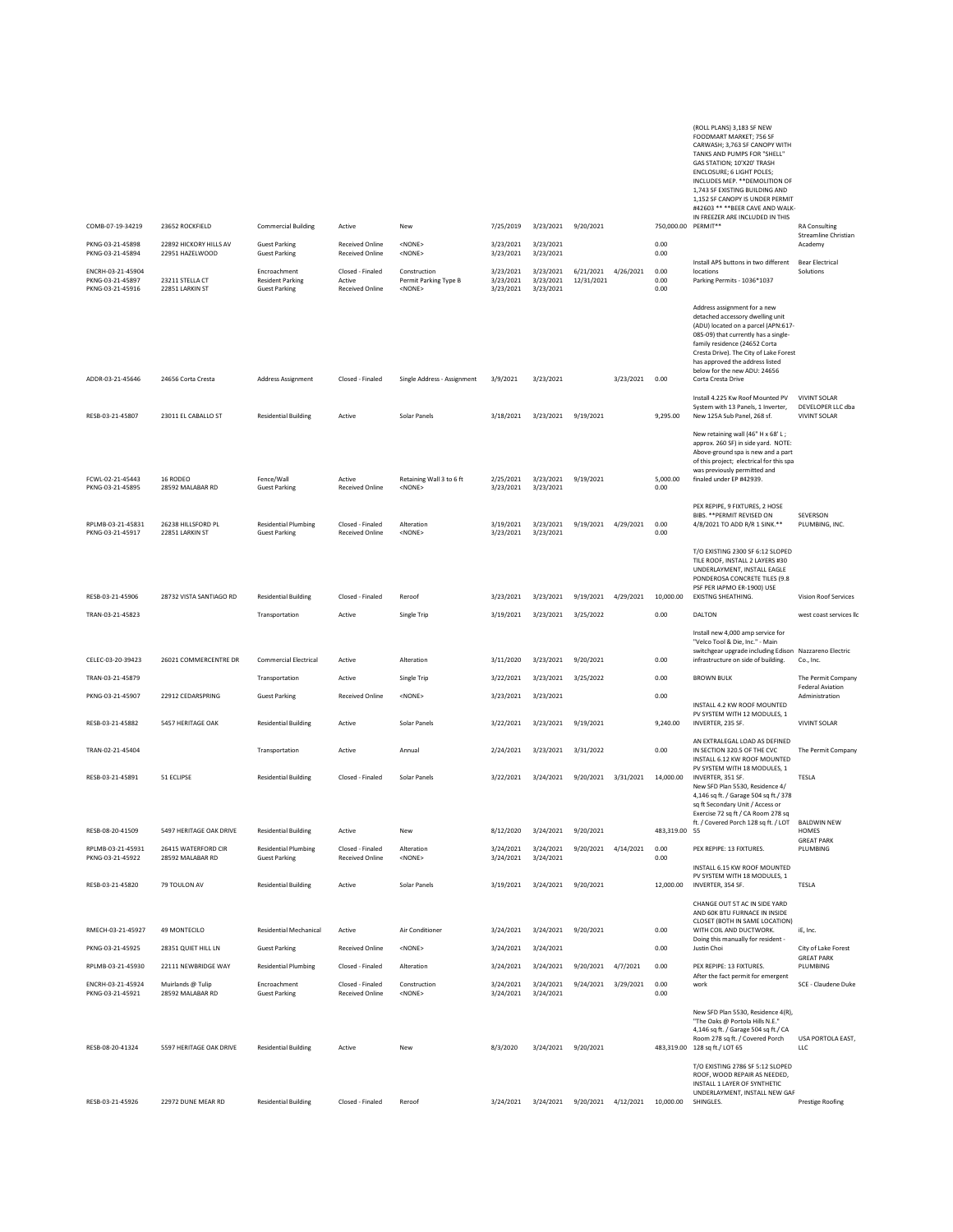COMB-07-19-34219 23652 ROCKFIELD Commercial Building Active New 7/25/2019 3/23/2021 9/20/2021 750,000.00 TANKS AND PUMPS FOR "SHELL" GAS STATION; 10'X20' TRASH ENCLOSURE; 6 LIGHT POLES; INCLUDES MEP. \*\*DEMOLITION OF 1,743 SF EXISTING BUILDING AND 1,152 SF CANOPY IS UNDER PERMIT #42603 \*\* \*\*BEER CAVE AND WALK-IN FREEZER ARE INCLUDED IN THIS<br>PERMIT\*\* RA Consulting PKNG-03-21-45898 22892 HICKORY HILLS AV Guest Parking Received Online <NONE> 3/23/2021 3/23/2021 3/23/2021 3/23/2021 0.00<br>PKNG-03-21-45894 22951 HAZELWOOD Guest Parking Received Online <NONE> 3/23/2021 3/23/2021 Streamline Christian Academy PKNG-03-21-45894 22951 HAZELWOOD Guest Parking Received Online <NONE> 3/23/2021 3/23/2021 0.00 ENCRH-03-21-45904 Encroachment Closed - Finaled Construction 3/23/2021 3/23/2021 6/21/2021 4/26/2021 0.00 Install APS buttons in two different locations PKNG-03-21-45897 23211 STELLA CT Resident Parking Active Permit Parking Type B 3/23/2021 3/23/2021 12/31/2021 0.00 Parking Permits - 1036\*1037 Bear Electrical Solutions PKNG-03-21-45916 22851 LARKIN ST Guest Parking Received Online <NONE> 3/23/2021 3/23/2021 0.00 ADDR-03-21-45646 24656 Corta Cresta Address Assignment Closed - Finaled Single Address - Assignment 3/9/2021 3/23/2021 3/23/2021 0.00 Address assignment for a new detached accessory dwelling unit (ADU) located on a parcel (APN:617- 085-09) that currently has a singlefamily residence (24652 Corta Cresta Drive). The City of Lake Forest has approved the address listed below for the new ADU: 24656 Corta Cresta Drive RESB-03-21-45807 23011 EL CABALLO ST Residential Building Active Solar Panels 3/18/2021 3/23/2021 9/19/2021 9,295.00 Install 4.225 Kw Roof Mounted PV System with 13 Panels, 1 Inverter, New 125A Sub Panel, 268 sf. VIVINT SOLAR DEVELOPER LLC dba VIVINT SOLAR FCWL-02-21-45443 16 RODEO Fence/Wall Active Retaining Wall 3 to 6 ft 2/25/2021 3/23/2021 9/19/2021 5,000.00 New retaining wall (46" H x 68' L ; approx. 260 SF) in side yard. NOTE: Above-ground spa is new and a part of this project; electrical for this spa was previously permitted and finaled under EP #42939. PKNG-03-21-45895 28592 MALABAR RD Guest Parking Received Online <NONE> 3/23/2021 3/23/2021 0.00 RPLMB-03-21-45831 26238 HILLSFORD PL Residential Plumbing Closed - Finaled Alteration 3/19/2021 3/23/2021 9/19/2021 4/29/2021 0.00 PEX REPIPE, 9 FIXTURES, 2 HOSE BIBS. \*\*PERMIT REVISED ON 4/8/2021 TO ADD R/R 1 SINK.\*\* SEVERSON PLUMBING, INC. PKNG-03-21-45917 22851 LARKIN ST Guest Parking Received Online <NONE> 3/23/2021 3/23/2021 0.00 RESB-03-21-45906 28732 VISTA SANTIAGO RD Residential Building Closed - Finaled Reroof 3/23/2021 3/23/2021 9/19/2021 4/29/2021 10,000.00 T/O EXISTING 2300 SF 6:12 SLOPED TILE ROOF, INSTALL 2 LAYERS #30 UNDERLAYMENT, INSTALL EAGLE PONDEROSA CONCRETE TILES (9.8 PSF PER IAPMO ER-1900) USE EXISTNG SHEATHING. Vision Roof Services TRAN-03-21-45823 Transportation Active Single Trip 3/19/2021 3/23/2021 3/25/2022 0.00 DALTON west coast services llc CELEC-03-20-39423 26021 COMMERCENTRE DR Commercial Electrical Active Alteration 3/11/2020 3/23/2021 9/20/2021 0.00 Install new 4,000 amp service for "Velco Tool & Die, Inc." - Main switchgear upgrade including Edison Nazzareno Electric<br>infrastructure on side of building. Co., Inc. TRAN-03-21-45879 TRANSPORTATION TRANSPORTATION ACtive Single Trip 3/22/2021 3/23/2021 3/25/2022 0.00 BROWN BULK The Permit Company PKNG-03-21-45907 22912 CEDARSPRING Guest Parking Received Online <NONE> 3/23/2021 3/23/2021 0.00 Federal Aviation Administration RESB-03-21-45882 5457 HERITAGE OAK Residential Building Active Solar Panels 3/22/2021 3/23/2021 9/19/2021 9,240.00 INSTALL 4.2 KW ROOF MOUNTED PV SYSTEM WITH 12 MODULES, 1 INVERTER, 235 SF. VIVINT SOLAR TRAN-02-21-45404 Transportation Active Annual 2/24/2021 3/23/2021 3/31/2022 0.00 AN EXTRALEGAL LOAD AS DEFINED IN SECTION 320.5 OF THE CVC The Permit Company RESB-03-21-45891 51 ECLIPSE Residential Building Closed - Finaled Solar Panels 3/22/2021 3/24/2021 9/20/2021 3/31/2021 14,000.00 INSTALL 6.12 KW ROOF MOUNTED PV SYSTEM WITH 18 MODULES, 1 INVERTER, 351 SF. TESLA RESB-08-20-41509 5497 HERITAGE OAK DRIVE Residential Building Active New New 8/12/2020 3/24/2021 9/20/2021 New SFD Plan 5530, Residence 4/ 4,146 sq ft. / Garage 504 sq ft./ 378 sq ft Secondary Unit / Access or Exercise 72 sq ft / CA Room 278 sq ft. / Covered Porch 128 sq ft. / LOT 483,319.00 55 BALDWIN NEW HOMES RPLMB-03-21-45931 26415 WATERFORD CIR Residential Plumbing Closed - Finaled Alteration 3/24/2021 3/24/2021 9/20/2021 4/14/2021 0.00 PEX REPIPE: 13 FIXTURES. GREAT PARK PLUMBING PKNG-03-21-45922 28592 MALABAR RD Guest Parking Received Online <NONE> 3/24/2021 3/24/2021 0.00 RESB-03-21-45820 79 TOULON AV Residential Building Active Solar Panels 3/19/2021 3/24/2021 9/20/2021 12,000.00 INSTALL 6.15 KW ROOF MOUNTED PV SYSTEM WITH 18 MODULES, 1 INVERTER, 354 SF. TESLA RMECH-03-21-45927 49 MONTECILO Residential Mechanical Active Air Conditioner 3/24/2021 3/24/2021 9/20/2021 0.00 CHANGE OUT 5T AC IN SIDE YARD AND 60K BTU FURNACE IN INSIDE CLOSET (BOTH IN SAME LOCATION) WITH COIL AND DUCTWORK. **iF**, Inc. PKNG-03-21-45925 28351 QUIET HILL LN Guest Parking Received Online <NONE> 3/24/2021 3/24/2021 0.00 Doing this manually for resident<br>Justin Choi City of Lake Forest RPLMB-03-21-45930 22111 NEWBRIDGE WAY Residential Plumbing Closed - Finaled Alteration 3/24/2021 3/24/2021 9/20/2021 4/7/2021 0.00 PEX REPIPE: 13 FIXTURES. GREAT PARK PLUMBING ENCEH-03-21-45924 Muirlands Eulip Encroachment Closed Finaled Construction - 3/24/2021 3/24/2021 3/24/2021 3/29/2021 0.00<br>PKNG-03-21-45921 28592 MALABAR RD Guest Parking Received Online <NONE> 3/24/2021 3/24/2021 2026 After the fact permit for emergent<br>work SCE - Claudene Duke RESB-08-20-41324 5597 HERITAGE OAK DRIVE Residential Building Active New 8/3/2020 3/24/2021 9/20/2021 483,319.00 New SFD Plan 5530, Residence 4(R), "The Oaks @ Portola Hills N.E." 4,146 sq ft. / Garage 504 sq ft./ CA Room 278 sq ft. / Covered Porch 128 sq ft./ LOT 65 USA PORTOLA EAST, LLC RESB-03-21-45926 22972 DUNE MEAR RD Residential Building Closed - Finaled Reroof 3/24/2021 3/24/2021 9/20/2021 4/12/2021 10,000.00 T/O EXISTING 2786 SF 5:12 SLOPED ROOF, WOOD REPAIR AS NEEDED, INSTALL 1 LAYER OF SYNTHETIC UNDERLAYMENT, INSTALL NEW GAF SHINGLES. Prestige Roofing

(ROLL PLANS) 3,183 SF NEW FOODMART MARKET; 756 SF CARWASH; 3,763 SF CANOPY WITH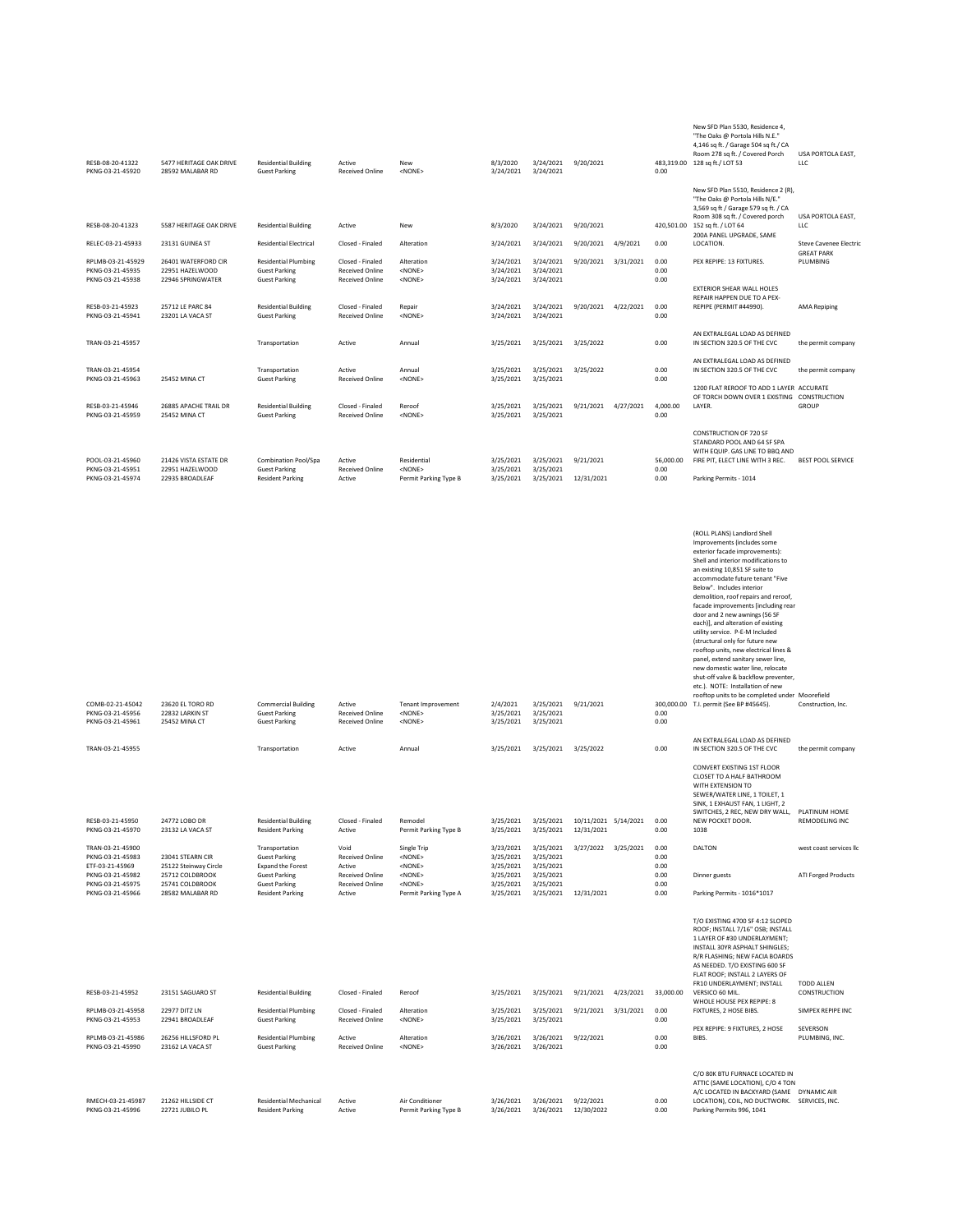| RESB-08-20-41322<br>PKNG-03-21-45920                      | 5477 HERITAGE OAK DRIVE<br>28592 MALABAR RD                 | <b>Residential Building</b><br><b>Guest Parking</b>                         | Active<br><b>Received Online</b>                                     | New<br><none></none>                          | 8/3/2020<br>3/24/2021               | 3/24/2021<br>3/24/2021              | 9/20/2021  |           | 483.319.00<br>0.00   | New SFD Plan 5530, Residence 4,<br>"The Oaks @ Portola Hills N.E."<br>4,146 sq ft. / Garage 504 sq ft./ CA<br>Room 278 sq ft. / Covered Porch<br>128 sq ft./ LOT 53                                                                                                                                                                                                                                                                                                                                                                                                                   | USA PORTOLA EAST,<br><b>LLC</b>            |
|-----------------------------------------------------------|-------------------------------------------------------------|-----------------------------------------------------------------------------|----------------------------------------------------------------------|-----------------------------------------------|-------------------------------------|-------------------------------------|------------|-----------|----------------------|---------------------------------------------------------------------------------------------------------------------------------------------------------------------------------------------------------------------------------------------------------------------------------------------------------------------------------------------------------------------------------------------------------------------------------------------------------------------------------------------------------------------------------------------------------------------------------------|--------------------------------------------|
|                                                           |                                                             |                                                                             |                                                                      |                                               |                                     |                                     |            |           |                      | New SFD Plan 5510, Residence 2 (R),<br>"The Oaks @ Portola Hills N/E."<br>3,569 sq ft / Garage 579 sq ft. / CA<br>Room 308 sq ft. / Covered porch                                                                                                                                                                                                                                                                                                                                                                                                                                     | USA PORTOLA EAST,                          |
| RESB-08-20-41323                                          | 5587 HERITAGE OAK DRIVE                                     | <b>Residential Building</b>                                                 | Active                                                               | New                                           | 8/3/2020                            | 3/24/2021                           | 9/20/2021  |           | 420,501.00           | 152 sq ft. / LOT 64<br>200A PANEL UPGRADE, SAME                                                                                                                                                                                                                                                                                                                                                                                                                                                                                                                                       | <b>LLC</b>                                 |
| RELEC-03-21-45933                                         | 23131 GUINEA ST                                             | <b>Residential Electrical</b>                                               | Closed - Finaled                                                     | Alteration                                    | 3/24/2021                           | 3/24/2021                           | 9/20/2021  | 4/9/2021  | 0.00                 | LOCATION.                                                                                                                                                                                                                                                                                                                                                                                                                                                                                                                                                                             | Steve Cavenee Electri<br><b>GREAT PARK</b> |
| RPLMB-03-21-45929<br>PKNG-03-21-45935<br>PKNG-03-21-45938 | 26401 WATERFORD CIR<br>22951 HAZELWOOD<br>22946 SPRINGWATER | <b>Residential Plumbing</b><br><b>Guest Parking</b><br><b>Guest Parking</b> | Closed - Finaled<br><b>Received Online</b><br><b>Received Online</b> | Alteration<br><none><br/><none></none></none> | 3/24/2021<br>3/24/2021<br>3/24/2021 | 3/24/2021<br>3/24/2021<br>3/24/2021 | 9/20/2021  | 3/31/2021 | 0.00<br>0.00<br>0.00 | PEX REPIPE: 13 FIXTURES.                                                                                                                                                                                                                                                                                                                                                                                                                                                                                                                                                              | PLUMBING                                   |
| RESB-03-21-45923<br>PKNG-03-21-45941                      | 25712 LE PARC 84<br>23201 LA VACA ST                        | <b>Residential Building</b><br><b>Guest Parking</b>                         | Closed - Finaled<br><b>Received Online</b>                           | Repair<br><none></none>                       | 3/24/2021<br>3/24/2021              | 3/24/2021<br>3/24/2021              | 9/20/2021  | 4/22/2021 | 0.00<br>0.00         | EXTERIOR SHEAR WALL HOLES<br>REPAIR HAPPEN DUE TO A PEX-<br>REPIPE (PERMIT #44990).                                                                                                                                                                                                                                                                                                                                                                                                                                                                                                   | <b>AMA Repiping</b>                        |
| TRAN-03-21-45957                                          |                                                             | Transportation                                                              | Active                                                               | Annual                                        | 3/25/2021                           | 3/25/2021                           | 3/25/2022  |           | 0.00                 | AN EXTRALEGAL LOAD AS DEFINED<br>IN SECTION 320.5 OF THE CVC                                                                                                                                                                                                                                                                                                                                                                                                                                                                                                                          | the permit company                         |
| TRAN-03-21-45954<br>PKNG-03-21-45963                      | 25452 MINA CT                                               | Transportation<br><b>Guest Parking</b>                                      | Active<br><b>Received Online</b>                                     | Annual<br><none></none>                       | 3/25/2021<br>3/25/2021              | 3/25/2021<br>3/25/2021              | 3/25/2022  |           | 0.00<br>0.00         | AN EXTRALEGAL LOAD AS DEFINED<br>IN SECTION 320.5 OF THE CVC                                                                                                                                                                                                                                                                                                                                                                                                                                                                                                                          | the permit company                         |
| RESB-03-21-45946<br>PKNG-03-21-45959                      | 26885 APACHE TRAIL DR<br>25452 MINA CT                      | <b>Residential Building</b><br><b>Guest Parking</b>                         | Closed - Finaled<br><b>Received Online</b>                           | Reroof<br><none></none>                       | 3/25/2021<br>3/25/2021              | 3/25/2021<br>3/25/2021              | 9/21/2021  | 4/27/2021 | 4,000.00<br>0.00     | 1200 FLAT REROOF TO ADD 1 LAYER ACCURATE<br>OF TORCH DOWN OVER 1 EXISTING CONSTRUCTION<br>LAYER.                                                                                                                                                                                                                                                                                                                                                                                                                                                                                      | <b>GROUP</b>                               |
| POOL-03-21-45960                                          | 21426 VISTA ESTATE DR                                       | Combination Pool/Spa                                                        | Active                                                               | Residential                                   | 3/25/2021                           | 3/25/2021                           | 9/21/2021  |           | 56,000.00            | CONSTRUCTION OF 720 SF<br>STANDARD POOL AND 64 SF SPA<br>WITH EQUIP, GAS LINE TO BBO AND<br>FIRE PIT, ELECT LINE WITH 3 REC.                                                                                                                                                                                                                                                                                                                                                                                                                                                          | <b>BEST POOL SERVICE</b>                   |
| PKNG-03-21-45951<br>PKNG-03-21-45974                      | 22951 HAZELWOOD<br>22935 BROADLEAF                          | <b>Guest Parking</b><br><b>Resident Parking</b>                             | <b>Received Online</b><br>Active                                     | <none><br/>Permit Parking Type B</none>       | 3/25/2021<br>3/25/2021              | 3/25/2021<br>3/25/2021              | 12/31/2021 |           | 0.00<br>0.00         | Parking Permits - 1014                                                                                                                                                                                                                                                                                                                                                                                                                                                                                                                                                                |                                            |
|                                                           |                                                             |                                                                             |                                                                      |                                               |                                     |                                     |            |           |                      |                                                                                                                                                                                                                                                                                                                                                                                                                                                                                                                                                                                       |                                            |
|                                                           |                                                             |                                                                             |                                                                      |                                               |                                     |                                     |            |           |                      | (ROLL PLANS) Landlord Shell<br>Improvements (includes some<br>exterior facade improvements):<br>Shell and interior modifications to<br>an existing 10,851 SF suite to<br>accommodate future tenant "Five<br>Below". Includes interior<br>demolition, roof repairs and reroof,<br>facade improvements [including rear<br>door and 2 new awnings (56 SF<br>each)], and alteration of existing<br>utility service. P-E-M Included<br>(structural only for future new<br>rooftop units, new electrical lines &<br>panel, extend sanitary sewer line,<br>new domestic water line, relocate |                                            |
| COMB-02-21-45042                                          | 23620 EL TORO RD                                            | <b>Commercial Building</b>                                                  | Active                                                               | <b>Tenant Improvement</b>                     | 2/4/2021                            | 3/25/2021                           | 9/21/2021  |           | 300,000.00           | shut-off valve & backflow preventer,<br>etc.). NOTE: Installation of new<br>rooftop units to be completed under Moorefield<br>T.I. permit (See BP #45645).                                                                                                                                                                                                                                                                                                                                                                                                                            | Construction, Inc.                         |

| COMB-02-21-45042<br>PKNG-03-21-45956<br>PKNG-03-21-45961 | 23620 EL TORO RD<br>22832 LARKIN ST<br><b>25452 MINA CT</b> | <b>Commercial Building</b><br><b>Guest Parking</b><br><b>Guest Parking</b> | Active<br><b>Received Online</b><br><b>Received Online</b> | <b>Tenant Improvement</b><br>$<$ NONE $>$<br><none></none>              | 2/4/2021<br>3/25/2021<br>3/25/2021  | 3/25/2021<br>3/25/2021<br>3/25/2021 | 9/21/2021            |           | 0.00<br>0.00         | roontop units to be completed under widoreneid<br>300,000.00 T.I. permit (See BP #45645).                                                                                                                                                    | Construction, Inc.                     |
|----------------------------------------------------------|-------------------------------------------------------------|----------------------------------------------------------------------------|------------------------------------------------------------|-------------------------------------------------------------------------|-------------------------------------|-------------------------------------|----------------------|-----------|----------------------|----------------------------------------------------------------------------------------------------------------------------------------------------------------------------------------------------------------------------------------------|----------------------------------------|
| TRAN-03-21-45955                                         |                                                             | Transportation                                                             | Active                                                     | Annual                                                                  | 3/25/2021                           | 3/25/2021                           | 3/25/2022            |           | 0.00                 | AN EXTRALEGAL LOAD AS DEFINED<br>IN SECTION 320.5 OF THE CVC                                                                                                                                                                                 | the permit company                     |
| RESB-03-21-45950                                         | 24772 LOBO DR                                               | <b>Residential Building</b>                                                | Closed - Finaled                                           | Remodel                                                                 | 3/25/2021                           | 3/25/2021                           | 10/11/2021 5/14/2021 |           | 0.00                 | CONVERT EXISTING 1ST FLOOR<br>CLOSET TO A HALF BATHROOM<br>WITH EXTENSION TO<br>SEWER/WATER LINE, 1 TOILET, 1<br>SINK, 1 EXHAUST FAN, 1 LIGHT, 2<br>SWITCHES, 2 REC. NEW DRY WALL<br>NEW POCKET DOOR.                                        | PLATINUM HOME<br><b>REMODELING INC</b> |
| PKNG-03-21-45970                                         | 23132 LA VACA ST                                            | <b>Resident Parking</b>                                                    | Active                                                     | Permit Parking Type B                                                   | 3/25/2021                           | 3/25/2021                           | 12/31/2021           |           | 0.00                 | 1038                                                                                                                                                                                                                                         |                                        |
| TRAN-03-21-45900<br>PKNG-03-21-45983<br>ETF-03-21-45969  | 23041 STEARN CIR<br>25122 Steinway Circle                   | Transportation<br><b>Guest Parking</b><br>Expand the Forest                | Void<br><b>Received Online</b><br>Active                   | Single Trip<br><none><br/><math>&lt;</math>NONE<math>&gt;</math></none> | 3/23/2021<br>3/25/2021<br>3/25/2021 | 3/25/2021<br>3/25/2021<br>3/25/2021 | 3/27/2022            | 3/25/2021 | 0.00<br>0.00<br>0.00 | <b>DALTON</b>                                                                                                                                                                                                                                | west coast services li                 |
| PKNG-03-21-45982<br>PKNG-03-21-45975                     | 25712 COLDBROOK<br>25741 COLDBROOK                          | <b>Guest Parking</b><br><b>Guest Parking</b>                               | <b>Received Online</b><br><b>Received Online</b>           | $<$ NONE $>$<br>$<$ NONE $>$                                            | 3/25/2021<br>3/25/2021              | 3/25/2021<br>3/25/2021              |                      |           | 0.00<br>0.00         | Dinner guests                                                                                                                                                                                                                                | <b>ATI Forged Products</b>             |
| PKNG-03-21-45966                                         | 28582 MALABAR RD                                            | <b>Resident Parking</b>                                                    | Active                                                     | Permit Parking Type A                                                   | 3/25/2021                           | 3/25/2021                           | 12/31/2021           |           | 0.00                 | Parking Permits - 1016*1017                                                                                                                                                                                                                  |                                        |
|                                                          |                                                             |                                                                            |                                                            |                                                                         |                                     |                                     |                      |           |                      | T/O EXISTING 4700 SF 4:12 SLOPED<br>ROOF; INSTALL 7/16" OSB; INSTALL<br>1 LAYER OF #30 UNDERLAYMENT:<br>INSTALL 30YR ASPHALT SHINGLES:<br>R/R FLASHING: NEW FACIA BOARDS<br>AS NEEDED. T/O EXISTING 600 SF<br>FLAT ROOF: INSTALL 2 LAYERS OF |                                        |
| RESB-03-21-45952                                         | 23151 SAGUARO ST                                            | <b>Residential Building</b>                                                | Closed - Finaled                                           | Reroof                                                                  | 3/25/2021                           | 3/25/2021                           | 9/21/2021            | 4/23/2021 | 33,000.00            | FR10 UNDERLAYMENT; INSTALL<br>VERSICO 60 MIL.<br>WHOLE HOUSE PEX REPIPE: 8                                                                                                                                                                   | <b>TODD ALLEN</b><br>CONSTRUCTION      |
| RPLMB-03-21-45958                                        | 22977 DITZ LN                                               | <b>Residential Plumbing</b>                                                | Closed - Finaled                                           | Alteration                                                              | 3/25/2021                           | 3/25/2021                           | 9/21/2021            | 3/31/2021 | 0.00                 | FIXTURES, 2 HOSE BIBS.                                                                                                                                                                                                                       | SIMPEX REPIPE INC                      |

RPLMB-03-21-45958 22977 DITZLN Residential Plumbing Closed Finaled Alteration 0.00<br>PKNG-03-21-45953 22941 BROADLEAF Guest Parking Received Online <NONE> RPLMB-03-21-45986 26256 HILLSFORD PL Residential Plumbing Active Alteration 3/26/2021 3/26/2021 9/22/2021 0.00<br>PKNG-03-21-45990 23162 LA VACA ST Guest Parking Received Online <NONE> 3/26/2021 3/26/2021 2/26/2021 0. PEX REPIPE: 9 FIXTURES, 2 HOSE BIBS. SEVERSON PLUMBING, INC. RMECH-03-21-45987 21262 INLSIDECT ResidentialMechanical Active – AirConditioner 3/26/2021 3/26/2021 19/22/2021<br>PKNG-03-21-45996 22721JUBILOPL Resident Parking Active – Permit ParkingType 8 3/26/2021 12/30/2022 12/30/2022 0 C/O 80K BTU FURNACE LOCATED IN<br>ATTIC (SAME LOCATION), C/O 4 TON<br>A/C LOCATED IN BACKYARD (SAME DYNAMIC AIR<br>LOCATION), COIL, NO DUCTWORK. SERVICES, INC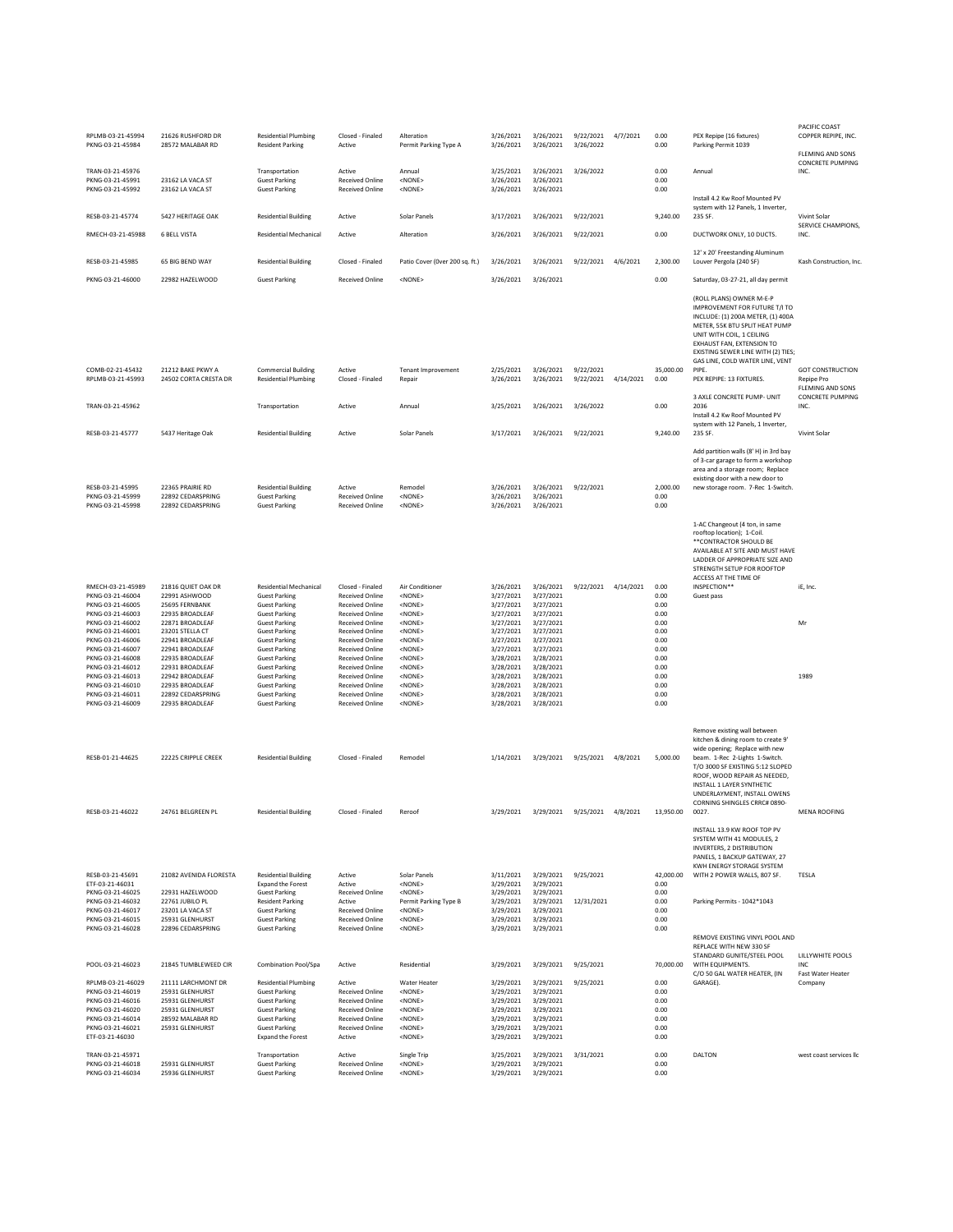| RPLMB-03-21-45994<br>PKNG-03-21-45984                                                                                                                                                                 | 21626 RUSHFORD DR<br>28572 MALABAR RD                                                                                                                                                      | <b>Residential Plumbing</b><br><b>Resident Parking</b>                                                                                                                                                                                                | Closed - Finaled<br>Active                                                                                                                                                                                                                                 | Alteration<br>Permit Parking Type A                                                                                                                                                                                                | 3/26/2021<br>3/26/2021                                                                                                         | 3/26/2021<br>3/26/2021                                                                                                         | 9/22/2021 4/7/2021<br>3/26/2022 |           | 0.00<br>0.00                                                                 | PEX Repipe (16 fixtures)<br>Parking Permit 1039                                                                                                                                                                                                                                                                 | PACIFIC COAST<br>COPPER REPIPE, INC.                             |
|-------------------------------------------------------------------------------------------------------------------------------------------------------------------------------------------------------|--------------------------------------------------------------------------------------------------------------------------------------------------------------------------------------------|-------------------------------------------------------------------------------------------------------------------------------------------------------------------------------------------------------------------------------------------------------|------------------------------------------------------------------------------------------------------------------------------------------------------------------------------------------------------------------------------------------------------------|------------------------------------------------------------------------------------------------------------------------------------------------------------------------------------------------------------------------------------|--------------------------------------------------------------------------------------------------------------------------------|--------------------------------------------------------------------------------------------------------------------------------|---------------------------------|-----------|------------------------------------------------------------------------------|-----------------------------------------------------------------------------------------------------------------------------------------------------------------------------------------------------------------------------------------------------------------------------------------------------------------|------------------------------------------------------------------|
|                                                                                                                                                                                                       |                                                                                                                                                                                            |                                                                                                                                                                                                                                                       |                                                                                                                                                                                                                                                            |                                                                                                                                                                                                                                    |                                                                                                                                |                                                                                                                                |                                 |           |                                                                              |                                                                                                                                                                                                                                                                                                                 | FLEMING AND SONS<br><b>CONCRETE PUMPING</b>                      |
| TRAN-03-21-45976<br>PKNG-03-21-45991<br>PKNG-03-21-45992                                                                                                                                              | 23162 LA VACA ST<br>23162 LA VACA ST                                                                                                                                                       | Transportation<br><b>Guest Parking</b><br><b>Guest Parking</b>                                                                                                                                                                                        | Active<br><b>Received Online</b><br><b>Received Online</b>                                                                                                                                                                                                 | Annual<br><none><br/><none></none></none>                                                                                                                                                                                          | 3/25/2021<br>3/26/2021<br>3/26/2021                                                                                            | 3/26/2021<br>3/26/2021<br>3/26/2021                                                                                            | 3/26/2022                       |           | 0.00<br>0.00<br>0.00                                                         | Annual                                                                                                                                                                                                                                                                                                          | INC.                                                             |
|                                                                                                                                                                                                       |                                                                                                                                                                                            |                                                                                                                                                                                                                                                       |                                                                                                                                                                                                                                                            |                                                                                                                                                                                                                                    |                                                                                                                                |                                                                                                                                |                                 |           |                                                                              | Install 4.2 Kw Roof Mounted PV                                                                                                                                                                                                                                                                                  |                                                                  |
| RESB-03-21-45774                                                                                                                                                                                      | 5427 HERITAGE OAK                                                                                                                                                                          | <b>Residential Building</b>                                                                                                                                                                                                                           | Active                                                                                                                                                                                                                                                     | Solar Panels                                                                                                                                                                                                                       | 3/17/2021                                                                                                                      | 3/26/2021                                                                                                                      | 9/22/2021                       |           | 9,240.00                                                                     | system with 12 Panels, 1 Inverter,<br>235 SF.                                                                                                                                                                                                                                                                   | Vivint Solar                                                     |
|                                                                                                                                                                                                       |                                                                                                                                                                                            |                                                                                                                                                                                                                                                       |                                                                                                                                                                                                                                                            |                                                                                                                                                                                                                                    |                                                                                                                                |                                                                                                                                |                                 |           |                                                                              |                                                                                                                                                                                                                                                                                                                 | SERVICE CHAMPIONS,                                               |
| RMECH-03-21-45988                                                                                                                                                                                     | <b>6 BELL VISTA</b>                                                                                                                                                                        | <b>Residential Mechanical</b>                                                                                                                                                                                                                         | Active                                                                                                                                                                                                                                                     | Alteration                                                                                                                                                                                                                         | 3/26/2021                                                                                                                      | 3/26/2021                                                                                                                      | 9/22/2021                       |           | 0.00                                                                         | DUCTWORK ONLY, 10 DUCTS.                                                                                                                                                                                                                                                                                        | INC                                                              |
| RESB-03-21-45985                                                                                                                                                                                      | 65 BIG BEND WAY                                                                                                                                                                            | <b>Residential Building</b>                                                                                                                                                                                                                           | Closed - Finaled                                                                                                                                                                                                                                           | Patio Cover (Over 200 sq. ft.)                                                                                                                                                                                                     | 3/26/2021                                                                                                                      | 3/26/2021                                                                                                                      | 9/22/2021                       | 4/6/2021  | 2,300.00                                                                     | 12' x 20' Freestanding Aluminum<br>Louver Pergola (240 SF)                                                                                                                                                                                                                                                      | Kash Construction, Inc                                           |
| PKNG-03-21-46000                                                                                                                                                                                      | 22982 HAZELWOOD                                                                                                                                                                            | <b>Guest Parking</b>                                                                                                                                                                                                                                  | <b>Received Online</b>                                                                                                                                                                                                                                     | <none></none>                                                                                                                                                                                                                      | 3/26/2021                                                                                                                      | 3/26/2021                                                                                                                      |                                 |           | 0.00                                                                         | Saturday, 03-27-21, all day permit                                                                                                                                                                                                                                                                              |                                                                  |
|                                                                                                                                                                                                       |                                                                                                                                                                                            |                                                                                                                                                                                                                                                       |                                                                                                                                                                                                                                                            |                                                                                                                                                                                                                                    |                                                                                                                                |                                                                                                                                |                                 |           |                                                                              | (ROLL PLANS) OWNER M-E-P<br>IMPROVEMENT FOR FUTURE T/I TO<br>INCLUDE: (1) 200A METER, (1) 400A<br>METER, 55K BTU SPLIT HEAT PUMP<br>UNIT WITH COIL. 1 CEILING<br>EXHAUST FAN. EXTENSION TO<br>EXISTING SEWER LINE WITH (2) TIES;<br>GAS LINE, COLD WATER LINE, VENT                                             |                                                                  |
| COMB-02-21-45432<br>RPLMB-03-21-45993                                                                                                                                                                 | 21212 BAKE PKWY A<br>24502 CORTA CRESTA DR                                                                                                                                                 | <b>Commercial Building</b><br><b>Residential Plumbing</b>                                                                                                                                                                                             | Active<br>Closed - Finaled                                                                                                                                                                                                                                 | Tenant Improvement<br>Repair                                                                                                                                                                                                       | 2/25/2021<br>3/26/2021                                                                                                         | 3/26/2021<br>3/26/2021                                                                                                         | 9/22/2021<br>9/22/2021          | 4/14/2021 | 35,000.00<br>0.00                                                            | PIPE.<br>PEX REPIPE: 13 FIXTURES.                                                                                                                                                                                                                                                                               | <b>GOT CONSTRUCTION</b><br>Repipe Pro<br><b>FLEMING AND SONS</b> |
| TRAN-03-21-45962                                                                                                                                                                                      |                                                                                                                                                                                            | Transportation                                                                                                                                                                                                                                        | Active                                                                                                                                                                                                                                                     | Annual                                                                                                                                                                                                                             | 3/25/2021                                                                                                                      | 3/26/2021                                                                                                                      | 3/26/2022                       |           | 0.00                                                                         | 3 AXLE CONCRETE PUMP- UNIT<br>2036<br>Install 4.2 Kw Roof Mounted PV                                                                                                                                                                                                                                            | <b>CONCRETE PUMPING</b><br>INC                                   |
| RESB-03-21-45777                                                                                                                                                                                      | 5437 Heritage Oak                                                                                                                                                                          | <b>Residential Building</b>                                                                                                                                                                                                                           | Active                                                                                                                                                                                                                                                     | Solar Panels                                                                                                                                                                                                                       | 3/17/2021                                                                                                                      | 3/26/2021                                                                                                                      | 9/22/2021                       |           | 9,240.00                                                                     | system with 12 Panels, 1 Inverter,<br>235 SF.                                                                                                                                                                                                                                                                   | Vivint Solar                                                     |
| RESB-03-21-45995<br>PKNG-03-21-45999<br>PKNG-03-21-45998                                                                                                                                              | 22365 PRAIRIE RD<br>22892 CEDARSPRING<br>22892 CEDARSPRING                                                                                                                                 | <b>Residential Building</b><br><b>Guest Parking</b><br><b>Guest Parking</b>                                                                                                                                                                           | Active<br><b>Received Online</b><br><b>Received Online</b>                                                                                                                                                                                                 | Remodel<br><none><br/><none></none></none>                                                                                                                                                                                         | 3/26/2021<br>3/26/2021<br>3/26/2021                                                                                            | 3/26/2021<br>3/26/2021<br>3/26/2021                                                                                            | 9/22/2021                       |           | 2,000.00<br>0.00<br>0.00                                                     | Add partition walls (8'H) in 3rd bay<br>of 3-car garage to form a workshop<br>area and a storage room; Replace<br>existing door with a new door to<br>new storage room. 7-Rec 1-Switch.                                                                                                                         |                                                                  |
|                                                                                                                                                                                                       |                                                                                                                                                                                            |                                                                                                                                                                                                                                                       |                                                                                                                                                                                                                                                            |                                                                                                                                                                                                                                    |                                                                                                                                |                                                                                                                                |                                 |           |                                                                              | 1-AC Changeout (4 ton, in same<br>rooftop location); 1-Coil.<br>** CONTRACTOR SHOULD BE<br>AVAILABLE AT SITE AND MUST HAVE<br>LADDER OF APPROPRIATE SIZE AND<br>STRENGTH SETUP FOR ROOFTOP                                                                                                                      |                                                                  |
| RMECH-03-21-45989<br>PKNG-03-21-46004<br>PKNG-03-21-46005<br>PKNG-03-21-46003<br>PKNG-03-21-46002<br>PKNG-03-21-46001<br>PKNG-03-21-46006<br>PKNG-03-21-46007<br>PKNG-03-21-46008<br>PKNG-03-21-46012 | 21816 QUIET OAK DR<br>22991 ASHWOOD<br>25695 FERNBANK<br>22935 BROADLEAF<br>22871 BROADLEAF<br>23201 STELLA CT<br>22941 BROADLEAF<br>22941 BROADLEAF<br>22935 BROADLEAF<br>22931 BROADLEAF | <b>Residential Mechanical</b><br><b>Guest Parking</b><br><b>Guest Parking</b><br><b>Guest Parking</b><br><b>Guest Parking</b><br><b>Guest Parking</b><br><b>Guest Parking</b><br><b>Guest Parking</b><br><b>Guest Parking</b><br><b>Guest Parking</b> | Closed - Finaled<br><b>Received Online</b><br><b>Received Online</b><br><b>Received Online</b><br><b>Received Online</b><br><b>Received Online</b><br><b>Received Online</b><br><b>Received Online</b><br><b>Received Online</b><br><b>Received Online</b> | Air Conditioner<br><none><br/><none><br/><math>&lt;</math>NONE<math>&gt;</math><br/><none><br/><none><br/><none><br/><none><br/><none><br/><math>&lt;</math>NONE<math>&gt;</math></none></none></none></none></none></none></none> | 3/26/2021<br>3/27/2021<br>3/27/2021<br>3/27/2021<br>3/27/2021<br>3/27/2021<br>3/27/2021<br>3/27/2021<br>3/28/2021<br>3/28/2021 | 3/26/2021<br>3/27/2021<br>3/27/2021<br>3/27/2021<br>3/27/2021<br>3/27/2021<br>3/27/2021<br>3/27/2021<br>3/28/2021<br>3/28/2021 | 9/22/2021 4/14/2021             |           | 0.00<br>0.00<br>0.00<br>0.00<br>0.00<br>0.00<br>0.00<br>0.00<br>0.00<br>0.00 | ACCESS AT THE TIME OF<br>INSPECTION**<br>Guest pass                                                                                                                                                                                                                                                             | iE, Inc.<br>Mr                                                   |
| PKNG-03-21-46013                                                                                                                                                                                      | 22942 BROADLEAF                                                                                                                                                                            | <b>Guest Parking</b>                                                                                                                                                                                                                                  | <b>Received Online</b>                                                                                                                                                                                                                                     | <none></none>                                                                                                                                                                                                                      | 3/28/2021                                                                                                                      | 3/28/2021                                                                                                                      |                                 |           | 0.00                                                                         |                                                                                                                                                                                                                                                                                                                 | 1989                                                             |
| PKNG-03-21-46010<br>PKNG-03-21-46011                                                                                                                                                                  | 22935 BROADLEAF<br>22892 CEDARSPRING                                                                                                                                                       | <b>Guest Parking</b><br><b>Guest Parking</b>                                                                                                                                                                                                          | <b>Received Online</b><br><b>Received Online</b>                                                                                                                                                                                                           | <none><br/><none></none></none>                                                                                                                                                                                                    | 3/28/2021<br>3/28/2021                                                                                                         | 3/28/2021<br>3/28/2021                                                                                                         |                                 |           | 0.00<br>0.00                                                                 |                                                                                                                                                                                                                                                                                                                 |                                                                  |
| PKNG-03-21-46009                                                                                                                                                                                      | 22935 BROADLEAF                                                                                                                                                                            | <b>Guest Parking</b>                                                                                                                                                                                                                                  | <b>Received Online</b>                                                                                                                                                                                                                                     | <none></none>                                                                                                                                                                                                                      | 3/28/2021                                                                                                                      | 3/28/2021                                                                                                                      |                                 |           | 0.00                                                                         |                                                                                                                                                                                                                                                                                                                 |                                                                  |
| RESB-01-21-44625<br>RESB-03-21-46022                                                                                                                                                                  | 22225 CRIPPLE CREEK<br>24761 BELGREEN PL                                                                                                                                                   | <b>Residential Building</b><br><b>Residential Building</b>                                                                                                                                                                                            | Closed - Finaled<br>Closed - Finaled                                                                                                                                                                                                                       | Remodel<br>Reroof                                                                                                                                                                                                                  | 1/14/2021<br>3/29/2021                                                                                                         | 3/29/2021<br>3/29/2021                                                                                                         | 9/25/2021<br>9/25/2021 4/8/2021 | 4/8/2021  | 5,000.00<br>13,950.00                                                        | Remove existing wall between<br>kitchen & dining room to create 9'<br>wide opening; Replace with new<br>beam. 1-Rec 2-Lights 1-Switch.<br>T/O 3000 SF EXISTING 5:12 SLOPED<br>ROOF, WOOD REPAIR AS NEEDED,<br>INSTALL 1 LAYER SYNTHETIC<br>UNDERLAYMENT, INSTALL OWENS<br>CORNING SHINGLES CRRC# 0890-<br>0027. | <b>MENA ROOFING</b>                                              |
|                                                                                                                                                                                                       |                                                                                                                                                                                            |                                                                                                                                                                                                                                                       |                                                                                                                                                                                                                                                            |                                                                                                                                                                                                                                    |                                                                                                                                |                                                                                                                                |                                 |           |                                                                              |                                                                                                                                                                                                                                                                                                                 |                                                                  |
| RESB-03-21-45691<br>ETF-03-21-46031                                                                                                                                                                   | 21082 AVENIDA FLORESTA                                                                                                                                                                     | <b>Residential Building</b><br><b>Expand the Forest</b>                                                                                                                                                                                               | Active<br>Active                                                                                                                                                                                                                                           | Solar Panels<br>$<$ NONE $>$                                                                                                                                                                                                       | 3/11/2021<br>3/29/2021                                                                                                         | 3/29/2021<br>3/29/2021                                                                                                         | 9/25/2021                       |           | 42,000.00<br>0.00                                                            | INSTALL 13.9 KW ROOF TOP PV<br>SYSTEM WITH 41 MODULES, 2<br><b>INVERTERS, 2 DISTRIBUTION</b><br>PANELS, 1 BACKUP GATEWAY, 27<br>KWH ENERGY STORAGE SYSTEM<br>WITH 2 POWER WALLS, 807 SF.                                                                                                                        | TESLA                                                            |
| PKNG-03-21-46025<br>PKNG-03-21-46032                                                                                                                                                                  | 22931 HAZELWOOD<br>22761 JUBILO PL                                                                                                                                                         | <b>Guest Parking</b><br><b>Resident Parking</b>                                                                                                                                                                                                       | <b>Received Online</b><br>Active                                                                                                                                                                                                                           | $<$ NONE $>$<br>Permit Parking Type B                                                                                                                                                                                              | 3/29/2021<br>3/29/2021                                                                                                         | 3/29/2021<br>3/29/2021                                                                                                         | 12/31/2021                      |           | 0.00<br>0.00                                                                 | Parking Permits - 1042*1043                                                                                                                                                                                                                                                                                     |                                                                  |
| PKNG-03-21-46017                                                                                                                                                                                      | 23201 LA VACA ST                                                                                                                                                                           | <b>Guest Parking</b>                                                                                                                                                                                                                                  | <b>Received Online</b>                                                                                                                                                                                                                                     | <none></none>                                                                                                                                                                                                                      | 3/29/2021<br>3/29/2021                                                                                                         | 3/29/2021                                                                                                                      |                                 |           | 0.00                                                                         |                                                                                                                                                                                                                                                                                                                 |                                                                  |
| PKNG-03-21-46015<br>PKNG-03-21-46028                                                                                                                                                                  | 25931 GLENHURST<br>22896 CEDARSPRING                                                                                                                                                       | <b>Guest Parking</b><br><b>Guest Parking</b>                                                                                                                                                                                                          | <b>Received Online</b><br><b>Received Online</b>                                                                                                                                                                                                           | <none><br/><none></none></none>                                                                                                                                                                                                    | 3/29/2021                                                                                                                      | 3/29/2021<br>3/29/2021                                                                                                         |                                 |           | 0.00<br>0.00                                                                 | REMOVE EXISTING VINYL POOL AND                                                                                                                                                                                                                                                                                  |                                                                  |
| POOL-03-21-46023                                                                                                                                                                                      | 21845 TUMBLEWEED CIR                                                                                                                                                                       | Combination Pool/Spa                                                                                                                                                                                                                                  | Active                                                                                                                                                                                                                                                     | Residential                                                                                                                                                                                                                        | 3/29/2021                                                                                                                      | 3/29/2021                                                                                                                      | 9/25/2021                       |           | 70,000.00                                                                    | REPLACE WITH NEW 330 SF<br>STANDARD GUNITE/STEEL POOL<br>WITH EQUIPMENTS.                                                                                                                                                                                                                                       | LILLYWHITE POOLS<br>INC.                                         |
| RPLMB-03-21-46029                                                                                                                                                                                     | 21111 LARCHMONT DR                                                                                                                                                                         | <b>Residential Plumbing</b>                                                                                                                                                                                                                           | Active                                                                                                                                                                                                                                                     | Water Heater                                                                                                                                                                                                                       | 3/29/2021                                                                                                                      | 3/29/2021                                                                                                                      | 9/25/2021                       |           | 0.00                                                                         | C/O 50 GAL WATER HEATER, (IN<br>GARAGE).                                                                                                                                                                                                                                                                        | Fast Water Heater<br>Company                                     |
| PKNG-03-21-46019                                                                                                                                                                                      | 25931 GLENHURST                                                                                                                                                                            | <b>Guest Parking</b>                                                                                                                                                                                                                                  | <b>Received Online</b>                                                                                                                                                                                                                                     | <none><br/><none></none></none>                                                                                                                                                                                                    | 3/29/2021<br>3/29/2021                                                                                                         | 3/29/2021                                                                                                                      |                                 |           | 0.00<br>0.00                                                                 |                                                                                                                                                                                                                                                                                                                 |                                                                  |
| PKNG-03-21-46016<br>PKNG-03-21-46020                                                                                                                                                                  | 25931 GLENHURST<br>25931 GLENHURST                                                                                                                                                         | <b>Guest Parking</b><br><b>Guest Parking</b>                                                                                                                                                                                                          | <b>Received Online</b><br><b>Received Online</b>                                                                                                                                                                                                           | <none></none>                                                                                                                                                                                                                      | 3/29/2021                                                                                                                      | 3/29/2021<br>3/29/2021                                                                                                         |                                 |           | 0.00                                                                         |                                                                                                                                                                                                                                                                                                                 |                                                                  |
| PKNG-03-21-46014                                                                                                                                                                                      | 28592 MALABAR RD                                                                                                                                                                           | <b>Guest Parking</b>                                                                                                                                                                                                                                  | <b>Received Online</b>                                                                                                                                                                                                                                     | $<$ NONE $>$<br><none></none>                                                                                                                                                                                                      | 3/29/2021<br>3/29/2021                                                                                                         | 3/29/2021                                                                                                                      |                                 |           | 0.00<br>0.00                                                                 |                                                                                                                                                                                                                                                                                                                 |                                                                  |
| PKNG-03-21-46021<br>ETF-03-21-46030                                                                                                                                                                   | 25931 GLENHURST                                                                                                                                                                            | <b>Guest Parking</b><br><b>Expand the Forest</b>                                                                                                                                                                                                      | <b>Received Online</b><br>Active                                                                                                                                                                                                                           | <none></none>                                                                                                                                                                                                                      | 3/29/2021                                                                                                                      | 3/29/2021<br>3/29/2021                                                                                                         |                                 |           | 0.00                                                                         |                                                                                                                                                                                                                                                                                                                 |                                                                  |
| TRAN-03-21-45971<br>PKNG-03-21-46018<br>PKNG-03-21-46034                                                                                                                                              | 25931 GLENHURST<br>25936 GLENHURST                                                                                                                                                         | Transportation<br><b>Guest Parking</b><br><b>Guest Parking</b>                                                                                                                                                                                        | Active<br><b>Received Online</b><br><b>Received Online</b>                                                                                                                                                                                                 | Single Trip<br><none><br/><none></none></none>                                                                                                                                                                                     | 3/25/2021<br>3/29/2021<br>3/29/2021                                                                                            | 3/29/2021<br>3/29/2021<br>3/29/2021                                                                                            | 3/31/2021                       |           | 0.00<br>0.00<br>0.00                                                         | DALTON                                                                                                                                                                                                                                                                                                          | west coast services llc                                          |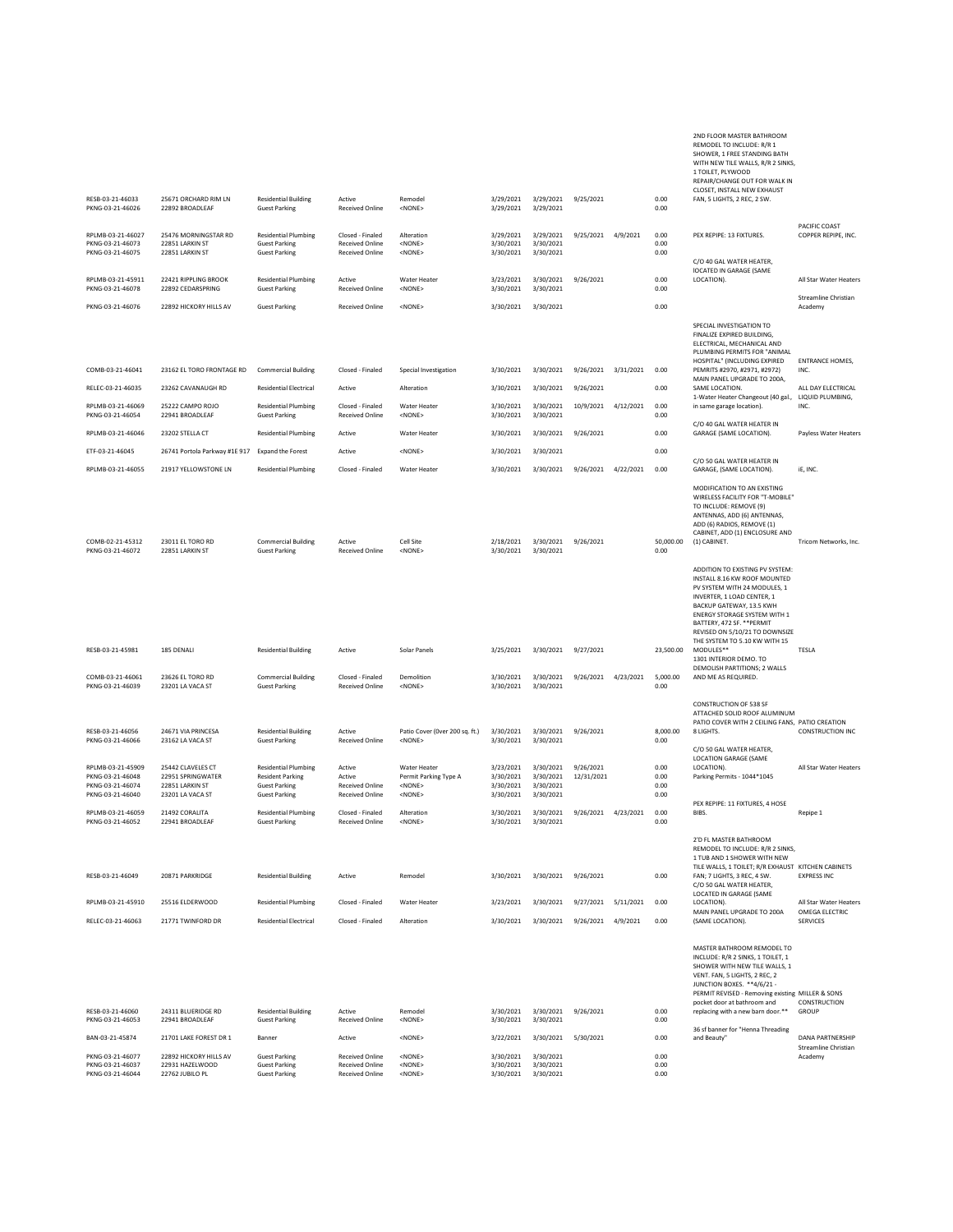RESB-03-21-46033 25671 ORCHARD RIM LN Residential Building Active Remodel 3/29/2021 3/29/2021 9/25/2021 0.00<br>1999/2021 9/2892 BROADLEAF Guest Parking Received Online <NONE> 3/29/2021 3/29/2021 WITH NEW TILE WALLS, R/R 2 SINKS 1 TOILET, PLYWOOD REPAIR/CHANGE OUT FOR WALK IN CLOSET, INSTALL NEW EXHAUST FAN, 5 LIGHTS, 2 REC, 2 SW. PKNG-03-21-46026 22892 BROADLEAF Guest Parking Received Online <NONE> 3/29/2021 3/29/2021 0.00 RPLMB-03-21-46027 25476 MORNINGSTAR RD Residential Plumbing Closed - Finaled Alteration 3/29/2021 3/29/2021 9/25/2021 4/9/2021 0.00 PEX REPIPE: 13 FIXTURES. PACIFIC COAST COPPER REPIPE, INC. PKNG-03-21-46073 22851 LARKIN ST Guest Parking Received Online <NONE> 3/30/2021 3/30/2021 0.00 PKNG-03-21-46075 22851 LARKIN ST Guest Parking Received Online <NONE> 3/30/2021 3/30/2021 0.00 RPLMB-03-21-45911 22421 RIPPLING BROOK Residential Plumbing Active Water Heater 3/23/2021 3/30/2021 9/26/2021 0.00 C/O 40 GAL WATER HEATER, lOCATED IN GARAGE (SAME LOCATION). All Star Water Heaters PKNG-03-21-46078 22892 CEDARSPRING Guest Parking Received Online <NONE> 3/30/2021 3/30/2021 0.00 PKNG-03-21-46076 22892 HICKORY HILLS AV Guest Parking Received Online <NONE> 3/30/2021 3/30/2021 0.00 Streamline Christian Academy COMB-03-21-46041 23162 EL TORO FRONTAGE RD Commercial Building Closed - Finaled Special Investigation 3/30/2021 3/30/2021 9/26/2021 3/31/2021 0.00 SPECIAL INVESTIGATION TO FINALIZE EXPIRED BUILDING, ELECTRICAL, MECHANICAL AND PLUMBING PERMITS FOR "ANIMAL HOSPITAL" (INCLUDING EXPIRED PEMRITS #2970, #2971, #2972) ENTRANCE HOMES, INC. RELEC-03-21-46035 23262 CAVANAUGH RD Residential Electrical Active Alteration 3/30/2021 3/30/2021 9/26/2021 0.00 MAIN PANEL UPGRADE TO 200A, ALL DAY ELECTRICAL RPLMB-03-21-46069 25222 CAMPO ROJO Residential Plumbing Closed - Finaled Water Heater 3/30/2021 3/30/2021 10/9/2021 4/12/2021 0.00<br>PKNG-03-21-46054 22941 BROADLEAF Guest Parking Received Online <NONE> 3/30/2021 3/30/2021 0 1-Water Heater Changeout (40 gal., in same garage location). LIQUID PLUMBING, INC. **Residential Plumbing**<br>Guest Parking RPLMB-03-21-46046 23202 STELLA CT Residential Plumbing Active Water Heater 3/30/2021 3/30/2021 9/26/2021 0.00 C/O 40 GAL WATER HEATER IN GARAGE (SAME LOCATION). Payless Water Heaters ETF-03-21-46045 26741 Portola Parkway #1E 917 Expand the Forest Active <NONE> 3/30/2021 3/30/2021 0.00 RPLMB-03-21-46055 21917 YELLOWSTONE LN Residential Plumbing Closed - Finaled Water Heater 3/30/2021 3/30/2021 9/26/2021 4/22/2021 0.00 C/O 50 GAL WATER HEATER IN GARAGE, (SAME LOCATION). iE, INC. COMB-02-21-45312 23011 EL TORO RD Commercial Building Active Cell Site 2/18/2021 3/30/2021 9/26/2021 50,000.00 MODIFICATION TO AN EXISTING WIRELESS FACILITY FOR "T-MOBILE" TO INCLUDE: REMOVE (9) ANTENNAS, ADD (6) ANTENNAS, ADD (6) RADIOS, REMOVE (1) CABINET, ADD (1) ENCLOSURE AND<br>(1) CABINET. Tricom Networks, Inc. COMB-02-21-45312 23011 EL TORO RD Commercial Building Active Cell Site 2/18/2021 3/30/2021<br>PKNG-03-21-46072 22851 LARKIN ST Guest Parking Received Online <NONE> 3/30/2021 3/30/2021 RESB-03-21-45981 185 DENALI Residential Building Active Solar Panels 3/25/2021 3/30/2021 9/27/2021 23,500.00 ADDITION TO EXISTING PV SYSTEM: INSTALL 8.16 KW ROOF MOUNTED PV SYSTEM WITH 24 MODULES, 1 INVERTER, 1 LOAD CENTER, 1 BACKUP GATEWAY, 13.5 KWH ENERGY STORAGE SYSTEM WITH 1<br>BATTERY 472 SE. \*\*PERMIT BATTERY, 472 SF. \*\*PERMIT<br>REVISED ON 5/10/21 TO DOWNSIZE<br>THE SYSTEM TO 5.10 KW WITH 15<br>MODULES\*\* COMB-03-21-46061 23626 EL TORO RD Commercial Building Closed - Finaled Demolition 3/30/2021 3/30/2021 9/26/2021 4/23/2021 5,000.00<br>PKNG-03-21-46039 23201 LA VACA ST Guest Parking Received Online <NONE> 3/30/2021 3/30/2021 1301 INTERIOR DEMO. TO DEMOLISH PARTITIONS; 2 WALLS AND ME AS REQUIRED. **Commercial Building**<br>Guest Parking RESB-03-21-46056 24671 VIA PRINCESA Residential Building Active Patio Cover (0ver 200 sq. ft.) 3/30/2021 3/30/2021 9/26/2021 8,000.00<br>PKNG-03-21-46066 23162 LA VACA ST Guest Parking Received Online <NONE> 3/30/2021 3/30/20 CONSTRUCTION OF 538 SF ATTACHED SOLID ROOF ALUMINUM PATIO COVER WITH 2 CEILING FANS, PATIO CREATION 8 LIGHTS. CONSTRUCTION INC PKNG-03-21-46066 23162 LA VACA ST Guest Parking Received Online <NONE> 3/30/2021 3/30/2021 0.00 RPLMB-03-21-45909 25442 CLAVELES CT Residential Plumbing Active Water Heater 3/23/2021 3/30/2021 9/26/2021 0.00 C/O 50 GAL WATER HEATER, LOCATION GARAGE (SAME<br>LOCATION). **All Star Water Heaters** PKNG-03-21-46048 22951 SPRINGWATER Resident Parking Active Permit Parking Type A 3/30/2021 3/30/2021 12/31/2021 0.00 Parking Permits - 1044\*1045<br>PKNG-03-21-46074 22851 LARKIN ST Guest Parking Received Online < NONE> 3/30/2 PKNG-03-21-46048 22951 SPRINGWATER Resident Parking Active Permit Parking Type 4 3/30/2021 3/30/2021 12/31/2021 0.00<br>PKNG-03-21-46074 22851 LARKIN Guest Parking Received Online <NONE> 3/30/2021 3/30/2021 0.00<br>PKNG-03-21-46 PKNG-03-21-46040 23201 LA VACA ST Guest Parking Received Online <NONE> 3/30/2021 3/30/2021 0.00 RPLMB-03-21-46059 21492 CORALITA Residential Plumbing Closed - Finaled Alteration 3/30/2021 3/30/2021 9/26/2021 4/23/2021 0.00<br>PKNG-03-21-46052 22941 BROADLEAF Guest Parking Received Online <NONE> 3/30/2021 3/30/2021 PEX REPIPE: 11 FIXTURES, 4 HOSE Repipe 1 **Residential Plumbing**<br>Guest Parking RESB-03-21-46049 20871 PARKRIDGE Residential Building Active Remodel 3/30/2021 3/30/2021 9/26/2021 0.00 2'D FL MASTER BATHROOM REMODEL TO INCLUDE: R/R 2 SINKS, 1 TUB AND 1 SHOWER WITH NEW TILE WALLS, 1 TOILET; R/R EXHAUST FAN; 7 LIGHTS, 3 REC, 4 SW. KITCHEN CABINETS EXPRESS INC RPLMB-03-21-45910 25516 ELDERWOOD Residential Plumbing Closed - Finaled Water Heater 3/23/2021 3/30/2021 9/27/2021 5/11/2021 0.00 C/O 50 GAL WATER HEATER, LOCATED IN GARAGE (SAME LOCATION). All Star Water Heaters MAIN PANEL UPGRADE TO 200A (SAME LOCATION). RELEC-03-21-46063 21771 TWINFORD DR Residential Electrical Closed - Finaled Alteration 3/30/2021 3/30/2021 9/26/2021 4/9/2021 0.00 OMEGA ELECTRIC SERVICES RESB-03-21-46060 24311 BLUERIDGE RD Residential Building Active Remodel - 3/30/2021 3/30/2021 9/26/2021 0.00<br>1990/2021 9/2021 9/2941 BROADLEAF - Guest Parking - Received Online <NONE> - 3/30/2021 3/30/2021 9/30/2021 9/20 MASTER BATHROOM REMODEL TO INCLUDE: R/R 2 SINKS, 1 TOILET, 1 SHOWER WITH NEW TILE WALLS, 1 VENT. FAN, 5 LIGHTS, 2 REC, 2<br>JUNCTION BOXES. \*\*4/6/21 -<br>PERMIT REVISED - Removing e JUNCTION BOXES. \*\*4/6/21 - PERMIT REVISED - Removing existing pocket door at bathroom and replacing with a new barn door.\*\* MILLER & SONS CONSTRUCTION GROUP PKNG-03-21-46053 22941 BROADLEAF Guest Parking Received Online <NONE> 3/30/2021 3/30/2021 0.00 BAN-03-21-45874 21701 LAKE FOREST DR 1 Banner Active <NONE> 3/22/2021 3/30/2021 5/30/2021 0.00 36 sf banner for "Henna Threading DANA PARTNERSHIP PKNG-03-21-46077 22892 HICKORY HILLS AV Guest Parking Received Online <NONE> 3/30/2021 3/30/2021 3/30/2021 2/30<br>PKNG-03-21-46037 22931 HAZELWOOD Guest Parking Received Online <NONE> 3/30/2021 3/30/2021 Streamline Christian Academy PKNG-03-21-46037 22931 HAZELWOOD Guest Parking Received Online <NONE> 3/30/2021 3/30/2021 0.00

PKNG-03-21-46044 22762 JUBILO PL Guest Parking Received Online <NONE> 3/30/2021 3/30/2021 0.00

2ND FLOOR MASTER BATHROOM REMODEL TO INCLUDE: R/R 1 SHOWER, 1 FREE STANDING BATH